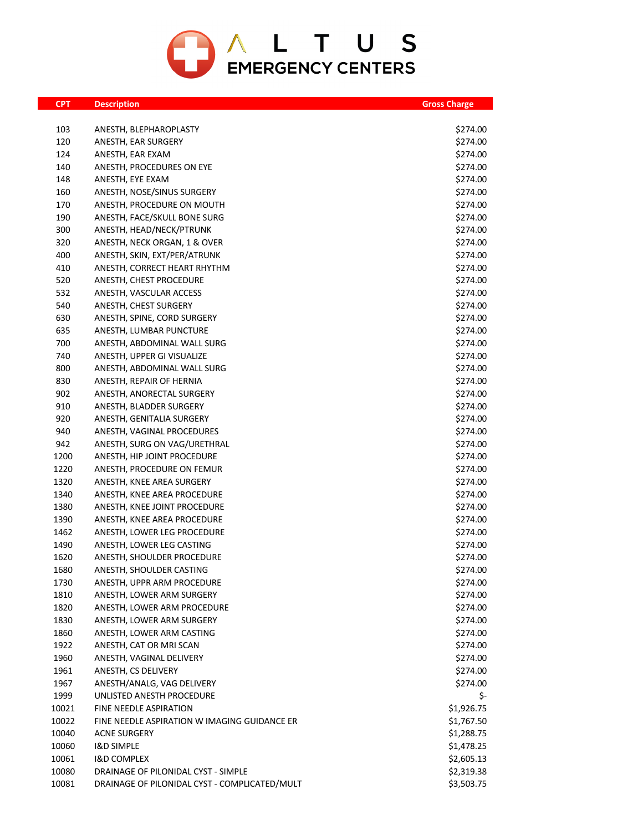

| <b>CPT</b> | <b>Description</b>                            | <b>Gross Charge</b> |
|------------|-----------------------------------------------|---------------------|
|            |                                               |                     |
| 103        | ANESTH, BLEPHAROPLASTY                        | \$274.00            |
| 120        | ANESTH, EAR SURGERY                           | \$274.00            |
| 124        | ANESTH, EAR EXAM                              | \$274.00            |
| 140        | ANESTH, PROCEDURES ON EYE                     | \$274.00            |
| 148        | ANESTH, EYE EXAM                              | \$274.00            |
| 160        | ANESTH, NOSE/SINUS SURGERY                    | \$274.00            |
| 170        | ANESTH, PROCEDURE ON MOUTH                    | \$274.00            |
| 190        | ANESTH, FACE/SKULL BONE SURG                  | \$274.00            |
| 300        | ANESTH, HEAD/NECK/PTRUNK                      | \$274.00            |
| 320        | ANESTH, NECK ORGAN, 1 & OVER                  | \$274.00            |
| 400        | ANESTH, SKIN, EXT/PER/ATRUNK                  | \$274.00            |
| 410        | ANESTH, CORRECT HEART RHYTHM                  | \$274.00            |
| 520        | ANESTH, CHEST PROCEDURE                       | \$274.00            |
| 532        | ANESTH, VASCULAR ACCESS                       | \$274.00            |
| 540        | ANESTH, CHEST SURGERY                         | \$274.00            |
| 630        | ANESTH, SPINE, CORD SURGERY                   | \$274.00            |
| 635        | ANESTH, LUMBAR PUNCTURE                       | \$274.00            |
| 700        | ANESTH, ABDOMINAL WALL SURG                   | \$274.00            |
| 740        | ANESTH, UPPER GI VISUALIZE                    | \$274.00            |
| 800        | ANESTH, ABDOMINAL WALL SURG                   | \$274.00            |
| 830        | ANESTH, REPAIR OF HERNIA                      | \$274.00            |
| 902        | ANESTH, ANORECTAL SURGERY                     | \$274.00            |
| 910        | ANESTH, BLADDER SURGERY                       | \$274.00            |
| 920        | ANESTH, GENITALIA SURGERY                     | \$274.00            |
| 940        | ANESTH, VAGINAL PROCEDURES                    | \$274.00            |
| 942        | ANESTH, SURG ON VAG/URETHRAL                  | \$274.00            |
| 1200       | ANESTH, HIP JOINT PROCEDURE                   | \$274.00            |
| 1220       | ANESTH, PROCEDURE ON FEMUR                    | \$274.00            |
| 1320       | ANESTH, KNEE AREA SURGERY                     | \$274.00            |
| 1340       | ANESTH, KNEE AREA PROCEDURE                   | \$274.00            |
| 1380       | ANESTH, KNEE JOINT PROCEDURE                  | \$274.00            |
| 1390       | ANESTH, KNEE AREA PROCEDURE                   | \$274.00            |
| 1462       | ANESTH, LOWER LEG PROCEDURE                   | \$274.00            |
| 1490       | ANESTH, LOWER LEG CASTING                     | \$274.00            |
| 1620       | ANESTH, SHOULDER PROCEDURE                    | \$274.00            |
| 1680       | ANESTH, SHOULDER CASTING                      | \$274.00            |
| 1730       | ANESTH, UPPR ARM PROCEDURE                    | \$274.00            |
| 1810       | ANESTH, LOWER ARM SURGERY                     | \$274.00            |
| 1820       | ANESTH, LOWER ARM PROCEDURE                   | \$274.00            |
| 1830       | ANESTH, LOWER ARM SURGERY                     | \$274.00            |
| 1860       | ANESTH, LOWER ARM CASTING                     | \$274.00            |
| 1922       | ANESTH, CAT OR MRI SCAN                       | \$274.00            |
| 1960       | ANESTH, VAGINAL DELIVERY                      | \$274.00            |
| 1961       | ANESTH, CS DELIVERY                           | \$274.00            |
| 1967       | ANESTH/ANALG, VAG DELIVERY                    | \$274.00            |
| 1999       | UNLISTED ANESTH PROCEDURE                     | \$-                 |
| 10021      | FINE NEEDLE ASPIRATION                        | \$1,926.75          |
| 10022      | FINE NEEDLE ASPIRATION W IMAGING GUIDANCE ER  | \$1,767.50          |
| 10040      | <b>ACNE SURGERY</b>                           | \$1,288.75          |
| 10060      | <b>I&amp;D SIMPLE</b>                         | \$1,478.25          |
| 10061      | <b>I&amp;D COMPLEX</b>                        | \$2,605.13          |
| 10080      | DRAINAGE OF PILONIDAL CYST - SIMPLE           | \$2,319.38          |
| 10081      | DRAINAGE OF PILONIDAL CYST - COMPLICATED/MULT | \$3,503.75          |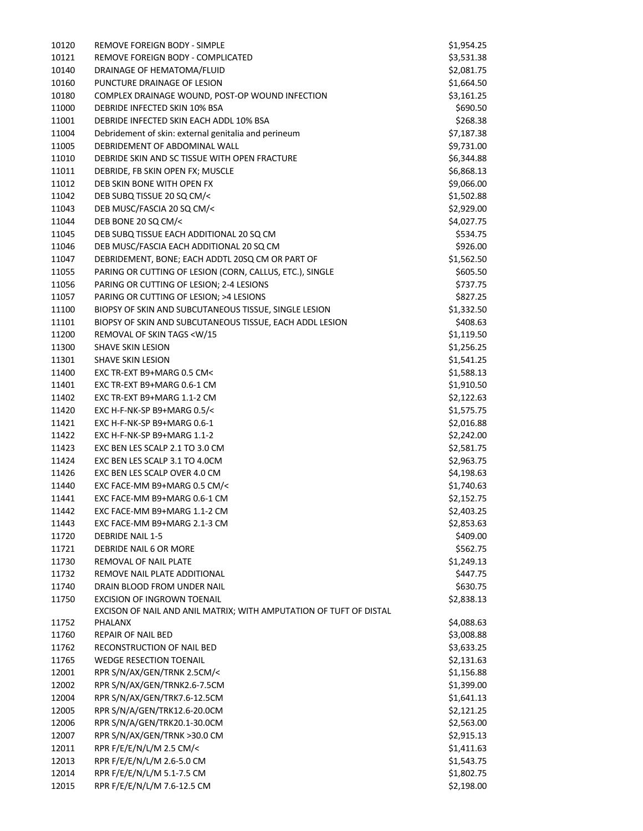| 10120 | REMOVE FOREIGN BODY - SIMPLE                                       | \$1,954.25 |
|-------|--------------------------------------------------------------------|------------|
| 10121 | REMOVE FOREIGN BODY - COMPLICATED                                  | \$3,531.38 |
| 10140 | DRAINAGE OF HEMATOMA/FLUID                                         | \$2,081.75 |
| 10160 | PUNCTURE DRAINAGE OF LESION                                        | \$1,664.50 |
| 10180 | COMPLEX DRAINAGE WOUND, POST-OP WOUND INFECTION                    | \$3,161.25 |
| 11000 | DEBRIDE INFECTED SKIN 10% BSA                                      | \$690.50   |
| 11001 | DEBRIDE INFECTED SKIN EACH ADDL 10% BSA                            | \$268.38   |
| 11004 | Debridement of skin: external genitalia and perineum               | \$7,187.38 |
| 11005 | DEBRIDEMENT OF ABDOMINAL WALL                                      | \$9,731.00 |
| 11010 | DEBRIDE SKIN AND SC TISSUE WITH OPEN FRACTURE                      | \$6,344.88 |
| 11011 | DEBRIDE, FB SKIN OPEN FX; MUSCLE                                   | \$6,868.13 |
| 11012 | DEB SKIN BONE WITH OPEN FX                                         | \$9,066.00 |
| 11042 | DEB SUBQ TISSUE 20 SQ CM/<                                         | \$1,502.88 |
| 11043 | DEB MUSC/FASCIA 20 SQ CM/<                                         | \$2,929.00 |
| 11044 | DEB BONE 20 SQ CM/<                                                | \$4,027.75 |
| 11045 | DEB SUBQ TISSUE EACH ADDITIONAL 20 SQ CM                           | \$534.75   |
| 11046 | DEB MUSC/FASCIA EACH ADDITIONAL 20 SQ CM                           | \$926.00   |
| 11047 | DEBRIDEMENT, BONE; EACH ADDTL 20SQ CM OR PART OF                   | \$1,562.50 |
| 11055 | PARING OR CUTTING OF LESION (CORN, CALLUS, ETC.), SINGLE           | \$605.50   |
| 11056 | PARING OR CUTTING OF LESION; 2-4 LESIONS                           | \$737.75   |
| 11057 | PARING OR CUTTING OF LESION; >4 LESIONS                            | \$827.25   |
| 11100 | BIOPSY OF SKIN AND SUBCUTANEOUS TISSUE, SINGLE LESION              | \$1,332.50 |
| 11101 | BIOPSY OF SKIN AND SUBCUTANEOUS TISSUE, EACH ADDL LESION           | \$408.63   |
| 11200 | REMOVAL OF SKIN TAGS <w 15<="" td=""><td>\$1,119.50</td></w>       | \$1,119.50 |
| 11300 | <b>SHAVE SKIN LESION</b>                                           | \$1,256.25 |
| 11301 | SHAVE SKIN LESION                                                  | \$1,541.25 |
| 11400 | EXC TR-EXT B9+MARG 0.5 CM<                                         | \$1,588.13 |
| 11401 | EXC TR-EXT B9+MARG 0.6-1 CM                                        | \$1,910.50 |
| 11402 | EXC TR-EXT B9+MARG 1.1-2 CM                                        | \$2,122.63 |
| 11420 | EXC H-F-NK-SP B9+MARG 0.5/<                                        | \$1,575.75 |
| 11421 | EXC H-F-NK-SP B9+MARG 0.6-1                                        | \$2,016.88 |
| 11422 | EXC H-F-NK-SP B9+MARG 1.1-2                                        | \$2,242.00 |
| 11423 | EXC BEN LES SCALP 2.1 TO 3.0 CM                                    | \$2,581.75 |
| 11424 | EXC BEN LES SCALP 3.1 TO 4.0CM                                     | \$2,963.75 |
| 11426 | EXC BEN LES SCALP OVER 4.0 CM                                      | \$4,198.63 |
| 11440 | EXC FACE-MM B9+MARG 0.5 CM/<                                       | \$1,740.63 |
| 11441 | EXC FACE-MM B9+MARG 0.6-1 CM                                       | \$2,152.75 |
| 11442 | EXC FACE-MM B9+MARG 1.1-2 CM                                       | \$2,403.25 |
| 11443 | EXC FACE-MM B9+MARG 2.1-3 CM                                       | \$2,853.63 |
| 11720 | <b>DEBRIDE NAIL 1-5</b>                                            | \$409.00   |
| 11721 | DEBRIDE NAIL 6 OR MORE                                             | \$562.75   |
| 11730 | REMOVAL OF NAIL PLATE                                              | \$1,249.13 |
| 11732 | REMOVE NAIL PLATE ADDITIONAL                                       | \$447.75   |
| 11740 | DRAIN BLOOD FROM UNDER NAIL                                        | \$630.75   |
| 11750 | <b>EXCISION OF INGROWN TOENAIL</b>                                 | \$2,838.13 |
|       | EXCISON OF NAIL AND ANIL MATRIX; WITH AMPUTATION OF TUFT OF DISTAL |            |
| 11752 | PHALANX                                                            | \$4,088.63 |
| 11760 | REPAIR OF NAIL BED                                                 | \$3,008.88 |
| 11762 | RECONSTRUCTION OF NAIL BED                                         | \$3,633.25 |
| 11765 | <b>WEDGE RESECTION TOENAIL</b>                                     | \$2,131.63 |
| 12001 | RPR S/N/AX/GEN/TRNK 2.5CM/<                                        | \$1,156.88 |
| 12002 | RPR S/N/AX/GEN/TRNK2.6-7.5CM                                       | \$1,399.00 |
| 12004 | RPR S/N/AX/GEN/TRK7.6-12.5CM                                       | \$1,641.13 |
| 12005 | RPR S/N/A/GEN/TRK12.6-20.0CM                                       | \$2,121.25 |
| 12006 | RPR S/N/A/GEN/TRK20.1-30.0CM                                       | \$2,563.00 |
| 12007 | RPR S/N/AX/GEN/TRNK >30.0 CM                                       | \$2,915.13 |
| 12011 | RPR F/E/E/N/L/M 2.5 CM/<                                           | \$1,411.63 |
| 12013 | RPR F/E/E/N/L/M 2.6-5.0 CM                                         | \$1,543.75 |
| 12014 | RPR F/E/E/N/L/M 5.1-7.5 CM                                         | \$1,802.75 |
| 12015 | RPR F/E/E/N/L/M 7.6-12.5 CM                                        | \$2,198.00 |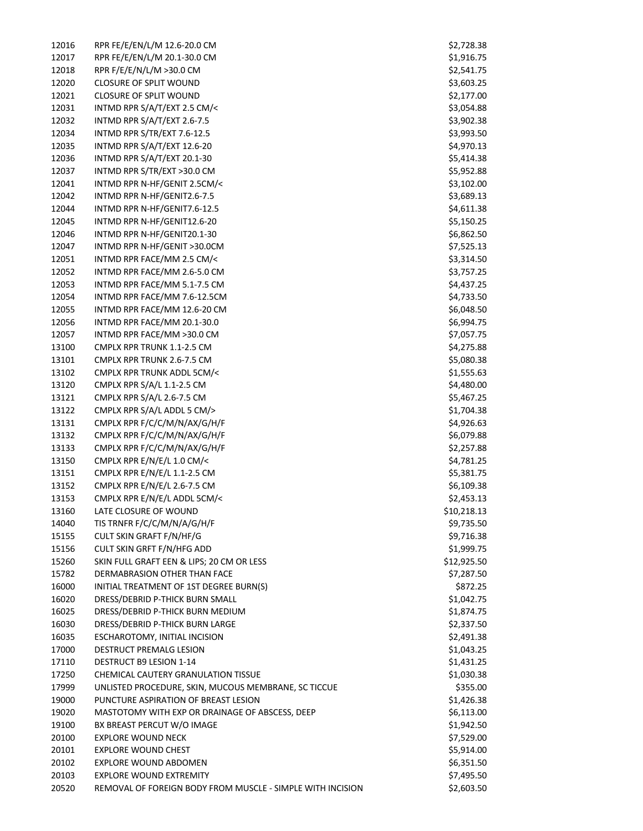| 12016 | RPR FE/E/EN/L/M 12.6-20.0 CM                               | \$2,728.38  |
|-------|------------------------------------------------------------|-------------|
| 12017 | RPR FE/E/EN/L/M 20.1-30.0 CM                               | \$1,916.75  |
| 12018 | RPR F/E/E/N/L/M >30.0 CM                                   | \$2,541.75  |
| 12020 | <b>CLOSURE OF SPLIT WOUND</b>                              | \$3,603.25  |
| 12021 | <b>CLOSURE OF SPLIT WOUND</b>                              | \$2,177.00  |
| 12031 | INTMD RPR S/A/T/EXT 2.5 CM/<                               | \$3,054.88  |
| 12032 | INTMD RPR S/A/T/EXT 2.6-7.5                                | \$3,902.38  |
| 12034 | INTMD RPR S/TR/EXT 7.6-12.5                                | \$3,993.50  |
| 12035 | INTMD RPR S/A/T/EXT 12.6-20                                | \$4,970.13  |
| 12036 | INTMD RPR S/A/T/EXT 20.1-30                                | \$5,414.38  |
| 12037 | INTMD RPR S/TR/EXT >30.0 CM                                | \$5,952.88  |
| 12041 | INTMD RPR N-HF/GENIT 2.5CM/<                               | \$3,102.00  |
| 12042 | INTMD RPR N-HF/GENIT2.6-7.5                                | \$3,689.13  |
| 12044 | INTMD RPR N-HF/GENIT7.6-12.5                               | \$4,611.38  |
| 12045 | INTMD RPR N-HF/GENIT12.6-20                                | \$5,150.25  |
| 12046 | INTMD RPR N-HF/GENIT20.1-30                                | \$6,862.50  |
| 12047 | INTMD RPR N-HF/GENIT >30.0CM                               | \$7,525.13  |
| 12051 | INTMD RPR FACE/MM 2.5 CM/<                                 | \$3,314.50  |
| 12052 | INTMD RPR FACE/MM 2.6-5.0 CM                               | \$3,757.25  |
| 12053 | INTMD RPR FACE/MM 5.1-7.5 CM                               | \$4,437.25  |
| 12054 | INTMD RPR FACE/MM 7.6-12.5CM                               | \$4,733.50  |
| 12055 | INTMD RPR FACE/MM 12.6-20 CM                               | \$6,048.50  |
| 12056 | INTMD RPR FACE/MM 20.1-30.0                                | \$6,994.75  |
| 12057 | INTMD RPR FACE/MM >30.0 CM                                 | \$7,057.75  |
| 13100 | CMPLX RPR TRUNK 1.1-2.5 CM                                 | \$4,275.88  |
| 13101 | CMPLX RPR TRUNK 2.6-7.5 CM                                 | \$5,080.38  |
| 13102 | CMPLX RPR TRUNK ADDL 5CM/<                                 | \$1,555.63  |
| 13120 | CMPLX RPR S/A/L 1.1-2.5 CM                                 | \$4,480.00  |
| 13121 | CMPLX RPR S/A/L 2.6-7.5 CM                                 | \$5,467.25  |
| 13122 | CMPLX RPR S/A/L ADDL 5 CM/>                                | \$1,704.38  |
| 13131 | CMPLX RPR F/C/C/M/N/AX/G/H/F                               | \$4,926.63  |
| 13132 | CMPLX RPR F/C/C/M/N/AX/G/H/F                               | \$6,079.88  |
| 13133 | CMPLX RPR F/C/C/M/N/AX/G/H/F                               | \$2,257.88  |
| 13150 | CMPLX RPR E/N/E/L 1.0 CM/<                                 | \$4,781.25  |
| 13151 | CMPLX RPR E/N/E/L 1.1-2.5 CM                               | \$5,381.75  |
| 13152 | CMPLX RPR E/N/E/L 2.6-7.5 CM                               | \$6,109.38  |
| 13153 | CMPLX RPR E/N/E/L ADDL 5CM/<                               | \$2,453.13  |
| 13160 | LATE CLOSURE OF WOUND                                      | \$10,218.13 |
| 14040 | TIS TRNFR F/C/C/M/N/A/G/H/F                                | \$9,735.50  |
| 15155 | CULT SKIN GRAFT F/N/HF/G                                   | \$9,716.38  |
| 15156 | CULT SKIN GRFT F/N/HFG ADD                                 | \$1,999.75  |
| 15260 | SKIN FULL GRAFT EEN & LIPS; 20 CM OR LESS                  | \$12,925.50 |
| 15782 | <b>DERMABRASION OTHER THAN FACE</b>                        | \$7,287.50  |
| 16000 | INITIAL TREATMENT OF 1ST DEGREE BURN(S)                    | \$872.25    |
| 16020 | DRESS/DEBRID P-THICK BURN SMALL                            | \$1,042.75  |
| 16025 | DRESS/DEBRID P-THICK BURN MEDIUM                           | \$1,874.75  |
| 16030 | DRESS/DEBRID P-THICK BURN LARGE                            | \$2,337.50  |
| 16035 | ESCHAROTOMY, INITIAL INCISION                              | \$2,491.38  |
| 17000 | DESTRUCT PREMALG LESION                                    | \$1,043.25  |
| 17110 | DESTRUCT B9 LESION 1-14                                    | \$1,431.25  |
| 17250 | CHEMICAL CAUTERY GRANULATION TISSUE                        | \$1,030.38  |
| 17999 | UNLISTED PROCEDURE, SKIN, MUCOUS MEMBRANE, SC TICCUE       | \$355.00    |
| 19000 | PUNCTURE ASPIRATION OF BREAST LESION                       | \$1,426.38  |
| 19020 | MASTOTOMY WITH EXP OR DRAINAGE OF ABSCESS, DEEP            | \$6,113.00  |
| 19100 | BX BREAST PERCUT W/O IMAGE                                 | \$1,942.50  |
| 20100 | <b>EXPLORE WOUND NECK</b>                                  | \$7,529.00  |
| 20101 | <b>EXPLORE WOUND CHEST</b>                                 | \$5,914.00  |
| 20102 | EXPLORE WOUND ABDOMEN                                      | \$6,351.50  |
| 20103 | <b>EXPLORE WOUND EXTREMITY</b>                             | \$7,495.50  |
| 20520 | REMOVAL OF FOREIGN BODY FROM MUSCLE - SIMPLE WITH INCISION | \$2,603.50  |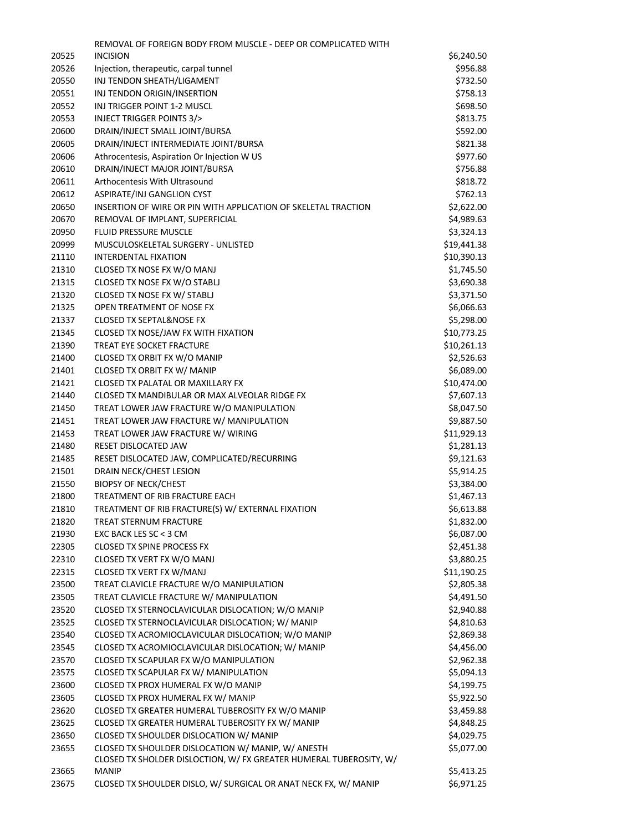|       | REMOVAL OF FOREIGN BODY FROM MUSCLE - DEEP OR COMPLICATED WITH                                                           |             |
|-------|--------------------------------------------------------------------------------------------------------------------------|-------------|
| 20525 | <b>INCISION</b>                                                                                                          | \$6,240.50  |
| 20526 | Injection, therapeutic, carpal tunnel                                                                                    | \$956.88    |
| 20550 | INJ TENDON SHEATH/LIGAMENT                                                                                               | \$732.50    |
| 20551 | INJ TENDON ORIGIN/INSERTION                                                                                              | \$758.13    |
| 20552 | INJ TRIGGER POINT 1-2 MUSCL                                                                                              | \$698.50    |
| 20553 | INJECT TRIGGER POINTS 3/>                                                                                                | \$813.75    |
| 20600 | DRAIN/INJECT SMALL JOINT/BURSA                                                                                           | \$592.00    |
| 20605 | DRAIN/INJECT INTERMEDIATE JOINT/BURSA                                                                                    | \$821.38    |
| 20606 | Athrocentesis, Aspiration Or Injection W US                                                                              | \$977.60    |
| 20610 | DRAIN/INJECT MAJOR JOINT/BURSA                                                                                           | \$756.88    |
| 20611 | Arthocentesis With Ultrasound                                                                                            | \$818.72    |
| 20612 | ASPIRATE/INJ GANGLION CYST                                                                                               | \$762.13    |
| 20650 | INSERTION OF WIRE OR PIN WITH APPLICATION OF SKELETAL TRACTION                                                           | \$2,622.00  |
| 20670 | REMOVAL OF IMPLANT, SUPERFICIAL                                                                                          | \$4,989.63  |
| 20950 | <b>FLUID PRESSURE MUSCLE</b>                                                                                             | \$3,324.13  |
| 20999 | MUSCULOSKELETAL SURGERY - UNLISTED                                                                                       | \$19,441.38 |
| 21110 | <b>INTERDENTAL FIXATION</b>                                                                                              | \$10,390.13 |
| 21310 | CLOSED TX NOSE FX W/O MANJ                                                                                               | \$1,745.50  |
| 21315 | CLOSED TX NOSE FX W/O STABLJ                                                                                             | \$3,690.38  |
| 21320 | CLOSED TX NOSE FX W/ STABLJ                                                                                              | \$3,371.50  |
| 21325 | OPEN TREATMENT OF NOSE FX                                                                                                | \$6,066.63  |
| 21337 | <b>CLOSED TX SEPTAL&amp;NOSE FX</b>                                                                                      | \$5,298.00  |
| 21345 | CLOSED TX NOSE/JAW FX WITH FIXATION                                                                                      | \$10,773.25 |
| 21390 | TREAT EYE SOCKET FRACTURE                                                                                                | \$10,261.13 |
| 21400 | CLOSED TX ORBIT FX W/O MANIP                                                                                             | \$2,526.63  |
| 21401 | CLOSED TX ORBIT FX W/ MANIP                                                                                              | \$6,089.00  |
| 21421 | CLOSED TX PALATAL OR MAXILLARY FX                                                                                        | \$10,474.00 |
| 21440 | CLOSED TX MANDIBULAR OR MAX ALVEOLAR RIDGE FX                                                                            | \$7,607.13  |
| 21450 | TREAT LOWER JAW FRACTURE W/O MANIPULATION                                                                                | \$8,047.50  |
| 21451 | TREAT LOWER JAW FRACTURE W/ MANIPULATION                                                                                 | \$9,887.50  |
| 21453 | TREAT LOWER JAW FRACTURE W/ WIRING                                                                                       | \$11,929.13 |
| 21480 | RESET DISLOCATED JAW                                                                                                     | \$1,281.13  |
| 21485 | RESET DISLOCATED JAW, COMPLICATED/RECURRING                                                                              | \$9,121.63  |
| 21501 | DRAIN NECK/CHEST LESION                                                                                                  | \$5,914.25  |
| 21550 | <b>BIOPSY OF NECK/CHEST</b>                                                                                              | \$3,384.00  |
| 21800 | TREATMENT OF RIB FRACTURE EACH                                                                                           | \$1,467.13  |
| 21810 | TREATMENT OF RIB FRACTURE(S) W/ EXTERNAL FIXATION                                                                        | \$6,613.88  |
| 21820 | TREAT STERNUM FRACTURE                                                                                                   | \$1,832.00  |
| 21930 | EXC BACK LES SC < 3 CM                                                                                                   | \$6,087.00  |
| 22305 | <b>CLOSED TX SPINE PROCESS FX</b>                                                                                        | \$2,451.38  |
| 22310 | CLOSED TX VERT FX W/O MANJ                                                                                               | \$3,880.25  |
| 22315 | CLOSED TX VERT FX W/MANJ                                                                                                 | \$11,190.25 |
| 23500 | TREAT CLAVICLE FRACTURE W/O MANIPULATION                                                                                 | \$2,805.38  |
| 23505 | TREAT CLAVICLE FRACTURE W/ MANIPULATION                                                                                  | \$4,491.50  |
| 23520 | CLOSED TX STERNOCLAVICULAR DISLOCATION; W/O MANIP                                                                        | \$2,940.88  |
| 23525 | CLOSED TX STERNOCLAVICULAR DISLOCATION; W/ MANIP                                                                         | \$4,810.63  |
| 23540 | CLOSED TX ACROMIOCLAVICULAR DISLOCATION; W/O MANIP                                                                       | \$2,869.38  |
| 23545 | CLOSED TX ACROMIOCLAVICULAR DISLOCATION; W/ MANIP                                                                        | \$4,456.00  |
| 23570 | CLOSED TX SCAPULAR FX W/O MANIPULATION                                                                                   | \$2,962.38  |
| 23575 | CLOSED TX SCAPULAR FX W/ MANIPULATION                                                                                    | \$5,094.13  |
| 23600 | CLOSED TX PROX HUMERAL FX W/O MANIP                                                                                      | \$4,199.75  |
| 23605 | CLOSED TX PROX HUMERAL FX W/ MANIP                                                                                       | \$5,922.50  |
| 23620 | CLOSED TX GREATER HUMERAL TUBEROSITY FX W/O MANIP                                                                        | \$3,459.88  |
| 23625 | CLOSED TX GREATER HUMERAL TUBEROSITY FX W/ MANIP                                                                         | \$4,848.25  |
| 23650 | CLOSED TX SHOULDER DISLOCATION W/ MANIP                                                                                  | \$4,029.75  |
| 23655 | CLOSED TX SHOULDER DISLOCATION W/ MANIP, W/ ANESTH<br>CLOSED TX SHOLDER DISLOCTION, W/ FX GREATER HUMERAL TUBEROSITY, W/ | \$5,077.00  |
| 23665 | <b>MANIP</b>                                                                                                             | \$5,413.25  |
| 23675 | CLOSED TX SHOULDER DISLO, W/ SURGICAL OR ANAT NECK FX, W/ MANIP                                                          | \$6,971.25  |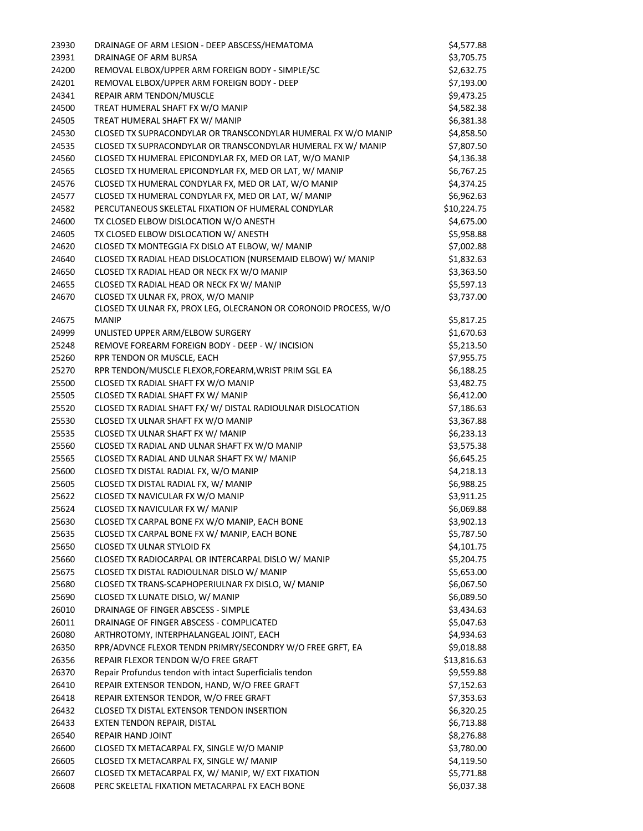| 23930 | DRAINAGE OF ARM LESION - DEEP ABSCESS/HEMATOMA                                   | \$4,577.88  |
|-------|----------------------------------------------------------------------------------|-------------|
| 23931 | DRAINAGE OF ARM BURSA                                                            | \$3,705.75  |
| 24200 | REMOVAL ELBOX/UPPER ARM FOREIGN BODY - SIMPLE/SC                                 | \$2,632.75  |
| 24201 | REMOVAL ELBOX/UPPER ARM FOREIGN BODY - DEEP                                      | \$7,193.00  |
| 24341 | REPAIR ARM TENDON/MUSCLE                                                         | \$9,473.25  |
| 24500 | TREAT HUMERAL SHAFT FX W/O MANIP                                                 | \$4,582.38  |
| 24505 | TREAT HUMERAL SHAFT FX W/ MANIP                                                  | \$6,381.38  |
| 24530 | CLOSED TX SUPRACONDYLAR OR TRANSCONDYLAR HUMERAL FX W/O MANIP                    | \$4,858.50  |
| 24535 | CLOSED TX SUPRACONDYLAR OR TRANSCONDYLAR HUMERAL FX W/ MANIP                     | \$7,807.50  |
| 24560 | CLOSED TX HUMERAL EPICONDYLAR FX, MED OR LAT, W/O MANIP                          | \$4,136.38  |
| 24565 | CLOSED TX HUMERAL EPICONDYLAR FX, MED OR LAT, W/ MANIP                           | \$6,767.25  |
| 24576 | CLOSED TX HUMERAL CONDYLAR FX, MED OR LAT, W/O MANIP                             | \$4,374.25  |
| 24577 | CLOSED TX HUMERAL CONDYLAR FX, MED OR LAT, W/ MANIP                              | \$6,962.63  |
| 24582 | PERCUTANEOUS SKELETAL FIXATION OF HUMERAL CONDYLAR                               | \$10,224.75 |
| 24600 | TX CLOSED ELBOW DISLOCATION W/O ANESTH                                           | \$4,675.00  |
| 24605 | TX CLOSED ELBOW DISLOCATION W/ ANESTH                                            | \$5,958.88  |
|       | CLOSED TX MONTEGGIA FX DISLO AT ELBOW, W/ MANIP                                  |             |
| 24620 |                                                                                  | \$7,002.88  |
| 24640 | CLOSED TX RADIAL HEAD DISLOCATION (NURSEMAID ELBOW) W/ MANIP                     | \$1,832.63  |
| 24650 | CLOSED TX RADIAL HEAD OR NECK FX W/O MANIP                                       | \$3,363.50  |
| 24655 | CLOSED TX RADIAL HEAD OR NECK FX W/ MANIP                                        | \$5,597.13  |
| 24670 | CLOSED TX ULNAR FX, PROX, W/O MANIP                                              | \$3,737.00  |
| 24675 | CLOSED TX ULNAR FX, PROX LEG, OLECRANON OR CORONOID PROCESS, W/O<br><b>MANIP</b> | \$5,817.25  |
| 24999 |                                                                                  | \$1,670.63  |
|       | UNLISTED UPPER ARM/ELBOW SURGERY                                                 |             |
| 25248 | REMOVE FOREARM FOREIGN BODY - DEEP - W/ INCISION                                 | \$5,213.50  |
| 25260 | RPR TENDON OR MUSCLE, EACH                                                       | \$7,955.75  |
| 25270 | RPR TENDON/MUSCLE FLEXOR, FOREARM, WRIST PRIM SGL EA                             | \$6,188.25  |
| 25500 | CLOSED TX RADIAL SHAFT FX W/O MANIP                                              | \$3,482.75  |
| 25505 | CLOSED TX RADIAL SHAFT FX W/ MANIP                                               | \$6,412.00  |
| 25520 | CLOSED TX RADIAL SHAFT FX/ W/ DISTAL RADIOULNAR DISLOCATION                      | \$7,186.63  |
| 25530 | CLOSED TX ULNAR SHAFT FX W/O MANIP                                               | \$3,367.88  |
| 25535 | CLOSED TX ULNAR SHAFT FX W/ MANIP                                                | \$6,233.13  |
| 25560 | CLOSED TX RADIAL AND ULNAR SHAFT FX W/O MANIP                                    | \$3,575.38  |
| 25565 | CLOSED TX RADIAL AND ULNAR SHAFT FX W/ MANIP                                     | \$6,645.25  |
| 25600 | CLOSED TX DISTAL RADIAL FX, W/O MANIP                                            | \$4,218.13  |
| 25605 | CLOSED TX DISTAL RADIAL FX, W/ MANIP                                             | \$6,988.25  |
| 25622 | CLOSED TX NAVICULAR FX W/O MANIP                                                 | \$3,911.25  |
| 25624 | CLOSED TX NAVICULAR FX W/ MANIP                                                  | \$6,069.88  |
| 25630 | CLOSED TX CARPAL BONE FX W/O MANIP, EACH BONE                                    | \$3,902.13  |
| 25635 | CLOSED TX CARPAL BONE FX W/ MANIP, EACH BONE                                     | \$5,787.50  |
| 25650 | <b>CLOSED TX ULNAR STYLOID FX</b>                                                | \$4,101.75  |
| 25660 | CLOSED TX RADIOCARPAL OR INTERCARPAL DISLO W/ MANIP                              | \$5,204.75  |
| 25675 | CLOSED TX DISTAL RADIOULNAR DISLO W/ MANIP                                       | \$5,653.00  |
| 25680 | CLOSED TX TRANS-SCAPHOPERIULNAR FX DISLO, W/ MANIP                               | \$6,067.50  |
| 25690 | CLOSED TX LUNATE DISLO, W/ MANIP                                                 | \$6,089.50  |
| 26010 | DRAINAGE OF FINGER ABSCESS - SIMPLE                                              | \$3,434.63  |
| 26011 | DRAINAGE OF FINGER ABSCESS - COMPLICATED                                         | \$5,047.63  |
| 26080 | ARTHROTOMY, INTERPHALANGEAL JOINT, EACH                                          | \$4,934.63  |
| 26350 | RPR/ADVNCE FLEXOR TENDN PRIMRY/SECONDRY W/O FREE GRFT, EA                        | \$9,018.88  |
| 26356 | REPAIR FLEXOR TENDON W/O FREE GRAFT                                              | \$13,816.63 |
| 26370 | Repair Profundus tendon with intact Superficialis tendon                         | \$9,559.88  |
| 26410 | REPAIR EXTENSOR TENDON, HAND, W/O FREE GRAFT                                     | \$7,152.63  |
| 26418 | REPAIR EXTENSOR TENDOR, W/O FREE GRAFT                                           | \$7,353.63  |
| 26432 | CLOSED TX DISTAL EXTENSOR TENDON INSERTION                                       | \$6,320.25  |
| 26433 | EXTEN TENDON REPAIR, DISTAL                                                      | \$6,713.88  |
| 26540 | REPAIR HAND JOINT                                                                | \$8,276.88  |
| 26600 | CLOSED TX METACARPAL FX, SINGLE W/O MANIP                                        | \$3,780.00  |
| 26605 | CLOSED TX METACARPAL FX, SINGLE W/ MANIP                                         | \$4,119.50  |
| 26607 | CLOSED TX METACARPAL FX, W/ MANIP, W/ EXT FIXATION                               | \$5,771.88  |
| 26608 | PERC SKELETAL FIXATION METACARPAL FX EACH BONE                                   | \$6,037.38  |
|       |                                                                                  |             |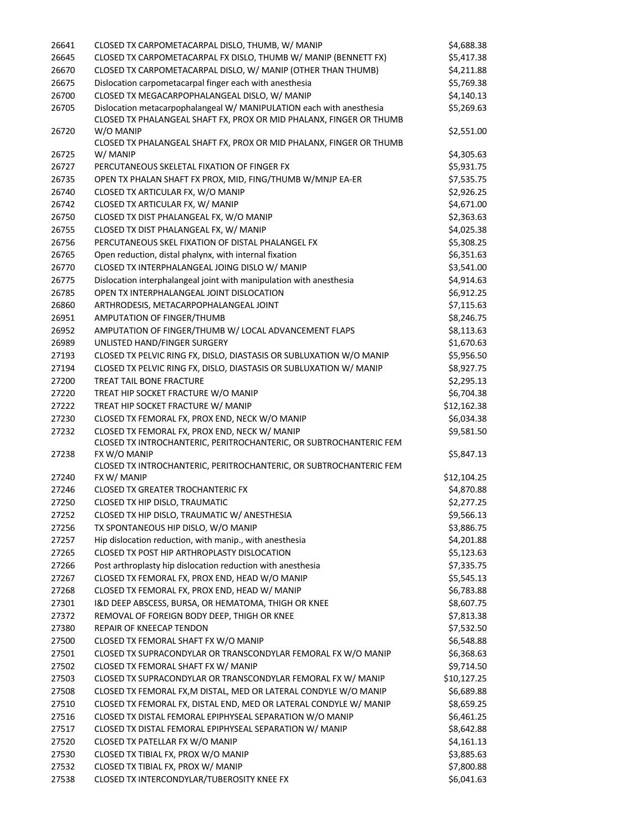| 26641          | CLOSED TX CARPOMETACARPAL DISLO, THUMB, W/ MANIP                                                                                            | \$4,688.38               |
|----------------|---------------------------------------------------------------------------------------------------------------------------------------------|--------------------------|
| 26645          | CLOSED TX CARPOMETACARPAL FX DISLO, THUMB W/ MANIP (BENNETT FX)                                                                             | \$5,417.38               |
| 26670          | CLOSED TX CARPOMETACARPAL DISLO, W/ MANIP (OTHER THAN THUMB)                                                                                | \$4,211.88               |
| 26675          | Dislocation carpometacarpal finger each with anesthesia                                                                                     | \$5,769.38               |
| 26700          | CLOSED TX MEGACARPOPHALANGEAL DISLO, W/ MANIP                                                                                               | \$4,140.13               |
| 26705          | Dislocation metacarpophalangeal W/ MANIPULATION each with anesthesia<br>CLOSED TX PHALANGEAL SHAFT FX, PROX OR MID PHALANX, FINGER OR THUMB | \$5,269.63               |
| 26720          | W/O MANIP                                                                                                                                   | \$2,551.00               |
|                | CLOSED TX PHALANGEAL SHAFT FX, PROX OR MID PHALANX, FINGER OR THUMB                                                                         |                          |
| 26725          | W/ MANIP                                                                                                                                    | \$4,305.63               |
| 26727          | PERCUTANEOUS SKELETAL FIXATION OF FINGER FX                                                                                                 | \$5,931.75               |
| 26735          | OPEN TX PHALAN SHAFT FX PROX, MID, FING/THUMB W/MNJP EA-ER                                                                                  | \$7,535.75               |
| 26740          | CLOSED TX ARTICULAR FX, W/O MANIP                                                                                                           | \$2,926.25               |
| 26742          | CLOSED TX ARTICULAR FX, W/ MANIP                                                                                                            | \$4,671.00               |
| 26750          | CLOSED TX DIST PHALANGEAL FX, W/O MANIP                                                                                                     | \$2,363.63               |
| 26755          | CLOSED TX DIST PHALANGEAL FX, W/ MANIP                                                                                                      | \$4,025.38               |
| 26756          | PERCUTANEOUS SKEL FIXATION OF DISTAL PHALANGEL FX                                                                                           | \$5,308.25               |
| 26765          | Open reduction, distal phalynx, with internal fixation                                                                                      | \$6,351.63               |
| 26770          | CLOSED TX INTERPHALANGEAL JOING DISLO W/ MANIP                                                                                              | \$3,541.00               |
| 26775          | Dislocation interphalangeal joint with manipulation with anesthesia                                                                         | \$4,914.63               |
| 26785          | OPEN TX INTERPHALANGEAL JOINT DISLOCATION                                                                                                   | \$6,912.25               |
| 26860          | ARTHRODESIS, METACARPOPHALANGEAL JOINT                                                                                                      | \$7,115.63               |
| 26951          | AMPUTATION OF FINGER/THUMB                                                                                                                  | \$8,246.75               |
| 26952          | AMPUTATION OF FINGER/THUMB W/ LOCAL ADVANCEMENT FLAPS                                                                                       | \$8,113.63               |
| 26989          | UNLISTED HAND/FINGER SURGERY                                                                                                                | \$1,670.63               |
| 27193          | CLOSED TX PELVIC RING FX, DISLO, DIASTASIS OR SUBLUXATION W/O MANIP                                                                         | \$5,956.50               |
| 27194          | CLOSED TX PELVIC RING FX, DISLO, DIASTASIS OR SUBLUXATION W/ MANIP                                                                          | \$8,927.75               |
| 27200          | TREAT TAIL BONE FRACTURE                                                                                                                    | \$2,295.13               |
| 27220          | TREAT HIP SOCKET FRACTURE W/O MANIP                                                                                                         | \$6,704.38               |
| 27222          | TREAT HIP SOCKET FRACTURE W/ MANIP                                                                                                          | \$12,162.38              |
| 27230          | CLOSED TX FEMORAL FX, PROX END, NECK W/O MANIP                                                                                              | \$6,034.38               |
| 27232          | CLOSED TX FEMORAL FX, PROX END, NECK W/ MANIP                                                                                               | \$9,581.50               |
| 27238          | CLOSED TX INTROCHANTERIC, PERITROCHANTERIC, OR SUBTROCHANTERIC FEM<br>FX W/O MANIP                                                          | \$5,847.13               |
|                | CLOSED TX INTROCHANTERIC, PERITROCHANTERIC, OR SUBTROCHANTERIC FEM                                                                          |                          |
| 27240          | FX W/ MANIP                                                                                                                                 | \$12,104.25              |
| 27246          | <b>CLOSED TX GREATER TROCHANTERIC FX</b>                                                                                                    | \$4,870.88               |
| 27250          | CLOSED TX HIP DISLO, TRAUMATIC                                                                                                              | \$2,277.25               |
| 27252          | CLOSED TX HIP DISLO, TRAUMATIC W/ ANESTHESIA                                                                                                | \$9,566.13               |
| 27256          | TX SPONTANEOUS HIP DISLO, W/O MANIP                                                                                                         | \$3,886.75               |
| 27257          | Hip dislocation reduction, with manip., with anesthesia                                                                                     | \$4,201.88               |
| 27265          | CLOSED TX POST HIP ARTHROPLASTY DISLOCATION                                                                                                 | \$5,123.63               |
| 27266          | Post arthroplasty hip dislocation reduction with anesthesia                                                                                 | \$7,335.75               |
| 27267          | CLOSED TX FEMORAL FX, PROX END, HEAD W/O MANIP                                                                                              | \$5,545.13               |
| 27268          | CLOSED TX FEMORAL FX, PROX END, HEAD W/ MANIP                                                                                               | \$6,783.88               |
| 27301          | I&D DEEP ABSCESS, BURSA, OR HEMATOMA, THIGH OR KNEE                                                                                         | \$8,607.75               |
| 27372          | REMOVAL OF FOREIGN BODY DEEP, THIGH OR KNEE                                                                                                 | \$7,813.38               |
| 27380          | REPAIR OF KNEECAP TENDON                                                                                                                    | \$7,532.50               |
| 27500          | CLOSED TX FEMORAL SHAFT FX W/O MANIP                                                                                                        | \$6,548.88               |
| 27501          | CLOSED TX SUPRACONDYLAR OR TRANSCONDYLAR FEMORAL FX W/O MANIP                                                                               | \$6,368.63               |
| 27502          | CLOSED TX FEMORAL SHAFT FX W/ MANIP                                                                                                         | \$9,714.50               |
| 27503          | CLOSED TX SUPRACONDYLAR OR TRANSCONDYLAR FEMORAL FX W/ MANIP                                                                                | \$10,127.25              |
| 27508          | CLOSED TX FEMORAL FX, M DISTAL, MED OR LATERAL CONDYLE W/O MANIP                                                                            | \$6,689.88               |
| 27510          | CLOSED TX FEMORAL FX, DISTAL END, MED OR LATERAL CONDYLE W/ MANIP                                                                           | \$8,659.25               |
| 27516          | CLOSED TX DISTAL FEMORAL EPIPHYSEAL SEPARATION W/O MANIP                                                                                    | \$6,461.25               |
| 27517          | CLOSED TX DISTAL FEMORAL EPIPHYSEAL SEPARATION W/ MANIP                                                                                     | \$8,642.88               |
| 27520          | CLOSED TX PATELLAR FX W/O MANIP                                                                                                             | \$4,161.13               |
| 27530          | CLOSED TX TIBIAL FX, PROX W/O MANIP<br>CLOSED TX TIBIAL FX, PROX W/ MANIP                                                                   | \$3,885.63               |
| 27532<br>27538 | CLOSED TX INTERCONDYLAR/TUBEROSITY KNEE FX                                                                                                  | \$7,800.88<br>\$6,041.63 |
|                |                                                                                                                                             |                          |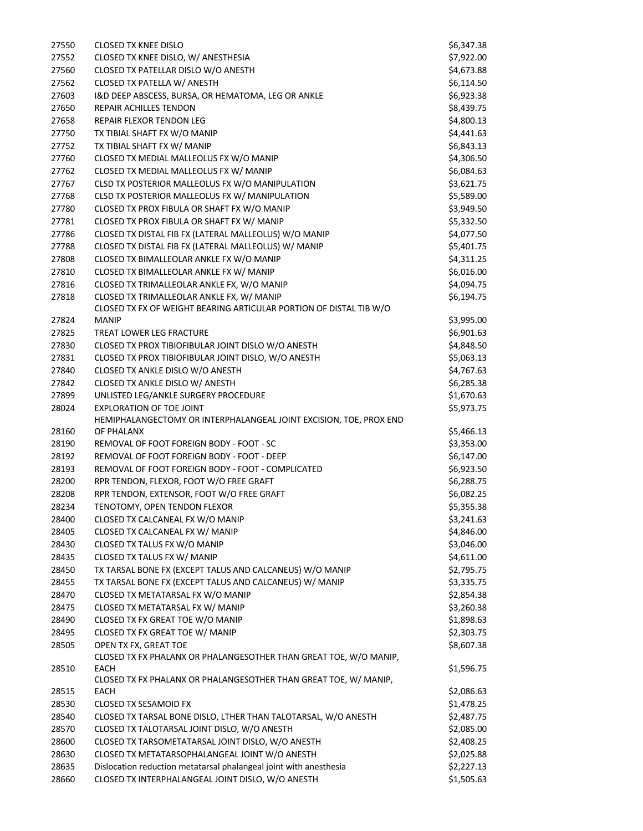| 27550 | <b>CLOSED TX KNEE DISLO</b>                                        | \$6,347.38 |
|-------|--------------------------------------------------------------------|------------|
| 27552 | CLOSED TX KNEE DISLO, W/ ANESTHESIA                                | \$7,922.00 |
| 27560 | CLOSED TX PATELLAR DISLO W/O ANESTH                                | \$4,673.88 |
| 27562 | CLOSED TX PATELLA W/ ANESTH                                        | \$6,114.50 |
| 27603 | I&D DEEP ABSCESS, BURSA, OR HEMATOMA, LEG OR ANKLE                 | \$6,923.38 |
| 27650 | REPAIR ACHILLES TENDON                                             | \$8,439.75 |
| 27658 | REPAIR FLEXOR TENDON LEG                                           | \$4,800.13 |
| 27750 | TX TIBIAL SHAFT FX W/O MANIP                                       | \$4,441.63 |
| 27752 | TX TIBIAL SHAFT FX W/ MANIP                                        | \$6,843.13 |
| 27760 | CLOSED TX MEDIAL MALLEOLUS FX W/O MANIP                            | \$4,306.50 |
| 27762 | CLOSED TX MEDIAL MALLEOLUS FX W/ MANIP                             | \$6,084.63 |
| 27767 | CLSD TX POSTERIOR MALLEOLUS FX W/O MANIPULATION                    | \$3,621.75 |
| 27768 | CLSD TX POSTERIOR MALLEOLUS FX W/ MANIPULATION                     | \$5,589.00 |
| 27780 | CLOSED TX PROX FIBULA OR SHAFT FX W/O MANIP                        | \$3,949.50 |
| 27781 | CLOSED TX PROX FIBULA OR SHAFT FX W/ MANIP                         | \$5,332.50 |
| 27786 | CLOSED TX DISTAL FIB FX (LATERAL MALLEOLUS) W/O MANIP              | \$4,077.50 |
|       |                                                                    |            |
| 27788 | CLOSED TX DISTAL FIB FX (LATERAL MALLEOLUS) W/ MANIP               | \$5,401.75 |
| 27808 | CLOSED TX BIMALLEOLAR ANKLE FX W/O MANIP                           | \$4,311.25 |
| 27810 | CLOSED TX BIMALLEOLAR ANKLE FX W/ MANIP                            | \$6,016.00 |
| 27816 | CLOSED TX TRIMALLEOLAR ANKLE FX, W/O MANIP                         | \$4,094.75 |
| 27818 | CLOSED TX TRIMALLEOLAR ANKLE FX, W/ MANIP                          | \$6,194.75 |
|       | CLOSED TX FX OF WEIGHT BEARING ARTICULAR PORTION OF DISTAL TIB W/O |            |
| 27824 | <b>MANIP</b>                                                       | \$3,995.00 |
| 27825 | TREAT LOWER LEG FRACTURE                                           | \$6,901.63 |
| 27830 | CLOSED TX PROX TIBIOFIBULAR JOINT DISLO W/O ANESTH                 | \$4,848.50 |
| 27831 | CLOSED TX PROX TIBIOFIBULAR JOINT DISLO, W/O ANESTH                | \$5,063.13 |
| 27840 | CLOSED TX ANKLE DISLO W/O ANESTH                                   | \$4,767.63 |
| 27842 | CLOSED TX ANKLE DISLO W/ ANESTH                                    | \$6,285.38 |
| 27899 | UNLISTED LEG/ANKLE SURGERY PROCEDURE                               | \$1,670.63 |
| 28024 | EXPLORATION OF TOE JOINT                                           | \$5,973.75 |
|       | HEMIPHALANGECTOMY OR INTERPHALANGEAL JOINT EXCISION, TOE, PROX END |            |
| 28160 | OF PHALANX                                                         | \$5,466.13 |
| 28190 | REMOVAL OF FOOT FOREIGN BODY - FOOT - SC                           | \$3,353.00 |
| 28192 | REMOVAL OF FOOT FOREIGN BODY - FOOT - DEEP                         | \$6,147.00 |
| 28193 | REMOVAL OF FOOT FOREIGN BODY - FOOT - COMPLICATED                  | \$6,923.50 |
| 28200 | RPR TENDON, FLEXOR, FOOT W/O FREE GRAFT                            | \$6,288.75 |
| 28208 | RPR TENDON, EXTENSOR, FOOT W/O FREE GRAFT                          | \$6,082.25 |
| 28234 | TENOTOMY, OPEN TENDON FLEXOR                                       | \$5,355.38 |
| 28400 | CLOSED TX CALCANEAL FX W/O MANIP                                   | \$3,241.63 |
| 28405 | CLOSED TX CALCANEAL FX W/ MANIP                                    | \$4,846.00 |
| 28430 | CLOSED TX TALUS FX W/O MANIP                                       | \$3,046.00 |
| 28435 | CLOSED TX TALUS FX W/ MANIP                                        | \$4,611.00 |
| 28450 | TX TARSAL BONE FX (EXCEPT TALUS AND CALCANEUS) W/O MANIP           | \$2,795.75 |
| 28455 | TX TARSAL BONE FX (EXCEPT TALUS AND CALCANEUS) W/ MANIP            | \$3,335.75 |
| 28470 | CLOSED TX METATARSAL FX W/O MANIP                                  | \$2,854.38 |
| 28475 | CLOSED TX METATARSAL FX W/ MANIP                                   | \$3,260.38 |
| 28490 | CLOSED TX FX GREAT TOE W/O MANIP                                   | \$1,898.63 |
| 28495 | CLOSED TX FX GREAT TOE W/ MANIP                                    | \$2,303.75 |
| 28505 | OPEN TX FX, GREAT TOE                                              | \$8,607.38 |
|       | CLOSED TX FX PHALANX OR PHALANGESOTHER THAN GREAT TOE, W/O MANIP,  |            |
| 28510 | <b>EACH</b>                                                        | \$1,596.75 |
|       | CLOSED TX FX PHALANX OR PHALANGESOTHER THAN GREAT TOE, W/ MANIP,   |            |
| 28515 | <b>EACH</b>                                                        | \$2,086.63 |
| 28530 | <b>CLOSED TX SESAMOID FX</b>                                       | \$1,478.25 |
| 28540 | CLOSED TX TARSAL BONE DISLO, LTHER THAN TALOTARSAL, W/O ANESTH     | \$2,487.75 |
| 28570 | CLOSED TX TALOTARSAL JOINT DISLO, W/O ANESTH                       | \$2,085.00 |
| 28600 | CLOSED TX TARSOMETATARSAL JOINT DISLO, W/O ANESTH                  | \$2,408.25 |
| 28630 | CLOSED TX METATARSOPHALANGEAL JOINT W/O ANESTH                     | \$2,025.88 |
| 28635 | Dislocation reduction metatarsal phalangeal joint with anesthesia  | \$2,227.13 |
| 28660 | CLOSED TX INTERPHALANGEAL JOINT DISLO, W/O ANESTH                  | \$1,505.63 |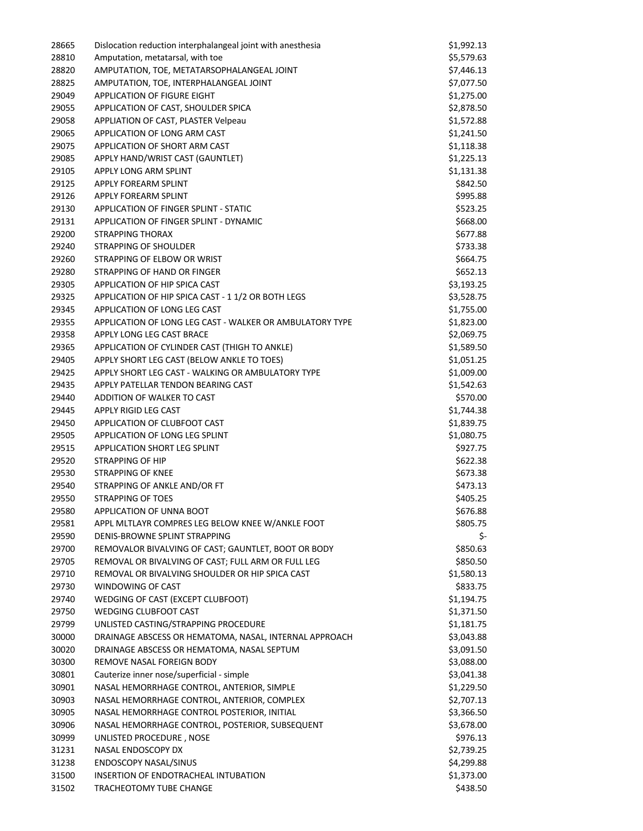| 28665 | Dislocation reduction interphalangeal joint with anesthesia | \$1,992.13 |
|-------|-------------------------------------------------------------|------------|
| 28810 | Amputation, metatarsal, with toe                            | \$5,579.63 |
| 28820 | AMPUTATION, TOE, METATARSOPHALANGEAL JOINT                  | \$7,446.13 |
| 28825 | AMPUTATION, TOE, INTERPHALANGEAL JOINT                      | \$7,077.50 |
| 29049 | APPLICATION OF FIGURE EIGHT                                 | \$1,275.00 |
| 29055 | APPLICATION OF CAST, SHOULDER SPICA                         | \$2,878.50 |
| 29058 | APPLIATION OF CAST, PLASTER Velpeau                         | \$1,572.88 |
| 29065 | APPLICATION OF LONG ARM CAST                                | \$1,241.50 |
| 29075 | APPLICATION OF SHORT ARM CAST                               | \$1,118.38 |
| 29085 | APPLY HAND/WRIST CAST (GAUNTLET)                            | \$1,225.13 |
| 29105 | APPLY LONG ARM SPLINT                                       | \$1,131.38 |
| 29125 | APPLY FOREARM SPLINT                                        | \$842.50   |
| 29126 | APPLY FOREARM SPLINT                                        | \$995.88   |
| 29130 | APPLICATION OF FINGER SPLINT - STATIC                       | \$523.25   |
| 29131 | APPLICATION OF FINGER SPLINT - DYNAMIC                      | \$668.00   |
| 29200 | STRAPPING THORAX                                            | \$677.88   |
| 29240 | STRAPPING OF SHOULDER                                       | \$733.38   |
| 29260 | STRAPPING OF ELBOW OR WRIST                                 | \$664.75   |
| 29280 | STRAPPING OF HAND OR FINGER                                 | \$652.13   |
| 29305 | APPLICATION OF HIP SPICA CAST                               | \$3,193.25 |
| 29325 | APPLICATION OF HIP SPICA CAST - 1 1/2 OR BOTH LEGS          | \$3,528.75 |
| 29345 | APPLICATION OF LONG LEG CAST                                | \$1,755.00 |
| 29355 | APPLICATION OF LONG LEG CAST - WALKER OR AMBULATORY TYPE    | \$1,823.00 |
| 29358 | APPLY LONG LEG CAST BRACE                                   | \$2,069.75 |
| 29365 | APPLICATION OF CYLINDER CAST (THIGH TO ANKLE)               | \$1,589.50 |
| 29405 | APPLY SHORT LEG CAST (BELOW ANKLE TO TOES)                  | \$1,051.25 |
| 29425 | APPLY SHORT LEG CAST - WALKING OR AMBULATORY TYPE           | \$1,009.00 |
| 29435 | APPLY PATELLAR TENDON BEARING CAST                          | \$1,542.63 |
| 29440 | ADDITION OF WALKER TO CAST                                  | \$570.00   |
| 29445 | APPLY RIGID LEG CAST                                        | \$1,744.38 |
| 29450 | APPLICATION OF CLUBFOOT CAST                                | \$1,839.75 |
| 29505 | APPLICATION OF LONG LEG SPLINT                              | \$1,080.75 |
| 29515 | <b>APPLICATION SHORT LEG SPLINT</b>                         | \$927.75   |
| 29520 | STRAPPING OF HIP                                            | \$622.38   |
| 29530 | <b>STRAPPING OF KNEE</b>                                    | \$673.38   |
| 29540 | STRAPPING OF ANKLE AND/OR FT                                | \$473.13   |
| 29550 | <b>STRAPPING OF TOES</b>                                    | \$405.25   |
| 29580 | APPLICATION OF UNNA BOOT                                    | \$676.88   |
| 29581 | APPL MLTLAYR COMPRES LEG BELOW KNEE W/ANKLE FOOT            | \$805.75   |
| 29590 | DENIS-BROWNE SPLINT STRAPPING                               | \$-        |
| 29700 | REMOVALOR BIVALVING OF CAST; GAUNTLET, BOOT OR BODY         | \$850.63   |
| 29705 | REMOVAL OR BIVALVING OF CAST; FULL ARM OR FULL LEG          | \$850.50   |
| 29710 | REMOVAL OR BIVALVING SHOULDER OR HIP SPICA CAST             | \$1,580.13 |
| 29730 | WINDOWING OF CAST                                           | \$833.75   |
| 29740 | WEDGING OF CAST (EXCEPT CLUBFOOT)                           | \$1,194.75 |
| 29750 | <b>WEDGING CLUBFOOT CAST</b>                                | \$1,371.50 |
| 29799 | UNLISTED CASTING/STRAPPING PROCEDURE                        | \$1,181.75 |
| 30000 | DRAINAGE ABSCESS OR HEMATOMA, NASAL, INTERNAL APPROACH      | \$3,043.88 |
| 30020 | DRAINAGE ABSCESS OR HEMATOMA, NASAL SEPTUM                  | \$3,091.50 |
| 30300 | REMOVE NASAL FOREIGN BODY                                   | \$3,088.00 |
| 30801 | Cauterize inner nose/superficial - simple                   | \$3,041.38 |
| 30901 | NASAL HEMORRHAGE CONTROL, ANTERIOR, SIMPLE                  | \$1,229.50 |
| 30903 | NASAL HEMORRHAGE CONTROL, ANTERIOR, COMPLEX                 | \$2,707.13 |
| 30905 | NASAL HEMORRHAGE CONTROL POSTERIOR, INITIAL                 | \$3,366.50 |
| 30906 | NASAL HEMORRHAGE CONTROL, POSTERIOR, SUBSEQUENT             | \$3,678.00 |
| 30999 | UNLISTED PROCEDURE, NOSE                                    | \$976.13   |
| 31231 | NASAL ENDOSCOPY DX                                          | \$2,739.25 |
| 31238 | <b>ENDOSCOPY NASAL/SINUS</b>                                | \$4,299.88 |
| 31500 | INSERTION OF ENDOTRACHEAL INTUBATION                        | \$1,373.00 |
| 31502 | TRACHEOTOMY TUBE CHANGE                                     | \$438.50   |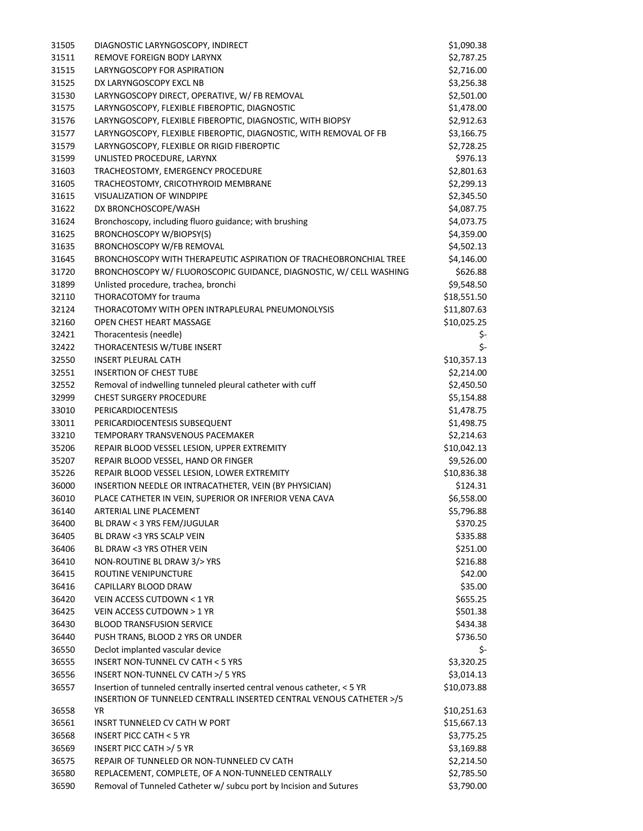| 31505 | DIAGNOSTIC LARYNGOSCOPY, INDIRECT                                                                                                               | \$1,090.38  |
|-------|-------------------------------------------------------------------------------------------------------------------------------------------------|-------------|
| 31511 | REMOVE FOREIGN BODY LARYNX                                                                                                                      | \$2,787.25  |
| 31515 | LARYNGOSCOPY FOR ASPIRATION                                                                                                                     | \$2,716.00  |
| 31525 | DX LARYNGOSCOPY EXCL NB                                                                                                                         | \$3,256.38  |
| 31530 | LARYNGOSCOPY DIRECT, OPERATIVE, W/ FB REMOVAL                                                                                                   | \$2,501.00  |
| 31575 | LARYNGOSCOPY, FLEXIBLE FIBEROPTIC, DIAGNOSTIC                                                                                                   | \$1,478.00  |
| 31576 | LARYNGOSCOPY, FLEXIBLE FIBEROPTIC, DIAGNOSTIC, WITH BIOPSY                                                                                      | \$2,912.63  |
| 31577 | LARYNGOSCOPY, FLEXIBLE FIBEROPTIC, DIAGNOSTIC, WITH REMOVAL OF FB                                                                               | \$3,166.75  |
| 31579 | LARYNGOSCOPY, FLEXIBLE OR RIGID FIBEROPTIC                                                                                                      | \$2,728.25  |
| 31599 | UNLISTED PROCEDURE, LARYNX                                                                                                                      | \$976.13    |
| 31603 | TRACHEOSTOMY, EMERGENCY PROCEDURE                                                                                                               | \$2,801.63  |
| 31605 | TRACHEOSTOMY, CRICOTHYROID MEMBRANE                                                                                                             | \$2,299.13  |
| 31615 | VISUALIZATION OF WINDPIPE                                                                                                                       | \$2,345.50  |
| 31622 | DX BRONCHOSCOPE/WASH                                                                                                                            | \$4,087.75  |
| 31624 | Bronchoscopy, including fluoro guidance; with brushing                                                                                          | \$4,073.75  |
| 31625 | <b>BRONCHOSCOPY W/BIOPSY(S)</b>                                                                                                                 | \$4,359.00  |
| 31635 | <b>BRONCHOSCOPY W/FB REMOVAL</b>                                                                                                                | \$4,502.13  |
| 31645 | BRONCHOSCOPY WITH THERAPEUTIC ASPIRATION OF TRACHEOBRONCHIAL TREE                                                                               | \$4,146.00  |
| 31720 | BRONCHOSCOPY W/ FLUOROSCOPIC GUIDANCE, DIAGNOSTIC, W/ CELL WASHING                                                                              | \$626.88    |
| 31899 | Unlisted procedure, trachea, bronchi                                                                                                            | \$9,548.50  |
| 32110 | THORACOTOMY for trauma                                                                                                                          | \$18,551.50 |
| 32124 | THORACOTOMY WITH OPEN INTRAPLEURAL PNEUMONOLYSIS                                                                                                | \$11,807.63 |
| 32160 | OPEN CHEST HEART MASSAGE                                                                                                                        | \$10,025.25 |
| 32421 | Thoracentesis (needle)                                                                                                                          | \$-         |
| 32422 | THORACENTESIS W/TUBE INSERT                                                                                                                     | \$-         |
| 32550 | <b>INSERT PLEURAL CATH</b>                                                                                                                      | \$10,357.13 |
| 32551 | <b>INSERTION OF CHEST TUBE</b>                                                                                                                  | \$2,214.00  |
| 32552 | Removal of indwelling tunneled pleural catheter with cuff                                                                                       | \$2,450.50  |
| 32999 | <b>CHEST SURGERY PROCEDURE</b>                                                                                                                  | \$5,154.88  |
| 33010 | <b>PERICARDIOCENTESIS</b>                                                                                                                       | \$1,478.75  |
| 33011 | PERICARDIOCENTESIS SUBSEQUENT                                                                                                                   | \$1,498.75  |
| 33210 | TEMPORARY TRANSVENOUS PACEMAKER                                                                                                                 | \$2,214.63  |
| 35206 | REPAIR BLOOD VESSEL LESION, UPPER EXTREMITY                                                                                                     | \$10,042.13 |
| 35207 | REPAIR BLOOD VESSEL, HAND OR FINGER                                                                                                             | \$9,526.00  |
| 35226 | REPAIR BLOOD VESSEL LESION, LOWER EXTREMITY                                                                                                     | \$10,836.38 |
| 36000 | INSERTION NEEDLE OR INTRACATHETER, VEIN (BY PHYSICIAN)                                                                                          | \$124.31    |
| 36010 | PLACE CATHETER IN VEIN, SUPERIOR OR INFERIOR VENA CAVA                                                                                          | \$6,558.00  |
| 36140 | ARTERIAL LINE PLACEMENT                                                                                                                         | \$5,796.88  |
| 36400 | BL DRAW < 3 YRS FEM/JUGULAR                                                                                                                     | \$370.25    |
| 36405 | BL DRAW <3 YRS SCALP VEIN                                                                                                                       | \$335.88    |
| 36406 | BL DRAW <3 YRS OTHER VEIN                                                                                                                       | \$251.00    |
| 36410 | NON-ROUTINE BL DRAW 3/> YRS                                                                                                                     | \$216.88    |
| 36415 | ROUTINE VENIPUNCTURE                                                                                                                            | \$42.00     |
| 36416 | CAPILLARY BLOOD DRAW                                                                                                                            | \$35.00     |
| 36420 | VEIN ACCESS CUTDOWN < 1 YR                                                                                                                      | \$655.25    |
| 36425 | VEIN ACCESS CUTDOWN > 1 YR                                                                                                                      | \$501.38    |
| 36430 | <b>BLOOD TRANSFUSION SERVICE</b>                                                                                                                | \$434.38    |
| 36440 | PUSH TRANS, BLOOD 2 YRS OR UNDER                                                                                                                | \$736.50    |
| 36550 | Declot implanted vascular device                                                                                                                | \$-         |
| 36555 | <b>INSERT NON-TUNNEL CV CATH &lt; 5 YRS</b>                                                                                                     | \$3,320.25  |
| 36556 | INSERT NON-TUNNEL CV CATH >/ 5 YRS                                                                                                              | \$3,014.13  |
| 36557 | Insertion of tunneled centrally inserted central venous catheter, < 5 YR<br>INSERTION OF TUNNELED CENTRALL INSERTED CENTRAL VENOUS CATHETER >/5 | \$10,073.88 |
| 36558 | ΥR                                                                                                                                              | \$10,251.63 |
| 36561 | INSRT TUNNELED CV CATH W PORT                                                                                                                   | \$15,667.13 |
| 36568 | INSERT PICC CATH $<$ 5 YR                                                                                                                       | \$3,775.25  |
| 36569 | INSERT PICC CATH >/ 5 YR                                                                                                                        | \$3,169.88  |
| 36575 | REPAIR OF TUNNELED OR NON-TUNNELED CV CATH                                                                                                      | \$2,214.50  |
| 36580 | REPLACEMENT, COMPLETE, OF A NON-TUNNELED CENTRALLY                                                                                              | \$2,785.50  |
| 36590 | Removal of Tunneled Catheter w/ subcu port by Incision and Sutures                                                                              | \$3,790.00  |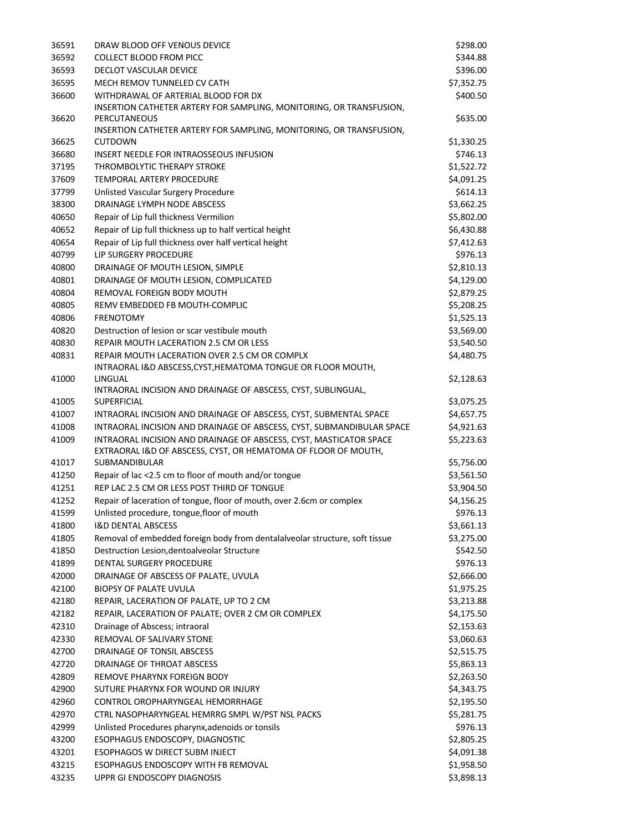| 36591 | DRAW BLOOD OFF VENOUS DEVICE                                                | \$298.00   |
|-------|-----------------------------------------------------------------------------|------------|
| 36592 | <b>COLLECT BLOOD FROM PICC</b>                                              | \$344.88   |
| 36593 | DECLOT VASCULAR DEVICE                                                      | \$396.00   |
| 36595 | MECH REMOV TUNNELED CV CATH                                                 | \$7,352.75 |
| 36600 | WITHDRAWAL OF ARTERIAL BLOOD FOR DX                                         | \$400.50   |
|       | INSERTION CATHETER ARTERY FOR SAMPLING, MONITORING, OR TRANSFUSION,         |            |
| 36620 | PERCUTANEOUS                                                                | \$635.00   |
|       | INSERTION CATHETER ARTERY FOR SAMPLING, MONITORING, OR TRANSFUSION,         |            |
| 36625 | <b>CUTDOWN</b>                                                              | \$1,330.25 |
| 36680 | <b>INSERT NEEDLE FOR INTRAOSSEOUS INFUSION</b>                              | \$746.13   |
| 37195 | THROMBOLYTIC THERAPY STROKE                                                 | \$1,522.72 |
| 37609 | <b>TEMPORAL ARTERY PROCEDURE</b>                                            | \$4,091.25 |
| 37799 | Unlisted Vascular Surgery Procedure                                         | \$614.13   |
| 38300 | DRAINAGE LYMPH NODE ABSCESS                                                 | \$3,662.25 |
| 40650 | Repair of Lip full thickness Vermilion                                      | \$5,802.00 |
| 40652 | Repair of Lip full thickness up to half vertical height                     | \$6,430.88 |
| 40654 | Repair of Lip full thickness over half vertical height                      | \$7,412.63 |
| 40799 | LIP SURGERY PROCEDURE                                                       | \$976.13   |
| 40800 | DRAINAGE OF MOUTH LESION, SIMPLE                                            | \$2,810.13 |
| 40801 | DRAINAGE OF MOUTH LESION, COMPLICATED                                       | \$4,129.00 |
| 40804 | REMOVAL FOREIGN BODY MOUTH                                                  | \$2,879.25 |
| 40805 | REMV EMBEDDED FB MOUTH-COMPLIC                                              | \$5,208.25 |
| 40806 | <b>FRENOTOMY</b>                                                            | \$1,525.13 |
| 40820 | Destruction of lesion or scar vestibule mouth                               | \$3,569.00 |
| 40830 | REPAIR MOUTH LACERATION 2.5 CM OR LESS                                      | \$3,540.50 |
| 40831 | REPAIR MOUTH LACERATION OVER 2.5 CM OR COMPLX                               | \$4,480.75 |
|       | INTRAORAL I&D ABSCESS, CYST, HEMATOMA TONGUE OR FLOOR MOUTH,                |            |
| 41000 | LINGUAL                                                                     | \$2,128.63 |
|       | INTRAORAL INCISION AND DRAINAGE OF ABSCESS, CYST, SUBLINGUAL,               |            |
| 41005 | SUPERFICIAL                                                                 | \$3,075.25 |
| 41007 | INTRAORAL INCISION AND DRAINAGE OF ABSCESS, CYST, SUBMENTAL SPACE           | \$4,657.75 |
| 41008 | INTRAORAL INCISION AND DRAINAGE OF ABSCESS, CYST, SUBMANDIBULAR SPACE       | \$4,921.63 |
| 41009 | INTRAORAL INCISION AND DRAINAGE OF ABSCESS, CYST, MASTICATOR SPACE          | \$5,223.63 |
|       | EXTRAORAL I&D OF ABSCESS, CYST, OR HEMATOMA OF FLOOR OF MOUTH,              |            |
| 41017 | <b>SUBMANDIBULAR</b>                                                        | \$5,756.00 |
| 41250 | Repair of lac <2.5 cm to floor of mouth and/or tongue                       | \$3,561.50 |
| 41251 | REP LAC 2.5 CM OR LESS POST THIRD OF TONGUE                                 | \$3,904.50 |
| 41252 | Repair of laceration of tongue, floor of mouth, over 2.6cm or complex       | \$4,156.25 |
| 41599 | Unlisted procedure, tongue, floor of mouth                                  | \$976.13   |
| 41800 | <b>I&amp;D DENTAL ABSCESS</b>                                               | \$3,661.13 |
| 41805 | Removal of embedded foreign body from dentalalveolar structure, soft tissue | \$3,275.00 |
| 41850 | Destruction Lesion, dentoalveolar Structure                                 | \$542.50   |
| 41899 | DENTAL SURGERY PROCEDURE                                                    | \$976.13   |
| 42000 | DRAINAGE OF ABSCESS OF PALATE, UVULA                                        | \$2,666.00 |
| 42100 | <b>BIOPSY OF PALATE UVULA</b>                                               | \$1,975.25 |
| 42180 | REPAIR, LACERATION OF PALATE, UP TO 2 CM                                    | \$3,213.88 |
| 42182 | REPAIR, LACERATION OF PALATE; OVER 2 CM OR COMPLEX                          | \$4,175.50 |
| 42310 | Drainage of Abscess; intraoral                                              | \$2,153.63 |
| 42330 | REMOVAL OF SALIVARY STONE                                                   | \$3,060.63 |
| 42700 | DRAINAGE OF TONSIL ABSCESS                                                  | \$2,515.75 |
| 42720 | DRAINAGE OF THROAT ABSCESS                                                  | \$5,863.13 |
| 42809 | REMOVE PHARYNX FOREIGN BODY                                                 | \$2,263.50 |
| 42900 | SUTURE PHARYNX FOR WOUND OR INJURY                                          | \$4,343.75 |
| 42960 | CONTROL OROPHARYNGEAL HEMORRHAGE                                            | \$2,195.50 |
| 42970 | CTRL NASOPHARYNGEAL HEMRRG SMPL W/PST NSL PACKS                             | \$5,281.75 |
| 42999 | Unlisted Procedures pharynx, adenoids or tonsils                            | \$976.13   |
| 43200 | ESOPHAGUS ENDOSCOPY, DIAGNOSTIC                                             | \$2,805.25 |
| 43201 | ESOPHAGOS W DIRECT SUBM INJECT                                              | \$4,091.38 |
| 43215 | ESOPHAGUS ENDOSCOPY WITH FB REMOVAL                                         | \$1,958.50 |
| 43235 | UPPR GI ENDOSCOPY DIAGNOSIS                                                 | \$3,898.13 |
|       |                                                                             |            |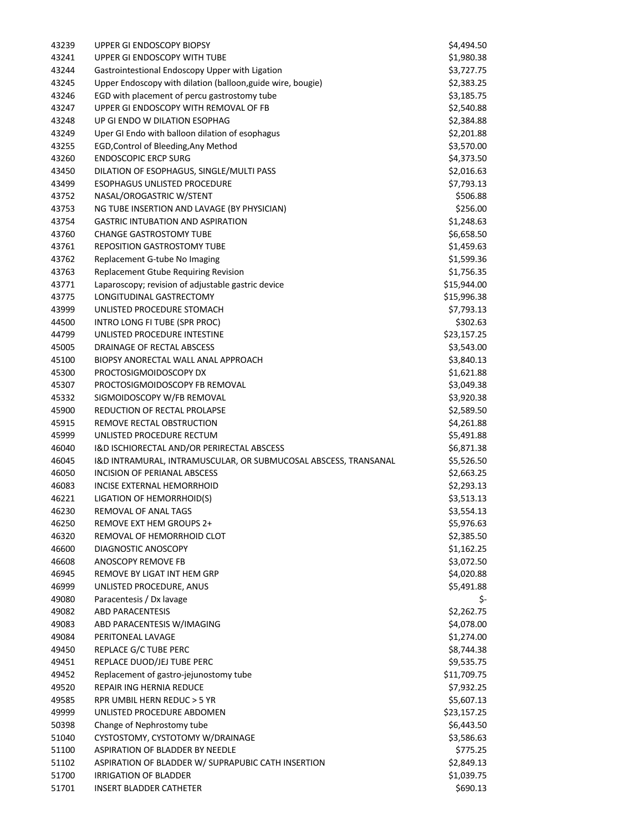| 43239 | <b>UPPER GI ENDOSCOPY BIOPSY</b>                                | \$4,494.50  |
|-------|-----------------------------------------------------------------|-------------|
| 43241 | UPPER GI ENDOSCOPY WITH TUBE                                    | \$1,980.38  |
| 43244 | Gastrointestional Endoscopy Upper with Ligation                 | \$3,727.75  |
| 43245 | Upper Endoscopy with dilation (balloon, guide wire, bougie)     | \$2,383.25  |
| 43246 | EGD with placement of percu gastrostomy tube                    | \$3,185.75  |
| 43247 | UPPER GI ENDOSCOPY WITH REMOVAL OF FB                           | \$2,540.88  |
| 43248 | UP GI ENDO W DILATION ESOPHAG                                   | \$2,384.88  |
| 43249 | Uper GI Endo with balloon dilation of esophagus                 | \$2,201.88  |
| 43255 | EGD, Control of Bleeding, Any Method                            | \$3,570.00  |
| 43260 | <b>ENDOSCOPIC ERCP SURG</b>                                     | \$4,373.50  |
| 43450 | DILATION OF ESOPHAGUS, SINGLE/MULTI PASS                        | \$2,016.63  |
| 43499 | <b>ESOPHAGUS UNLISTED PROCEDURE</b>                             | \$7,793.13  |
| 43752 | NASAL/OROGASTRIC W/STENT                                        | \$506.88    |
| 43753 | NG TUBE INSERTION AND LAVAGE (BY PHYSICIAN)                     | \$256.00    |
| 43754 | <b>GASTRIC INTUBATION AND ASPIRATION</b>                        | \$1,248.63  |
| 43760 | <b>CHANGE GASTROSTOMY TUBE</b>                                  | \$6,658.50  |
| 43761 | REPOSITION GASTROSTOMY TUBE                                     | \$1,459.63  |
| 43762 | Replacement G-tube No Imaging                                   | \$1,599.36  |
| 43763 | Replacement Gtube Requiring Revision                            | \$1,756.35  |
| 43771 | Laparoscopy; revision of adjustable gastric device              | \$15,944.00 |
| 43775 | LONGITUDINAL GASTRECTOMY                                        | \$15,996.38 |
| 43999 | UNLISTED PROCEDURE STOMACH                                      | \$7,793.13  |
| 44500 | INTRO LONG FI TUBE (SPR PROC)                                   | \$302.63    |
| 44799 | UNLISTED PROCEDURE INTESTINE                                    | \$23,157.25 |
| 45005 | DRAINAGE OF RECTAL ABSCESS                                      | \$3,543.00  |
| 45100 | BIOPSY ANORECTAL WALL ANAL APPROACH                             | \$3,840.13  |
| 45300 | PROCTOSIGMOIDOSCOPY DX                                          | \$1,621.88  |
| 45307 | PROCTOSIGMOIDOSCOPY FB REMOVAL                                  | \$3,049.38  |
| 45332 | SIGMOIDOSCOPY W/FB REMOVAL                                      | \$3,920.38  |
| 45900 | REDUCTION OF RECTAL PROLAPSE                                    | \$2,589.50  |
| 45915 | REMOVE RECTAL OBSTRUCTION                                       | \$4,261.88  |
| 45999 | UNLISTED PROCEDURE RECTUM                                       | \$5,491.88  |
| 46040 | I&D ISCHIORECTAL AND/OR PERIRECTAL ABSCESS                      | \$6,871.38  |
| 46045 | I&D INTRAMURAL, INTRAMUSCULAR, OR SUBMUCOSAL ABSCESS, TRANSANAL | \$5,526.50  |
| 46050 | INCISION OF PERIANAL ABSCESS                                    | \$2,663.25  |
| 46083 | <b>INCISE EXTERNAL HEMORRHOID</b>                               | \$2,293.13  |
| 46221 | LIGATION OF HEMORRHOID(S)                                       | \$3,513.13  |
| 46230 | REMOVAL OF ANAL TAGS                                            | \$3,554.13  |
| 46250 | REMOVE EXT HEM GROUPS 2+                                        | \$5,976.63  |
| 46320 | REMOVAL OF HEMORRHOID CLOT                                      | \$2,385.50  |
| 46600 | DIAGNOSTIC ANOSCOPY                                             | \$1,162.25  |
| 46608 | ANOSCOPY REMOVE FB                                              | \$3,072.50  |
| 46945 | REMOVE BY LIGAT INT HEM GRP                                     | \$4,020.88  |
| 46999 | UNLISTED PROCEDURE, ANUS                                        | \$5,491.88  |
| 49080 | Paracentesis / Dx lavage                                        | \$-         |
| 49082 | <b>ABD PARACENTESIS</b>                                         | \$2,262.75  |
| 49083 | ABD PARACENTESIS W/IMAGING                                      | \$4,078.00  |
| 49084 | PERITONEAL LAVAGE                                               | \$1,274.00  |
| 49450 | REPLACE G/C TUBE PERC                                           | \$8,744.38  |
| 49451 | REPLACE DUOD/JEJ TUBE PERC                                      | \$9,535.75  |
| 49452 | Replacement of gastro-jejunostomy tube                          | \$11,709.75 |
| 49520 | REPAIR ING HERNIA REDUCE                                        | \$7,932.25  |
| 49585 | RPR UMBIL HERN REDUC > 5 YR                                     | \$5,607.13  |
| 49999 | UNLISTED PROCEDURE ABDOMEN                                      | \$23,157.25 |
| 50398 | Change of Nephrostomy tube                                      | \$6,443.50  |
| 51040 | CYSTOSTOMY, CYSTOTOMY W/DRAINAGE                                | \$3,586.63  |
| 51100 | <b>ASPIRATION OF BLADDER BY NEEDLE</b>                          | \$775.25    |
| 51102 | ASPIRATION OF BLADDER W/ SUPRAPUBIC CATH INSERTION              | \$2,849.13  |
| 51700 | IRRIGATION OF BLADDER                                           | \$1,039.75  |
| 51701 | INSERT BLADDER CATHETER                                         | \$690.13    |
|       |                                                                 |             |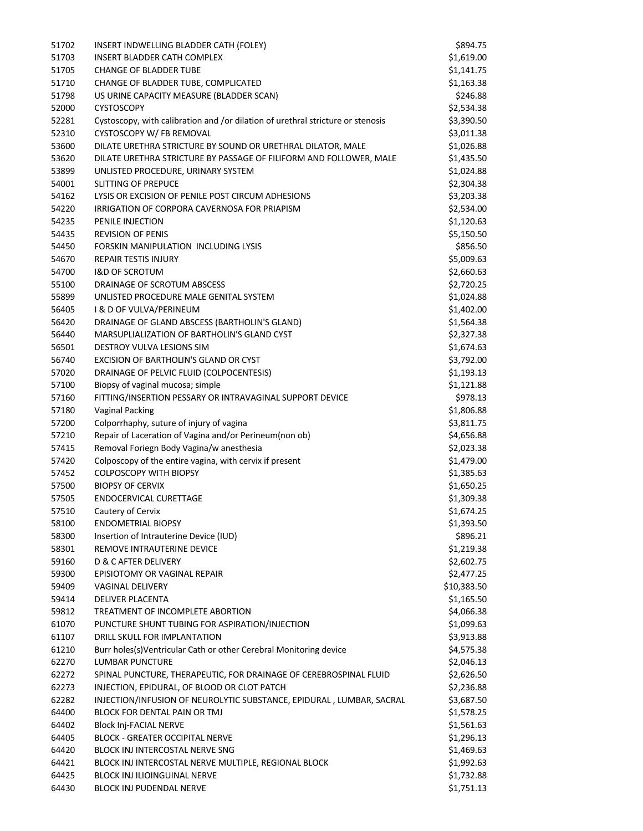| 51702 | INSERT INDWELLING BLADDER CATH (FOLEY)                                          | \$894.75    |
|-------|---------------------------------------------------------------------------------|-------------|
| 51703 | <b>INSERT BLADDER CATH COMPLEX</b>                                              | \$1,619.00  |
| 51705 | <b>CHANGE OF BLADDER TUBE</b>                                                   | \$1,141.75  |
| 51710 | CHANGE OF BLADDER TUBE, COMPLICATED                                             | \$1,163.38  |
| 51798 | US URINE CAPACITY MEASURE (BLADDER SCAN)                                        | \$246.88    |
| 52000 | <b>CYSTOSCOPY</b>                                                               | \$2,534.38  |
| 52281 | Cystoscopy, with calibration and /or dilation of urethral stricture or stenosis | \$3,390.50  |
| 52310 | CYSTOSCOPY W/ FB REMOVAL                                                        | \$3,011.38  |
| 53600 | DILATE URETHRA STRICTURE BY SOUND OR URETHRAL DILATOR, MALE                     | \$1,026.88  |
| 53620 | DILATE URETHRA STRICTURE BY PASSAGE OF FILIFORM AND FOLLOWER, MALE              | \$1,435.50  |
| 53899 | UNLISTED PROCEDURE, URINARY SYSTEM                                              | \$1,024.88  |
| 54001 | <b>SLITTING OF PREPUCE</b>                                                      | \$2,304.38  |
| 54162 | LYSIS OR EXCISION OF PENILE POST CIRCUM ADHESIONS                               | \$3,203.38  |
| 54220 | IRRIGATION OF CORPORA CAVERNOSA FOR PRIAPISM                                    | \$2,534.00  |
| 54235 | PENILE INJECTION                                                                | \$1,120.63  |
| 54435 | <b>REVISION OF PENIS</b>                                                        | \$5,150.50  |
|       | FORSKIN MANIPULATION INCLUDING LYSIS                                            | \$856.50    |
| 54450 |                                                                                 |             |
| 54670 | <b>REPAIR TESTIS INJURY</b>                                                     | \$5,009.63  |
| 54700 | <b>I&amp;D OF SCROTUM</b>                                                       | \$2,660.63  |
| 55100 | DRAINAGE OF SCROTUM ABSCESS                                                     | \$2,720.25  |
| 55899 | UNLISTED PROCEDURE MALE GENITAL SYSTEM                                          | \$1,024.88  |
| 56405 | I & D OF VULVA/PERINEUM                                                         | \$1,402.00  |
| 56420 | DRAINAGE OF GLAND ABSCESS (BARTHOLIN'S GLAND)                                   | \$1,564.38  |
| 56440 | MARSUPLIALIZATION OF BARTHOLIN'S GLAND CYST                                     | \$2,327.38  |
| 56501 | <b>DESTROY VULVA LESIONS SIM</b>                                                | \$1,674.63  |
| 56740 | EXCISION OF BARTHOLIN'S GLAND OR CYST                                           | \$3,792.00  |
| 57020 | DRAINAGE OF PELVIC FLUID (COLPOCENTESIS)                                        | \$1,193.13  |
| 57100 | Biopsy of vaginal mucosa; simple                                                | \$1,121.88  |
| 57160 | FITTING/INSERTION PESSARY OR INTRAVAGINAL SUPPORT DEVICE                        | \$978.13    |
| 57180 | <b>Vaginal Packing</b>                                                          | \$1,806.88  |
| 57200 | Colporrhaphy, suture of injury of vagina                                        | \$3,811.75  |
| 57210 | Repair of Laceration of Vagina and/or Perineum(non ob)                          | \$4,656.88  |
| 57415 | Removal Foriegn Body Vagina/w anesthesia                                        | \$2,023.38  |
| 57420 | Colposcopy of the entire vagina, with cervix if present                         | \$1,479.00  |
| 57452 | <b>COLPOSCOPY WITH BIOPSY</b>                                                   | \$1,385.63  |
| 57500 | <b>BIOPSY OF CERVIX</b>                                                         | \$1,650.25  |
| 57505 | <b>ENDOCERVICAL CURETTAGE</b>                                                   | \$1,309.38  |
| 57510 | Cautery of Cervix                                                               | \$1,674.25  |
| 58100 | <b>ENDOMETRIAL BIOPSY</b>                                                       | \$1,393.50  |
| 58300 | Insertion of Intrauterine Device (IUD)                                          | \$896.21    |
| 58301 | REMOVE INTRAUTERINE DEVICE                                                      | \$1,219.38  |
| 59160 | D & C AFTER DELIVERY                                                            | \$2,602.75  |
| 59300 | EPISIOTOMY OR VAGINAL REPAIR                                                    | \$2,477.25  |
| 59409 | <b>VAGINAL DELIVERY</b>                                                         | \$10,383.50 |
|       | <b>DELIVER PLACENTA</b>                                                         | \$1,165.50  |
| 59414 |                                                                                 |             |
| 59812 | TREATMENT OF INCOMPLETE ABORTION                                                | \$4,066.38  |
| 61070 | PUNCTURE SHUNT TUBING FOR ASPIRATION/INJECTION                                  | \$1,099.63  |
| 61107 | DRILL SKULL FOR IMPLANTATION                                                    | \$3,913.88  |
| 61210 | Burr holes(s)Ventricular Cath or other Cerebral Monitoring device               | \$4,575.38  |
| 62270 | LUMBAR PUNCTURE                                                                 | \$2,046.13  |
| 62272 | SPINAL PUNCTURE, THERAPEUTIC, FOR DRAINAGE OF CEREBROSPINAL FLUID               | \$2,626.50  |
| 62273 | INJECTION, EPIDURAL, OF BLOOD OR CLOT PATCH                                     | \$2,236.88  |
| 62282 | INJECTION/INFUSION OF NEUROLYTIC SUBSTANCE, EPIDURAL, LUMBAR, SACRAL            | \$3,687.50  |
| 64400 | BLOCK FOR DENTAL PAIN OR TMJ                                                    | \$1,578.25  |
| 64402 | <b>Block Inj-FACIAL NERVE</b>                                                   | \$1,561.63  |
| 64405 | <b>BLOCK - GREATER OCCIPITAL NERVE</b>                                          | \$1,296.13  |
| 64420 | BLOCK INJ INTERCOSTAL NERVE SNG                                                 | \$1,469.63  |
| 64421 | BLOCK INJ INTERCOSTAL NERVE MULTIPLE, REGIONAL BLOCK                            | \$1,992.63  |
| 64425 | <b>BLOCK INJ ILIOINGUINAL NERVE</b>                                             | \$1,732.88  |
| 64430 | BLOCK INJ PUDENDAL NERVE                                                        | \$1,751.13  |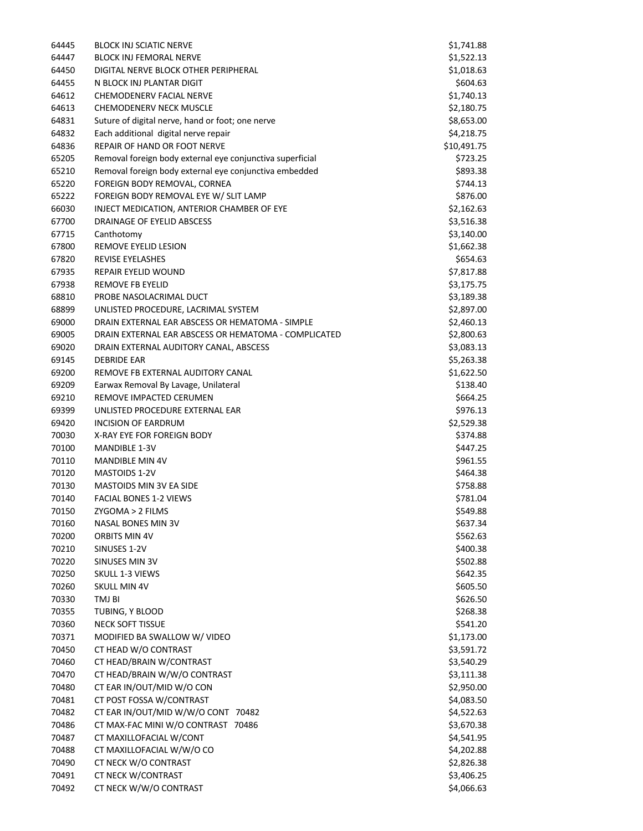| 64445 | <b>BLOCK INJ SCIATIC NERVE</b>                            | \$1,741.88  |
|-------|-----------------------------------------------------------|-------------|
| 64447 | <b>BLOCK INJ FEMORAL NERVE</b>                            | \$1,522.13  |
| 64450 | DIGITAL NERVE BLOCK OTHER PERIPHERAL                      | \$1,018.63  |
| 64455 | N BLOCK INJ PLANTAR DIGIT                                 | \$604.63    |
| 64612 | CHEMODENERV FACIAL NERVE                                  | \$1,740.13  |
| 64613 | <b>CHEMODENERV NECK MUSCLE</b>                            | \$2,180.75  |
| 64831 | Suture of digital nerve, hand or foot; one nerve          | \$8,653.00  |
| 64832 | Each additional digital nerve repair                      | \$4,218.75  |
| 64836 | REPAIR OF HAND OR FOOT NERVE                              | \$10,491.75 |
| 65205 | Removal foreign body external eye conjunctiva superficial | \$723.25    |
| 65210 | Removal foreign body external eye conjunctiva embedded    | \$893.38    |
| 65220 | FOREIGN BODY REMOVAL, CORNEA                              | \$744.13    |
| 65222 | FOREIGN BODY REMOVAL EYE W/ SLIT LAMP                     | \$876.00    |
| 66030 | INJECT MEDICATION, ANTERIOR CHAMBER OF EYE                | \$2,162.63  |
| 67700 | DRAINAGE OF EYELID ABSCESS                                | \$3,516.38  |
| 67715 | Canthotomy                                                | \$3,140.00  |
| 67800 | REMOVE EYELID LESION                                      | \$1,662.38  |
| 67820 | REVISE EYELASHES                                          | \$654.63    |
| 67935 | REPAIR EYELID WOUND                                       | \$7,817.88  |
| 67938 | REMOVE FB EYELID                                          | \$3,175.75  |
| 68810 | PROBE NASOLACRIMAL DUCT                                   | \$3,189.38  |
| 68899 | UNLISTED PROCEDURE, LACRIMAL SYSTEM                       | \$2,897.00  |
| 69000 | DRAIN EXTERNAL EAR ABSCESS OR HEMATOMA - SIMPLE           | \$2,460.13  |
| 69005 | DRAIN EXTERNAL EAR ABSCESS OR HEMATOMA - COMPLICATED      | \$2,800.63  |
| 69020 | DRAIN EXTERNAL AUDITORY CANAL, ABSCESS                    | \$3,083.13  |
| 69145 | <b>DEBRIDE EAR</b>                                        | \$5,263.38  |
| 69200 | REMOVE FB EXTERNAL AUDITORY CANAL                         | \$1,622.50  |
| 69209 | Earwax Removal By Lavage, Unilateral                      | \$138.40    |
| 69210 | REMOVE IMPACTED CERUMEN                                   | \$664.25    |
| 69399 | UNLISTED PROCEDURE EXTERNAL EAR                           | \$976.13    |
| 69420 | <b>INCISION OF EARDRUM</b>                                | \$2,529.38  |
| 70030 | X-RAY EYE FOR FOREIGN BODY                                | \$374.88    |
| 70100 | <b>MANDIBLE 1-3V</b>                                      | \$447.25    |
| 70110 | <b>MANDIBLE MIN 4V</b>                                    | \$961.55    |
| 70120 | <b>MASTOIDS 1-2V</b>                                      | \$464.38    |
| 70130 | <b>MASTOIDS MIN 3V EA SIDE</b>                            | \$758.88    |
| 70140 | FACIAL BONES 1-2 VIEWS                                    | \$781.04    |
| 70150 | ZYGOMA > 2 FILMS                                          | \$549.88    |
| 70160 | NASAL BONES MIN 3V                                        | \$637.34    |
| 70200 | ORBITS MIN 4V                                             | \$562.63    |
| 70210 | SINUSES 1-2V                                              | \$400.38    |
| 70220 | SINUSES MIN 3V                                            | \$502.88    |
| 70250 | SKULL 1-3 VIEWS                                           | \$642.35    |
| 70260 | <b>SKULL MIN 4V</b>                                       | \$605.50    |
| 70330 | TMJ BI                                                    | \$626.50    |
| 70355 | TUBING, Y BLOOD                                           | \$268.38    |
| 70360 | NECK SOFT TISSUE                                          | \$541.20    |
| 70371 | MODIFIED BA SWALLOW W/ VIDEO                              | \$1,173.00  |
| 70450 | CT HEAD W/O CONTRAST                                      | \$3,591.72  |
| 70460 | CT HEAD/BRAIN W/CONTRAST                                  | \$3,540.29  |
| 70470 | CT HEAD/BRAIN W/W/O CONTRAST                              | \$3,111.38  |
| 70480 | CT EAR IN/OUT/MID W/O CON                                 | \$2,950.00  |
| 70481 | CT POST FOSSA W/CONTRAST                                  | \$4,083.50  |
| 70482 | CT EAR IN/OUT/MID W/W/O CONT 70482                        | \$4,522.63  |
| 70486 | CT MAX-FAC MINI W/O CONTRAST 70486                        | \$3,670.38  |
| 70487 | CT MAXILLOFACIAL W/CONT                                   | \$4,541.95  |
| 70488 | CT MAXILLOFACIAL W/W/O CO                                 | \$4,202.88  |
| 70490 | CT NECK W/O CONTRAST                                      | \$2,826.38  |
| 70491 | CT NECK W/CONTRAST                                        | \$3,406.25  |
| 70492 | CT NECK W/W/O CONTRAST                                    | \$4,066.63  |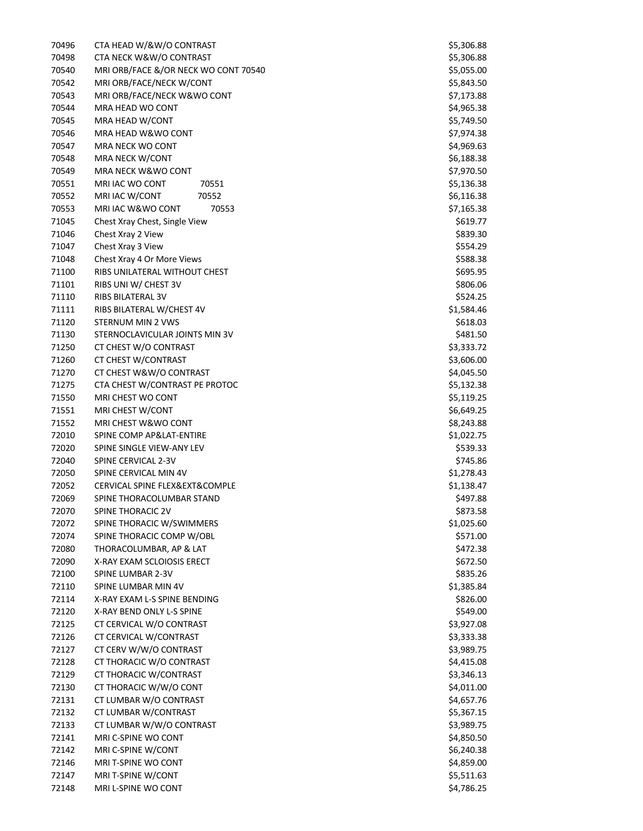| 70496 | CTA HEAD W/&W/O CONTRAST             | \$5,306.88 |
|-------|--------------------------------------|------------|
| 70498 | CTA NECK W&W/O CONTRAST              | \$5,306.88 |
| 70540 | MRI ORB/FACE &/OR NECK WO CONT 70540 | \$5,055.00 |
| 70542 | MRI ORB/FACE/NECK W/CONT             | \$5,843.50 |
| 70543 | MRI ORB/FACE/NECK W&WO CONT          | \$7,173.88 |
| 70544 | MRA HEAD WO CONT                     | \$4,965.38 |
| 70545 | MRA HEAD W/CONT                      | \$5,749.50 |
| 70546 | MRA HEAD W&WO CONT                   | \$7,974.38 |
| 70547 | <b>MRA NECK WO CONT</b>              | \$4,969.63 |
| 70548 | MRA NECK W/CONT                      | \$6,188.38 |
| 70549 | MRA NECK W&WO CONT                   | \$7,970.50 |
| 70551 | MRI IAC WO CONT<br>70551             | \$5,136.38 |
| 70552 | MRI IAC W/CONT<br>70552              | \$6,116.38 |
| 70553 | MRI IAC W&WO CONT<br>70553           | \$7,165.38 |
| 71045 | Chest Xray Chest, Single View        | \$619.77   |
| 71046 | Chest Xray 2 View                    | \$839.30   |
| 71047 | Chest Xray 3 View                    |            |
|       |                                      | \$554.29   |
| 71048 | Chest Xray 4 Or More Views           | \$588.38   |
| 71100 | RIBS UNILATERAL WITHOUT CHEST        | \$695.95   |
| 71101 | RIBS UNI W/ CHEST 3V                 | \$806.06   |
| 71110 | RIBS BILATERAL 3V                    | \$524.25   |
| 71111 | RIBS BILATERAL W/CHEST 4V            | \$1,584.46 |
| 71120 | STERNUM MIN 2 VWS                    | \$618.03   |
| 71130 | STERNOCLAVICULAR JOINTS MIN 3V       | \$481.50   |
| 71250 | CT CHEST W/O CONTRAST                | \$3,333.72 |
| 71260 | CT CHEST W/CONTRAST                  | \$3,606.00 |
| 71270 | CT CHEST W&W/O CONTRAST              | \$4,045.50 |
| 71275 | CTA CHEST W/CONTRAST PE PROTOC       | \$5,132.38 |
| 71550 | MRI CHEST WO CONT                    | \$5,119.25 |
| 71551 | MRI CHEST W/CONT                     | \$6,649.25 |
| 71552 | MRI CHEST W&WO CONT                  | \$8,243.88 |
| 72010 | SPINE COMP AP&LAT-ENTIRE             | \$1,022.75 |
| 72020 | SPINE SINGLE VIEW-ANY LEV            | \$539.33   |
| 72040 | SPINE CERVICAL 2-3V                  | \$745.86   |
| 72050 | SPINE CERVICAL MIN 4V                | \$1,278.43 |
| 72052 | CERVICAL SPINE FLEX&EXT&COMPLE       | \$1,138.47 |
| 72069 | SPINE THORACOLUMBAR STAND            | \$497.88   |
| 72070 | SPINE THORACIC 2V                    | \$873.58   |
| 72072 | SPINE THORACIC W/SWIMMERS            | \$1,025.60 |
| 72074 | SPINE THORACIC COMP W/OBL            | \$571.00   |
| 72080 | THORACOLUMBAR, AP & LAT              | \$472.38   |
| 72090 | X-RAY EXAM SCLOIOSIS ERECT           | \$672.50   |
| 72100 | SPINE LUMBAR 2-3V                    | \$835.26   |
| 72110 | SPINE LUMBAR MIN 4V                  | \$1,385.84 |
| 72114 | X-RAY EXAM L-S SPINE BENDING         | \$826.00   |
| 72120 | X-RAY BEND ONLY L-S SPINE            | \$549.00   |
| 72125 | CT CERVICAL W/O CONTRAST             | \$3,927.08 |
| 72126 | CT CERVICAL W/CONTRAST               | \$3,333.38 |
| 72127 | CT CERV W/W/O CONTRAST               | \$3,989.75 |
| 72128 | CT THORACIC W/O CONTRAST             |            |
|       |                                      | \$4,415.08 |
| 72129 | CT THORACIC W/CONTRAST               | \$3,346.13 |
| 72130 | CT THORACIC W/W/O CONT               | \$4,011.00 |
| 72131 | CT LUMBAR W/O CONTRAST               | \$4,657.76 |
| 72132 | CT LUMBAR W/CONTRAST                 | \$5,367.15 |
| 72133 | CT LUMBAR W/W/O CONTRAST             | \$3,989.75 |
| 72141 | MRI C-SPINE WO CONT                  | \$4,850.50 |
| 72142 | MRI C-SPINE W/CONT                   | \$6,240.38 |
| 72146 | MRI T-SPINE WO CONT                  | \$4,859.00 |
| 72147 | MRI T-SPINE W/CONT                   | \$5,511.63 |
| 72148 | MRI L-SPINE WO CONT                  | \$4,786.25 |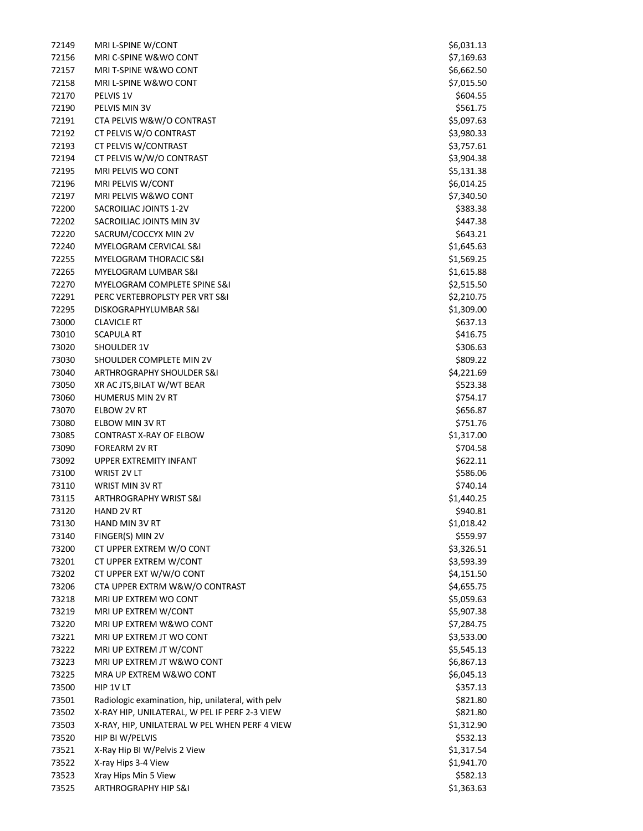| 72149          | MRI L-SPINE W/CONT                                          | \$6,031.13               |
|----------------|-------------------------------------------------------------|--------------------------|
| 72156          | MRI C-SPINE W&WO CONT                                       | \$7,169.63               |
| 72157          | <b>MRI T-SPINE W&amp;WO CONT</b>                            | \$6,662.50               |
| 72158          | MRI L-SPINE W&WO CONT                                       | \$7,015.50               |
| 72170          | PELVIS 1V                                                   | \$604.55                 |
| 72190          | PELVIS MIN 3V                                               | \$561.75                 |
| 72191          | CTA PELVIS W&W/O CONTRAST                                   | \$5,097.63               |
| 72192          | CT PELVIS W/O CONTRAST                                      | \$3,980.33               |
| 72193          | CT PELVIS W/CONTRAST                                        | \$3,757.61               |
| 72194          | CT PELVIS W/W/O CONTRAST                                    | \$3,904.38               |
| 72195          | MRI PELVIS WO CONT                                          | \$5,131.38               |
| 72196          | MRI PELVIS W/CONT                                           | \$6,014.25               |
| 72197          | MRI PELVIS W&WO CONT                                        | \$7,340.50               |
| 72200          | SACROILIAC JOINTS 1-2V                                      | \$383.38                 |
| 72202          | SACROILIAC JOINTS MIN 3V                                    | \$447.38                 |
| 72220          | SACRUM/COCCYX MIN 2V                                        | \$643.21                 |
| 72240          | MYELOGRAM CERVICAL S&I<br><b>MYELOGRAM THORACIC S&amp;I</b> | \$1,645.63               |
| 72255<br>72265 | MYELOGRAM LUMBAR S&I                                        | \$1,569.25<br>\$1,615.88 |
| 72270          | MYELOGRAM COMPLETE SPINE S&I                                | \$2,515.50               |
| 72291          | PERC VERTEBROPLSTY PER VRT S&I                              | \$2,210.75               |
| 72295          | DISKOGRAPHYLUMBAR S&I                                       | \$1,309.00               |
| 73000          | <b>CLAVICLE RT</b>                                          | \$637.13                 |
| 73010          | <b>SCAPULA RT</b>                                           | \$416.75                 |
| 73020          | SHOULDER 1V                                                 | \$306.63                 |
| 73030          | SHOULDER COMPLETE MIN 2V                                    | \$809.22                 |
| 73040          | ARTHROGRAPHY SHOULDER S&I                                   | \$4,221.69               |
| 73050          | XR AC JTS, BILAT W/WT BEAR                                  | \$523.38                 |
| 73060          | <b>HUMERUS MIN 2V RT</b>                                    | \$754.17                 |
| 73070          | ELBOW 2V RT                                                 | \$656.87                 |
| 73080          | ELBOW MIN 3V RT                                             | \$751.76                 |
| 73085          | CONTRAST X-RAY OF ELBOW                                     | \$1,317.00               |
| 73090          | <b>FOREARM 2V RT</b>                                        | \$704.58                 |
| 73092          | <b>UPPER EXTREMITY INFANT</b>                               | \$622.11                 |
| 73100          | WRIST 2V LT                                                 | \$586.06                 |
| 73110          | WRIST MIN 3V RT                                             | \$740.14                 |
| 73115          | <b>ARTHROGRAPHY WRIST S&amp;I</b>                           | \$1,440.25               |
| 73120          | HAND 2V RT                                                  | \$940.81                 |
| 73130          | HAND MIN 3V RT                                              | \$1,018.42               |
| 73140          | FINGER(S) MIN 2V                                            | \$559.97                 |
| 73200          | CT UPPER EXTREM W/O CONT                                    | \$3,326.51               |
| 73201          | CT UPPER EXTREM W/CONT                                      | \$3,593.39               |
| 73202          | CT UPPER EXT W/W/O CONT                                     | \$4,151.50               |
| 73206          | CTA UPPER EXTRM W&W/O CONTRAST                              | \$4,655.75               |
| 73218          | MRI UP EXTREM WO CONT                                       | \$5,059.63               |
| 73219          | MRI UP EXTREM W/CONT                                        | \$5,907.38               |
| 73220          | MRI UP EXTREM W&WO CONT                                     | \$7,284.75               |
| 73221<br>73222 | MRI UP EXTREM JT WO CONT                                    | \$3,533.00               |
| 73223          | MRI UP EXTREM JT W/CONT<br>MRI UP EXTREM JT W&WO CONT       | \$5,545.13<br>\$6,867.13 |
| 73225          | MRA UP EXTREM W&WO CONT                                     | \$6,045.13               |
| 73500          | HIP 1V LT                                                   | \$357.13                 |
| 73501          | Radiologic examination, hip, unilateral, with pelv          | \$821.80                 |
| 73502          | X-RAY HIP, UNILATERAL, W PEL IF PERF 2-3 VIEW               | \$821.80                 |
| 73503          | X-RAY, HIP, UNILATERAL W PEL WHEN PERF 4 VIEW               | \$1,312.90               |
| 73520          | HIP BI W/PELVIS                                             | \$532.13                 |
| 73521          | X-Ray Hip BI W/Pelvis 2 View                                | \$1,317.54               |
| 73522          | X-ray Hips 3-4 View                                         | \$1,941.70               |
| 73523          | Xray Hips Min 5 View                                        | \$582.13                 |
| 73525          | <b>ARTHROGRAPHY HIP S&amp;I</b>                             | \$1,363.63               |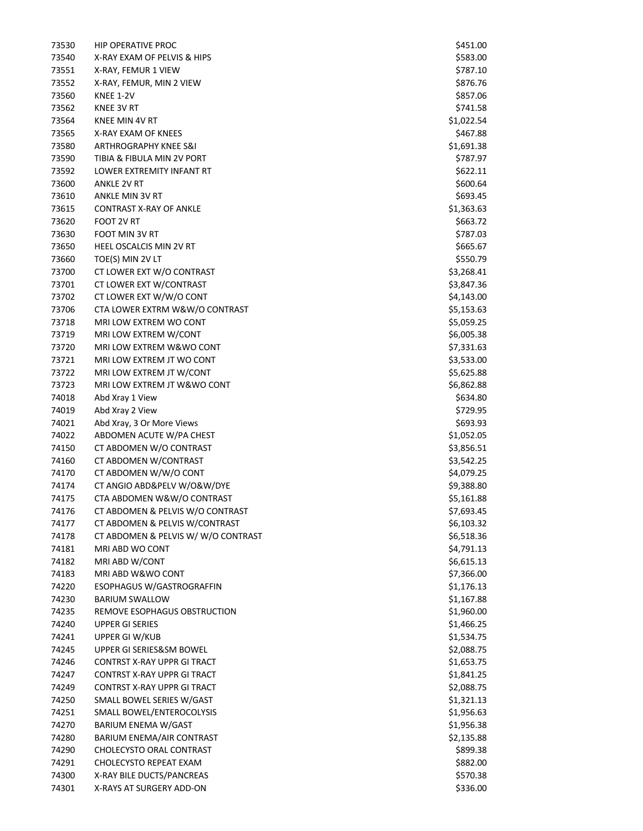| 73530 | <b>HIP OPERATIVE PROC</b>          | \$451.00                 |
|-------|------------------------------------|--------------------------|
| 73540 | X-RAY EXAM OF PELVIS & HIPS        | \$583.00                 |
| 73551 | X-RAY, FEMUR 1 VIEW                | \$787.10                 |
| 73552 | X-RAY, FEMUR, MIN 2 VIEW           | \$876.76                 |
| 73560 | KNEE 1-2V                          | \$857.06                 |
| 73562 | KNEE 3V RT                         | \$741.58                 |
| 73564 | KNEE MIN 4V RT                     | \$1,022.54               |
| 73565 | X-RAY EXAM OF KNEES                | \$467.88                 |
| 73580 | <b>ARTHROGRAPHY KNEE S&amp;I</b>   | \$1,691.38               |
| 73590 | TIBIA & FIBULA MIN 2V PORT         | \$787.97                 |
| 73592 | LOWER EXTREMITY INFANT RT          | \$622.11                 |
| 73600 | <b>ANKLE 2V RT</b>                 | \$600.64                 |
| 73610 | ANKLE MIN 3V RT                    | \$693.45                 |
| 73615 | <b>CONTRAST X-RAY OF ANKLE</b>     | \$1,363.63               |
| 73620 | FOOT 2V RT                         | \$663.72                 |
| 73630 | FOOT MIN 3V RT                     | \$787.03                 |
| 73650 | HEEL OSCALCIS MIN 2V RT            | \$665.67                 |
| 73660 | TOE(S) MIN 2V LT                   | \$550.79                 |
| 73700 | CT LOWER EXT W/O CONTRAST          | \$3,268.41               |
| 73701 | CT LOWER EXT W/CONTRAST            | \$3,847.36               |
| 73702 | CT LOWER EXT W/W/O CONT            | \$4,143.00               |
|       | CTA LOWER EXTRM W&W/O CONTRAST     |                          |
| 73706 |                                    | \$5,153.63<br>\$5,059.25 |
| 73718 | MRI LOW EXTREM WO CONT             |                          |
| 73719 | MRI LOW EXTREM W/CONT              | \$6,005.38               |
| 73720 | MRI LOW EXTREM W&WO CONT           | \$7,331.63               |
| 73721 | MRI LOW EXTREM JT WO CONT          | \$3,533.00               |
| 73722 | MRI LOW EXTREM JT W/CONT           | \$5,625.88               |
| 73723 | MRI LOW EXTREM JT W&WO CONT        | \$6,862.88               |
| 74018 | Abd Xray 1 View                    | \$634.80                 |
| 74019 | Abd Xray 2 View                    | \$729.95                 |
| 74021 | Abd Xray, 3 Or More Views          | \$693.93                 |
| 74022 | ABDOMEN ACUTE W/PA CHEST           | \$1,052.05               |
| 74150 | CT ABDOMEN W/O CONTRAST            | \$3,856.51               |
| 74160 | CT ABDOMEN W/CONTRAST              | \$3,542.25               |
| 74170 | CT ABDOMEN W/W/O CONT              | \$4,079.25               |
| 74174 | CT ANGIO ABD&PELV W/O&W/DYE        | \$9,388.80               |
| 74175 | CTA ABDOMEN W&W/O CONTRAST         | \$5,161.88               |
| 74176 | CT ABDOMEN & PELVIS W/O CONTRAST   | \$7,693.45               |
| 74177 | CT ABDOMEN & PELVIS W/CONTRAST     | \$6,103.32               |
| 74178 | CT ABDOMEN & PELVIS W/W/O CONTRAST | \$6,518.36               |
| 74181 | MRI ABD WO CONT                    | \$4,791.13               |
| 74182 | MRI ABD W/CONT                     | \$6,615.13               |
| 74183 | MRI ABD W&WO CONT                  | \$7,366.00               |
| 74220 | ESOPHAGUS W/GASTROGRAFFIN          | \$1,176.13               |
| 74230 | <b>BARIUM SWALLOW</b>              | \$1,167.88               |
| 74235 | REMOVE ESOPHAGUS OBSTRUCTION       | \$1,960.00               |
| 74240 | <b>UPPER GI SERIES</b>             | \$1,466.25               |
| 74241 | UPPER GI W/KUB                     | \$1,534.75               |
| 74245 | UPPER GI SERIES&SM BOWEL           | \$2,088.75               |
| 74246 | CONTRST X-RAY UPPR GI TRACT        | \$1,653.75               |
| 74247 | CONTRST X-RAY UPPR GI TRACT        | \$1,841.25               |
| 74249 | CONTRST X-RAY UPPR GI TRACT        | \$2,088.75               |
| 74250 | SMALL BOWEL SERIES W/GAST          | \$1,321.13               |
| 74251 | SMALL BOWEL/ENTEROCOLYSIS          | \$1,956.63               |
| 74270 | BARIUM ENEMA W/GAST                | \$1,956.38               |
| 74280 | BARIUM ENEMA/AIR CONTRAST          | \$2,135.88               |
| 74290 | CHOLECYSTO ORAL CONTRAST           | \$899.38                 |
| 74291 | CHOLECYSTO REPEAT EXAM             | \$882.00                 |
| 74300 | X-RAY BILE DUCTS/PANCREAS          | \$570.38                 |
| 74301 | X-RAYS AT SURGERY ADD-ON           | \$336.00                 |
|       |                                    |                          |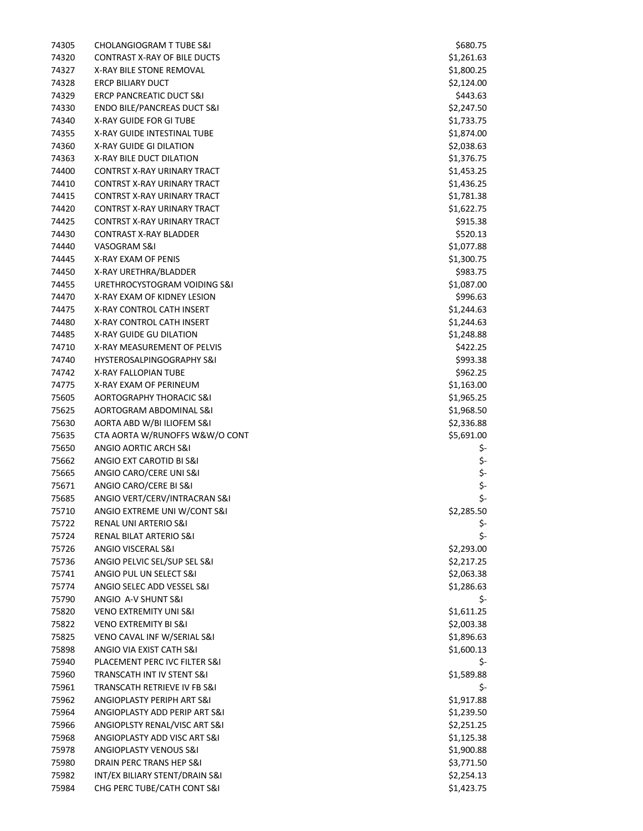| 74305 | <b>CHOLANGIOGRAM T TUBE S&amp;I</b>    | \$680.75   |
|-------|----------------------------------------|------------|
| 74320 | CONTRAST X-RAY OF BILE DUCTS           | \$1,261.63 |
| 74327 | X-RAY BILE STONE REMOVAL               | \$1,800.25 |
| 74328 | <b>ERCP BILIARY DUCT</b>               | \$2,124.00 |
| 74329 | <b>ERCP PANCREATIC DUCT S&amp;I</b>    | \$443.63   |
| 74330 | <b>ENDO BILE/PANCREAS DUCT S&amp;I</b> | \$2,247.50 |
| 74340 | <b>X-RAY GUIDE FOR GI TUBE</b>         | \$1,733.75 |
| 74355 | X-RAY GUIDE INTESTINAL TUBE            | \$1,874.00 |
| 74360 | X-RAY GUIDE GI DILATION                | \$2,038.63 |
| 74363 | X-RAY BILE DUCT DILATION               | \$1,376.75 |
| 74400 | CONTRST X-RAY URINARY TRACT            | \$1,453.25 |
| 74410 | CONTRST X-RAY URINARY TRACT            | \$1,436.25 |
| 74415 | CONTRST X-RAY URINARY TRACT            | \$1,781.38 |
| 74420 | CONTRST X-RAY URINARY TRACT            | \$1,622.75 |
| 74425 | CONTRST X-RAY URINARY TRACT            | \$915.38   |
| 74430 | <b>CONTRAST X-RAY BLADDER</b>          | \$520.13   |
| 74440 | VASOGRAM S&I                           | \$1,077.88 |
| 74445 | X-RAY EXAM OF PENIS                    | \$1,300.75 |
| 74450 | X-RAY URETHRA/BLADDER                  | \$983.75   |
| 74455 | URETHROCYSTOGRAM VOIDING S&I           | \$1,087.00 |
| 74470 | X-RAY EXAM OF KIDNEY LESION            | \$996.63   |
| 74475 | <b>X-RAY CONTROL CATH INSERT</b>       | \$1,244.63 |
| 74480 | X-RAY CONTROL CATH INSERT              | \$1,244.63 |
| 74485 | <b>X-RAY GUIDE GU DILATION</b>         | \$1,248.88 |
| 74710 | X-RAY MEASUREMENT OF PELVIS            | \$422.25   |
| 74740 | HYSTEROSALPINGOGRAPHY S&I              | \$993.38   |
| 74742 | X-RAY FALLOPIAN TUBE                   | \$962.25   |
| 74775 | X-RAY EXAM OF PERINEUM                 | \$1,163.00 |
| 75605 | <b>AORTOGRAPHY THORACIC S&amp;I</b>    | \$1,965.25 |
| 75625 | AORTOGRAM ABDOMINAL S&I                | \$1,968.50 |
| 75630 | AORTA ABD W/BI ILIOFEM S&I             | \$2,336.88 |
| 75635 | CTA AORTA W/RUNOFFS W&W/O CONT         | \$5,691.00 |
| 75650 | ANGIO AORTIC ARCH S&I                  | \$-        |
| 75662 | ANGIO EXT CAROTID BI S&I               | \$-        |
| 75665 | ANGIO CARO/CERE UNI S&I                | \$-        |
| 75671 | ANGIO CARO/CERE BI S&I                 | \$-        |
| 75685 | ANGIO VERT/CERV/INTRACRAN S&I          | \$-        |
| 75710 | ANGIO EXTREME UNI W/CONT S&I           | \$2,285.50 |
| 75722 | RENAL UNI ARTERIO S&I                  | \$-        |
| 75724 | RENAL BILAT ARTERIO S&I                | \$-        |
| 75726 | ANGIO VISCERAL S&I                     | \$2,293.00 |
| 75736 | ANGIO PELVIC SEL/SUP SEL S&I           | \$2,217.25 |
| 75741 | ANGIO PUL UN SELECT S&I                | \$2,063.38 |
| 75774 | ANGIO SELEC ADD VESSEL S&I             | \$1,286.63 |
| 75790 | ANGIO A-V SHUNT S&I                    | \$-        |
| 75820 | <b>VENO EXTREMITY UNI S&amp;I</b>      | \$1,611.25 |
| 75822 | <b>VENO EXTREMITY BI S&amp;I</b>       | \$2,003.38 |
| 75825 | VENO CAVAL INF W/SERIAL S&I            | \$1,896.63 |
| 75898 | ANGIO VIA EXIST CATH S&I               | \$1,600.13 |
| 75940 | PLACEMENT PERC IVC FILTER S&I          | \$-        |
| 75960 | TRANSCATH INT IV STENT S&I             | \$1,589.88 |
| 75961 | TRANSCATH RETRIEVE IV FB S&I           | \$-        |
| 75962 | ANGIOPLASTY PERIPH ART S&I             | \$1,917.88 |
| 75964 | ANGIOPLASTY ADD PERIP ART S&I          | \$1,239.50 |
| 75966 | ANGIOPLSTY RENAL/VISC ART S&I          | \$2,251.25 |
| 75968 | ANGIOPLASTY ADD VISC ART S&I           | \$1,125.38 |
| 75978 | ANGIOPLASTY VENOUS S&I                 | \$1,900.88 |
| 75980 | DRAIN PERC TRANS HEP S&I               | \$3,771.50 |
| 75982 | INT/EX BILIARY STENT/DRAIN S&I         | \$2,254.13 |
| 75984 | CHG PERC TUBE/CATH CONT S&I            | \$1,423.75 |
|       |                                        |            |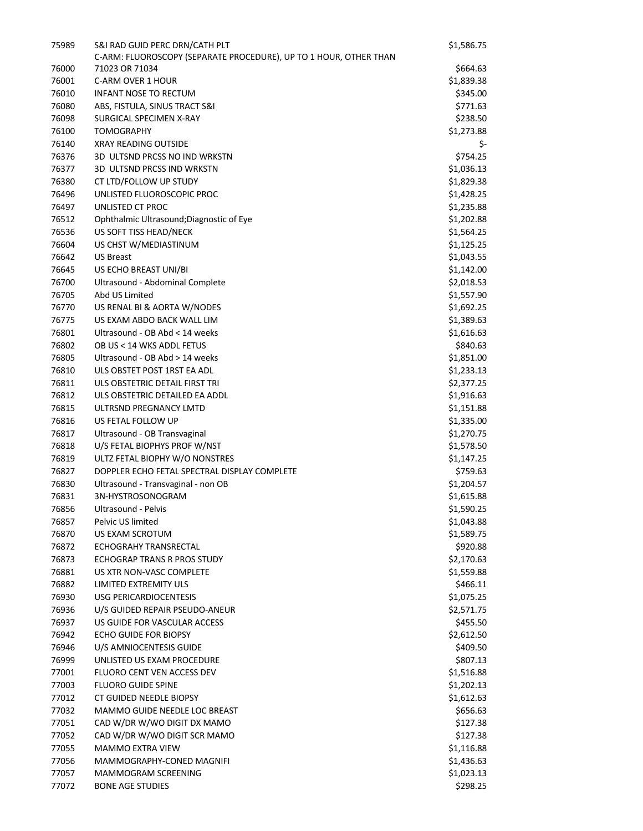| 75989          | S&I RAD GUID PERC DRN/CATH PLT<br>C-ARM: FLUOROSCOPY (SEPARATE PROCEDURE), UP TO 1 HOUR, OTHER THAN | \$1,586.75               |
|----------------|-----------------------------------------------------------------------------------------------------|--------------------------|
| 76000          | 71023 OR 71034                                                                                      | \$664.63                 |
| 76001          | C-ARM OVER 1 HOUR                                                                                   | \$1,839.38               |
| 76010          | <b>INFANT NOSE TO RECTUM</b>                                                                        | \$345.00                 |
| 76080          | ABS, FISTULA, SINUS TRACT S&I                                                                       | \$771.63                 |
| 76098          | SURGICAL SPECIMEN X-RAY                                                                             | \$238.50                 |
| 76100          | <b>TOMOGRAPHY</b>                                                                                   | \$1,273.88               |
| 76140          | <b>XRAY READING OUTSIDE</b>                                                                         | \$-                      |
| 76376          | 3D ULTSND PRCSS NO IND WRKSTN                                                                       | \$754.25                 |
| 76377          | 3D ULTSND PRCSS IND WRKSTN                                                                          | \$1,036.13               |
| 76380          | CT LTD/FOLLOW UP STUDY                                                                              | \$1,829.38               |
| 76496          | UNLISTED FLUOROSCOPIC PROC                                                                          | \$1,428.25               |
| 76497          | UNLISTED CT PROC                                                                                    | \$1,235.88               |
| 76512          | Ophthalmic Ultrasound; Diagnostic of Eye                                                            | \$1,202.88               |
| 76536          | US SOFT TISS HEAD/NECK                                                                              | \$1,564.25               |
| 76604          | US CHST W/MEDIASTINUM                                                                               | \$1,125.25               |
| 76642          | <b>US Breast</b>                                                                                    | \$1,043.55               |
| 76645          | US ECHO BREAST UNI/BI                                                                               | \$1,142.00               |
| 76700          | Ultrasound - Abdominal Complete                                                                     | \$2,018.53               |
| 76705          | Abd US Limited                                                                                      | \$1,557.90               |
| 76770          | US RENAL BI & AORTA W/NODES                                                                         | \$1,692.25               |
| 76775          | US EXAM ABDO BACK WALL LIM                                                                          | \$1,389.63               |
| 76801          | Ultrasound - OB Abd < 14 weeks                                                                      | \$1,616.63               |
| 76802          | OB US < 14 WKS ADDL FETUS                                                                           | \$840.63                 |
| 76805          | Ultrasound - OB Abd > 14 weeks                                                                      | \$1,851.00               |
| 76810          | ULS OBSTET POST 1RST EA ADL                                                                         | \$1,233.13               |
| 76811          | ULS OBSTETRIC DETAIL FIRST TRI                                                                      | \$2,377.25               |
| 76812          | ULS OBSTETRIC DETAILED EA ADDL                                                                      | \$1,916.63               |
| 76815          | ULTRSND PREGNANCY LMTD                                                                              | \$1,151.88               |
| 76816          | US FETAL FOLLOW UP                                                                                  | \$1,335.00               |
| 76817          | Ultrasound - OB Transvaginal                                                                        | \$1,270.75               |
| 76818          | U/S FETAL BIOPHYS PROF W/NST                                                                        | \$1,578.50               |
| 76819          | ULTZ FETAL BIOPHY W/O NONSTRES                                                                      | \$1,147.25               |
| 76827          | DOPPLER ECHO FETAL SPECTRAL DISPLAY COMPLETE                                                        | \$759.63                 |
| 76830          | Ultrasound - Transvaginal - non OB                                                                  | \$1,204.57               |
| 76831          | 3N-HYSTROSONOGRAM                                                                                   | \$1,615.88               |
| 76856          | Ultrasound - Pelvis                                                                                 | \$1,590.25               |
| 76857          | Pelvic US limited                                                                                   | \$1,043.88               |
| 76870          | US EXAM SCROTUM                                                                                     | \$1,589.75               |
| 76872          | <b>ECHOGRAHY TRANSRECTAL</b>                                                                        | \$920.88                 |
| 76873          | ECHOGRAP TRANS R PROS STUDY                                                                         | \$2,170.63               |
| 76881          | US XTR NON-VASC COMPLETE                                                                            | \$1,559.88               |
| 76882          | LIMITED EXTREMITY ULS                                                                               | \$466.11                 |
| 76930          | <b>USG PERICARDIOCENTESIS</b>                                                                       | \$1,075.25               |
| 76936          | U/S GUIDED REPAIR PSEUDO-ANEUR                                                                      | \$2,571.75               |
| 76937          | US GUIDE FOR VASCULAR ACCESS                                                                        | \$455.50                 |
| 76942          | ECHO GUIDE FOR BIOPSY                                                                               | \$2,612.50               |
| 76946          | U/S AMNIOCENTESIS GUIDE                                                                             | \$409.50                 |
| 76999          | UNLISTED US EXAM PROCEDURE                                                                          | \$807.13                 |
| 77001          | FLUORO CENT VEN ACCESS DEV                                                                          | \$1,516.88               |
| 77003          | <b>FLUORO GUIDE SPINE</b>                                                                           | \$1,202.13               |
| 77012          | CT GUIDED NEEDLE BIOPSY                                                                             | \$1,612.63               |
| 77032          | MAMMO GUIDE NEEDLE LOC BREAST                                                                       | \$656.63                 |
| 77051          | CAD W/DR W/WO DIGIT DX MAMO                                                                         | \$127.38                 |
| 77052          | CAD W/DR W/WO DIGIT SCR MAMO                                                                        | \$127.38                 |
| 77055<br>77056 | <b>MAMMO EXTRA VIEW</b><br>MAMMOGRAPHY-CONED MAGNIFI                                                | \$1,116.88               |
|                | MAMMOGRAM SCREENING                                                                                 | \$1,436.63<br>\$1,023.13 |
| 77057<br>77072 | <b>BONE AGE STUDIES</b>                                                                             | \$298.25                 |
|                |                                                                                                     |                          |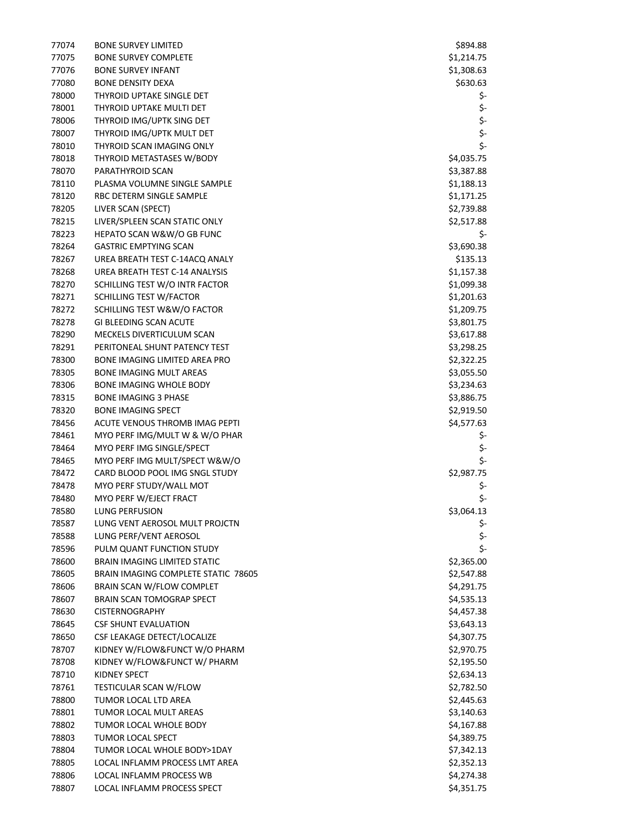| 77074 | <b>BONE SURVEY LIMITED</b>                 | \$894.88   |
|-------|--------------------------------------------|------------|
| 77075 | <b>BONE SURVEY COMPLETE</b>                | \$1,214.75 |
| 77076 | <b>BONE SURVEY INFANT</b>                  | \$1,308.63 |
| 77080 | <b>BONE DENSITY DEXA</b>                   | \$630.63   |
| 78000 | THYROID UPTAKE SINGLE DET                  | \$-        |
| 78001 | THYROID UPTAKE MULTI DET                   | \$-        |
| 78006 | THYROID IMG/UPTK SING DET                  | \$-        |
| 78007 | THYROID IMG/UPTK MULT DET                  | \$-        |
| 78010 | THYROID SCAN IMAGING ONLY                  | \$-        |
| 78018 | THYROID METASTASES W/BODY                  | \$4,035.75 |
| 78070 | PARATHYROID SCAN                           | \$3,387.88 |
| 78110 | PLASMA VOLUMNE SINGLE SAMPLE               | \$1,188.13 |
| 78120 | RBC DETERM SINGLE SAMPLE                   | \$1,171.25 |
| 78205 | LIVER SCAN (SPECT)                         | \$2,739.88 |
| 78215 | LIVER/SPLEEN SCAN STATIC ONLY              | \$2,517.88 |
| 78223 | HEPATO SCAN W&W/O GB FUNC                  | \$-        |
| 78264 | <b>GASTRIC EMPTYING SCAN</b>               | \$3,690.38 |
| 78267 | UREA BREATH TEST C-14ACQ ANALY             | \$135.13   |
| 78268 | UREA BREATH TEST C-14 ANALYSIS             | \$1,157.38 |
| 78270 | SCHILLING TEST W/O INTR FACTOR             | \$1,099.38 |
| 78271 | SCHILLING TEST W/FACTOR                    | \$1,201.63 |
| 78272 | SCHILLING TEST W&W/O FACTOR                | \$1,209.75 |
| 78278 | GI BLEEDING SCAN ACUTE                     | \$3,801.75 |
| 78290 | MECKELS DIVERTICULUM SCAN                  | \$3,617.88 |
| 78291 | PERITONEAL SHUNT PATENCY TEST              | \$3,298.25 |
| 78300 | BONE IMAGING LIMITED AREA PRO              | \$2,322.25 |
| 78305 | <b>BONE IMAGING MULT AREAS</b>             | \$3,055.50 |
| 78306 | <b>BONE IMAGING WHOLE BODY</b>             | \$3,234.63 |
| 78315 | <b>BONE IMAGING 3 PHASE</b>                | \$3,886.75 |
| 78320 | <b>BONE IMAGING SPECT</b>                  | \$2,919.50 |
| 78456 | ACUTE VENOUS THROMB IMAG PEPTI             | \$4,577.63 |
| 78461 | MYO PERF IMG/MULT W & W/O PHAR             | \$-        |
| 78464 | MYO PERF IMG SINGLE/SPECT                  | \$-        |
| 78465 | MYO PERF IMG MULT/SPECT W&W/O              | \$-        |
| 78472 | CARD BLOOD POOL IMG SNGL STUDY             | \$2,987.75 |
| 78478 | MYO PERF STUDY/WALL MOT                    | \$-        |
| 78480 | MYO PERF W/EJECT FRACT                     | \$-        |
| 78580 | LUNG PERFUSION                             | \$3,064.13 |
| 78587 | LUNG VENT AEROSOL MULT PROJCTN             | \$-        |
| 78588 | LUNG PERF/VENT AEROSOL                     | \$-        |
| 78596 | PULM QUANT FUNCTION STUDY                  | \$-        |
| 78600 | <b>BRAIN IMAGING LIMITED STATIC</b>        | \$2,365.00 |
| 78605 | <b>BRAIN IMAGING COMPLETE STATIC 78605</b> | \$2,547.88 |
| 78606 | BRAIN SCAN W/FLOW COMPLET                  | \$4,291.75 |
| 78607 | <b>BRAIN SCAN TOMOGRAP SPECT</b>           | \$4,535.13 |
| 78630 | <b>CISTERNOGRAPHY</b>                      | \$4,457.38 |
| 78645 | <b>CSF SHUNT EVALUATION</b>                | \$3,643.13 |
| 78650 | CSF LEAKAGE DETECT/LOCALIZE                | \$4,307.75 |
| 78707 | KIDNEY W/FLOW&FUNCT W/O PHARM              | \$2,970.75 |
| 78708 | KIDNEY W/FLOW&FUNCT W/ PHARM               | \$2,195.50 |
| 78710 | KIDNEY SPECT                               | \$2,634.13 |
| 78761 | TESTICULAR SCAN W/FLOW                     | \$2,782.50 |
| 78800 | TUMOR LOCAL LTD AREA                       | \$2,445.63 |
| 78801 | TUMOR LOCAL MULT AREAS                     | \$3,140.63 |
| 78802 | TUMOR LOCAL WHOLE BODY                     | \$4,167.88 |
| 78803 | TUMOR LOCAL SPECT                          | \$4,389.75 |
| 78804 | TUMOR LOCAL WHOLE BODY>1DAY                | \$7,342.13 |
| 78805 | LOCAL INFLAMM PROCESS LMT AREA             | \$2,352.13 |
| 78806 | LOCAL INFLAMM PROCESS WB                   | \$4,274.38 |
| 78807 | LOCAL INFLAMM PROCESS SPECT                | \$4,351.75 |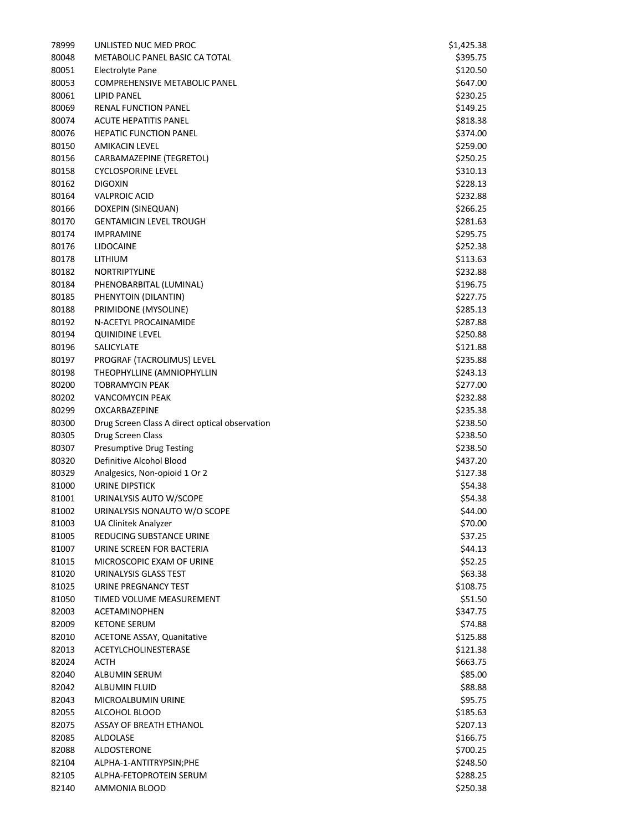| 78999 | UNLISTED NUC MED PROC                            | \$1,425.38         |
|-------|--------------------------------------------------|--------------------|
| 80048 | METABOLIC PANEL BASIC CA TOTAL                   | \$395.75           |
| 80051 | <b>Electrolyte Pane</b>                          | \$120.50           |
| 80053 | <b>COMPREHENSIVE METABOLIC PANEL</b>             | \$647.00           |
| 80061 | <b>LIPID PANEL</b>                               | \$230.25           |
| 80069 | <b>RENAL FUNCTION PANEL</b>                      | \$149.25           |
| 80074 | ACUTE HEPATITIS PANEL                            | \$818.38           |
| 80076 | <b>HEPATIC FUNCTION PANEL</b>                    | \$374.00           |
| 80150 | <b>AMIKACIN LEVEL</b>                            | \$259.00           |
| 80156 | CARBAMAZEPINE (TEGRETOL)                         | \$250.25           |
| 80158 | <b>CYCLOSPORINE LEVEL</b>                        | \$310.13           |
| 80162 | <b>DIGOXIN</b>                                   | \$228.13           |
| 80164 | <b>VALPROIC ACID</b>                             | \$232.88           |
| 80166 | DOXEPIN (SINEQUAN)                               | \$266.25           |
| 80170 | <b>GENTAMICIN LEVEL TROUGH</b>                   | \$281.63           |
| 80174 | <b>IMPRAMINE</b>                                 | \$295.75           |
| 80176 | <b>LIDOCAINE</b>                                 | \$252.38           |
| 80178 | LITHIUM                                          | \$113.63           |
| 80182 | NORTRIPTYLINE                                    | \$232.88           |
| 80184 | PHENOBARBITAL (LUMINAL)                          | \$196.75           |
| 80185 | PHENYTOIN (DILANTIN)                             | \$227.75           |
| 80188 | PRIMIDONE (MYSOLINE)                             | \$285.13           |
| 80192 | N-ACETYL PROCAINAMIDE                            | \$287.88           |
| 80194 | <b>QUINIDINE LEVEL</b>                           | \$250.88           |
| 80196 | SALICYLATE                                       | \$121.88           |
| 80197 | PROGRAF (TACROLIMUS) LEVEL                       | \$235.88           |
| 80198 | THEOPHYLLINE (AMNIOPHYLLIN                       | \$243.13           |
| 80200 | <b>TOBRAMYCIN PEAK</b>                           | \$277.00           |
| 80202 | <b>VANCOMYCIN PEAK</b>                           | \$232.88           |
| 80299 | <b>OXCARBAZEPINE</b>                             | \$235.38           |
| 80300 | Drug Screen Class A direct optical observation   | \$238.50           |
| 80305 | Drug Screen Class                                | \$238.50           |
| 80307 | <b>Presumptive Drug Testing</b>                  | \$238.50           |
| 80320 | Definitive Alcohol Blood                         |                    |
| 80329 | Analgesics, Non-opioid 1 Or 2                    | \$437.20           |
| 81000 | <b>URINE DIPSTICK</b>                            | \$127.38           |
| 81001 | URINALYSIS AUTO W/SCOPE                          | \$54.38<br>\$54.38 |
| 81002 | URINALYSIS NONAUTO W/O SCOPE                     | \$44.00            |
| 81003 |                                                  |                    |
| 81005 | UA Clinitek Analyzer<br>REDUCING SUBSTANCE URINE | \$70.00<br>\$37.25 |
| 81007 | URINE SCREEN FOR BACTERIA                        | \$44.13            |
| 81015 | MICROSCOPIC EXAM OF URINE                        | \$52.25            |
| 81020 | URINALYSIS GLASS TEST                            | \$63.38            |
| 81025 | URINE PREGNANCY TEST                             | \$108.75           |
| 81050 | TIMED VOLUME MEASUREMENT                         | \$51.50            |
|       |                                                  |                    |
| 82003 | <b>ACETAMINOPHEN</b>                             | \$347.75           |
| 82009 | <b>KETONE SERUM</b>                              | \$74.88            |
| 82010 | <b>ACETONE ASSAY, Quanitative</b>                | \$125.88           |
| 82013 | ACETYLCHOLINESTERASE                             | \$121.38           |
| 82024 | ACTH                                             | \$663.75           |
| 82040 | ALBUMIN SERUM                                    | \$85.00            |
| 82042 | <b>ALBUMIN FLUID</b>                             | \$88.88            |
| 82043 | MICROALBUMIN URINE                               | \$95.75            |
| 82055 | ALCOHOL BLOOD                                    | \$185.63           |
| 82075 | ASSAY OF BREATH ETHANOL                          | \$207.13           |
| 82085 | ALDOLASE                                         | \$166.75           |
| 82088 | ALDOSTERONE                                      | \$700.25           |
| 82104 | ALPHA-1-ANTITRYPSIN;PHE                          | \$248.50           |
| 82105 | ALPHA-FETOPROTEIN SERUM                          | \$288.25           |
| 82140 | AMMONIA BLOOD                                    | \$250.38           |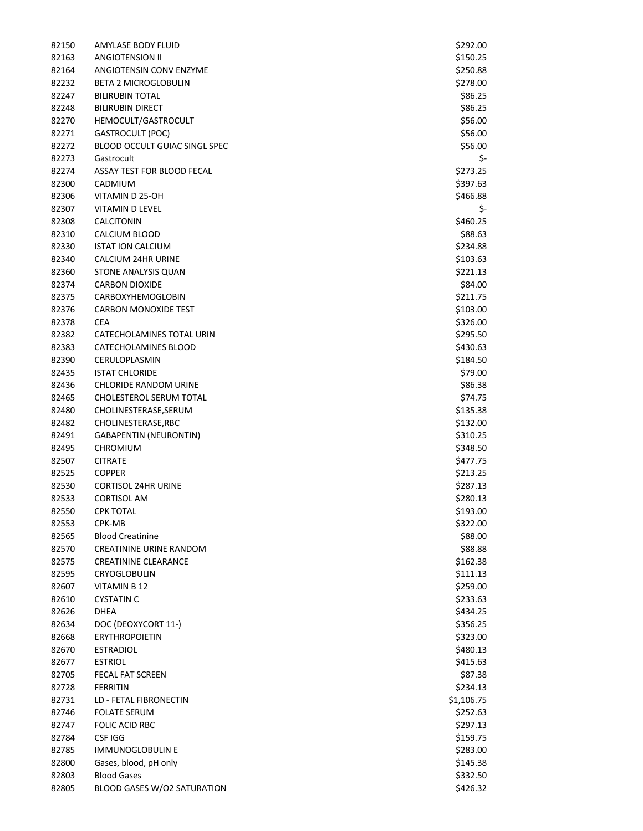| 82150 | AMYLASE BODY FLUID            | \$292.00   |
|-------|-------------------------------|------------|
| 82163 | <b>ANGIOTENSION II</b>        | \$150.25   |
| 82164 | ANGIOTENSIN CONV ENZYME       | \$250.88   |
| 82232 | <b>BETA 2 MICROGLOBULIN</b>   | \$278.00   |
| 82247 | <b>BILIRUBIN TOTAL</b>        | \$86.25    |
| 82248 | <b>BILIRUBIN DIRECT</b>       | \$86.25    |
| 82270 | HEMOCULT/GASTROCULT           | \$56.00    |
| 82271 | <b>GASTROCULT (POC)</b>       | \$56.00    |
| 82272 | BLOOD OCCULT GUIAC SINGL SPEC | \$56.00    |
| 82273 | Gastrocult                    | \$-        |
| 82274 | ASSAY TEST FOR BLOOD FECAL    | \$273.25   |
| 82300 | CADMIUM                       | \$397.63   |
| 82306 | VITAMIN D 25-OH               | \$466.88   |
| 82307 | VITAMIN D LEVEL               | \$-        |
| 82308 | CALCITONIN                    | \$460.25   |
| 82310 | CALCIUM BLOOD                 | \$88.63    |
| 82330 | <b>ISTAT ION CALCIUM</b>      | \$234.88   |
| 82340 | CALCIUM 24HR URINE            | \$103.63   |
| 82360 | STONE ANALYSIS QUAN           | \$221.13   |
| 82374 | <b>CARBON DIOXIDE</b>         | \$84.00    |
| 82375 | CARBOXYHEMOGLOBIN             | \$211.75   |
| 82376 | <b>CARBON MONOXIDE TEST</b>   | \$103.00   |
| 82378 | <b>CEA</b>                    | \$326.00   |
| 82382 | CATECHOLAMINES TOTAL URIN     | \$295.50   |
| 82383 | CATECHOLAMINES BLOOD          | \$430.63   |
| 82390 | CERULOPLASMIN                 | \$184.50   |
| 82435 | <b>ISTAT CHLORIDE</b>         | \$79.00    |
| 82436 | CHLORIDE RANDOM URINE         | \$86.38    |
| 82465 | CHOLESTEROL SERUM TOTAL       | \$74.75    |
| 82480 | CHOLINESTERASE, SERUM         | \$135.38   |
| 82482 | CHOLINESTERASE, RBC           | \$132.00   |
| 82491 | <b>GABAPENTIN (NEURONTIN)</b> | \$310.25   |
| 82495 | <b>CHROMIUM</b>               | \$348.50   |
| 82507 | <b>CITRATE</b>                | \$477.75   |
| 82525 | <b>COPPER</b>                 | \$213.25   |
| 82530 | <b>CORTISOL 24HR URINE</b>    | \$287.13   |
| 82533 | <b>CORTISOL AM</b>            | \$280.13   |
| 82550 | <b>CPK TOTAL</b>              | \$193.00   |
| 82553 | CPK-MB                        | \$322.00   |
| 82565 | <b>Blood Creatinine</b>       | \$88.00    |
| 82570 | CREATININE URINE RANDOM       | \$88.88    |
| 82575 | <b>CREATININE CLEARANCE</b>   | \$162.38   |
| 82595 | <b>CRYOGLOBULIN</b>           | \$111.13   |
| 82607 | VITAMIN B 12                  | \$259.00   |
| 82610 | <b>CYSTATIN C</b>             | \$233.63   |
| 82626 | <b>DHEA</b>                   | \$434.25   |
| 82634 | DOC (DEOXYCORT 11-)           | \$356.25   |
| 82668 | <b>ERYTHROPOIETIN</b>         | \$323.00   |
| 82670 | <b>ESTRADIOL</b>              | \$480.13   |
| 82677 | <b>ESTRIOL</b>                | \$415.63   |
| 82705 | <b>FECAL FAT SCREEN</b>       | \$87.38    |
| 82728 | <b>FERRITIN</b>               | \$234.13   |
| 82731 | LD - FETAL FIBRONECTIN        | \$1,106.75 |
| 82746 | <b>FOLATE SERUM</b>           | \$252.63   |
| 82747 | <b>FOLIC ACID RBC</b>         | \$297.13   |
| 82784 | <b>CSF IGG</b>                | \$159.75   |
| 82785 | <b>IMMUNOGLOBULIN E</b>       | \$283.00   |
| 82800 | Gases, blood, pH only         | \$145.38   |
| 82803 | <b>Blood Gases</b>            | \$332.50   |
| 82805 | BLOOD GASES W/O2 SATURATION   | \$426.32   |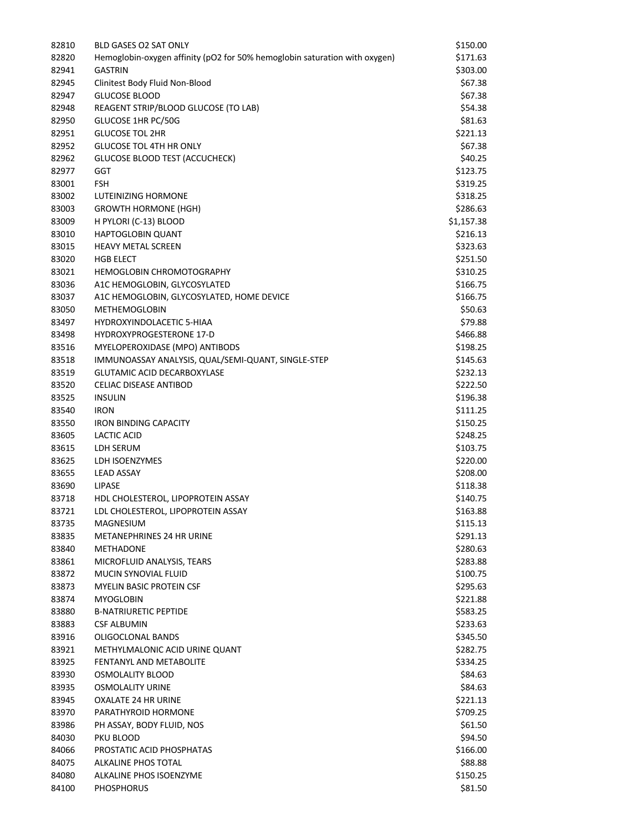| 82810 | <b>BLD GASES O2 SAT ONLY</b>                                               | \$150.00   |
|-------|----------------------------------------------------------------------------|------------|
| 82820 | Hemoglobin-oxygen affinity (pO2 for 50% hemoglobin saturation with oxygen) | \$171.63   |
| 82941 | <b>GASTRIN</b>                                                             | \$303.00   |
| 82945 | Clinitest Body Fluid Non-Blood                                             | \$67.38    |
| 82947 | <b>GLUCOSE BLOOD</b>                                                       | \$67.38    |
| 82948 | REAGENT STRIP/BLOOD GLUCOSE (TO LAB)                                       | \$54.38    |
| 82950 | GLUCOSE 1HR PC/50G                                                         | \$81.63    |
| 82951 | <b>GLUCOSE TOL 2HR</b>                                                     | \$221.13   |
| 82952 | <b>GLUCOSE TOL 4TH HR ONLY</b>                                             | \$67.38    |
| 82962 | <b>GLUCOSE BLOOD TEST (ACCUCHECK)</b>                                      | \$40.25    |
| 82977 | GGT                                                                        | \$123.75   |
| 83001 | <b>FSH</b>                                                                 | \$319.25   |
| 83002 | LUTEINIZING HORMONE                                                        | \$318.25   |
| 83003 | <b>GROWTH HORMONE (HGH)</b>                                                | \$286.63   |
| 83009 | H PYLORI (C-13) BLOOD                                                      | \$1,157.38 |
| 83010 | HAPTOGLOBIN QUANT                                                          | \$216.13   |
| 83015 | <b>HEAVY METAL SCREEN</b>                                                  | \$323.63   |
| 83020 | <b>HGB ELECT</b>                                                           | \$251.50   |
| 83021 | <b>HEMOGLOBIN CHROMOTOGRAPHY</b>                                           | \$310.25   |
| 83036 | A1C HEMOGLOBIN, GLYCOSYLATED                                               | \$166.75   |
| 83037 | A1C HEMOGLOBIN, GLYCOSYLATED, HOME DEVICE                                  | \$166.75   |
| 83050 | <b>METHEMOGLOBIN</b>                                                       | \$50.63    |
| 83497 | <b>HYDROXYINDOLACETIC 5-HIAA</b>                                           | \$79.88    |
| 83498 | <b>HYDROXYPROGESTERONE 17-D</b>                                            | \$466.88   |
| 83516 | MYELOPEROXIDASE (MPO) ANTIBODS                                             | \$198.25   |
| 83518 | IMMUNOASSAY ANALYSIS, QUAL/SEMI-QUANT, SINGLE-STEP                         | \$145.63   |
| 83519 | <b>GLUTAMIC ACID DECARBOXYLASE</b>                                         | \$232.13   |
| 83520 | <b>CELIAC DISEASE ANTIBOD</b>                                              | \$222.50   |
| 83525 | <b>INSULIN</b>                                                             | \$196.38   |
| 83540 | <b>IRON</b>                                                                | \$111.25   |
| 83550 | <b>IRON BINDING CAPACITY</b>                                               | \$150.25   |
| 83605 | LACTIC ACID                                                                | \$248.25   |
| 83615 | LDH SERUM                                                                  | \$103.75   |
| 83625 | LDH ISOENZYMES                                                             | \$220.00   |
| 83655 | <b>LEAD ASSAY</b>                                                          | \$208.00   |
| 83690 | <b>LIPASE</b>                                                              | \$118.38   |
| 83718 | HDL CHOLESTEROL, LIPOPROTEIN ASSAY                                         | \$140.75   |
| 83721 | LDL CHOLESTEROL, LIPOPROTEIN ASSAY                                         | \$163.88   |
| 83735 | MAGNESIUM                                                                  | \$115.13   |
|       | <b>METANEPHRINES 24 HR URINE</b>                                           | \$291.13   |
| 83835 |                                                                            |            |
| 83840 | METHADONE                                                                  | \$280.63   |
| 83861 | MICROFLUID ANALYSIS, TEARS                                                 | \$283.88   |
| 83872 | MUCIN SYNOVIAL FLUID<br><b>MYELIN BASIC PROTEIN CSF</b>                    | \$100.75   |
| 83873 |                                                                            | \$295.63   |
| 83874 | <b>MYOGLOBIN</b>                                                           | \$221.88   |
| 83880 | <b>B-NATRIURETIC PEPTIDE</b>                                               | \$583.25   |
| 83883 | <b>CSF ALBUMIN</b>                                                         | \$233.63   |
| 83916 | <b>OLIGOCLONAL BANDS</b>                                                   | \$345.50   |
| 83921 | METHYLMALONIC ACID URINE QUANT                                             | \$282.75   |
| 83925 | FENTANYL AND METABOLITE                                                    | \$334.25   |
| 83930 | <b>OSMOLALITY BLOOD</b>                                                    | \$84.63    |
| 83935 | <b>OSMOLALITY URINE</b>                                                    | \$84.63    |
| 83945 | <b>OXALATE 24 HR URINE</b>                                                 | \$221.13   |
| 83970 | PARATHYROID HORMONE                                                        | \$709.25   |
| 83986 | PH ASSAY, BODY FLUID, NOS                                                  | \$61.50    |
| 84030 | PKU BLOOD                                                                  | \$94.50    |
| 84066 | PROSTATIC ACID PHOSPHATAS                                                  | \$166.00   |
| 84075 | ALKALINE PHOS TOTAL                                                        | \$88.88    |
| 84080 | ALKALINE PHOS ISOENZYME                                                    | \$150.25   |
| 84100 | <b>PHOSPHORUS</b>                                                          | \$81.50    |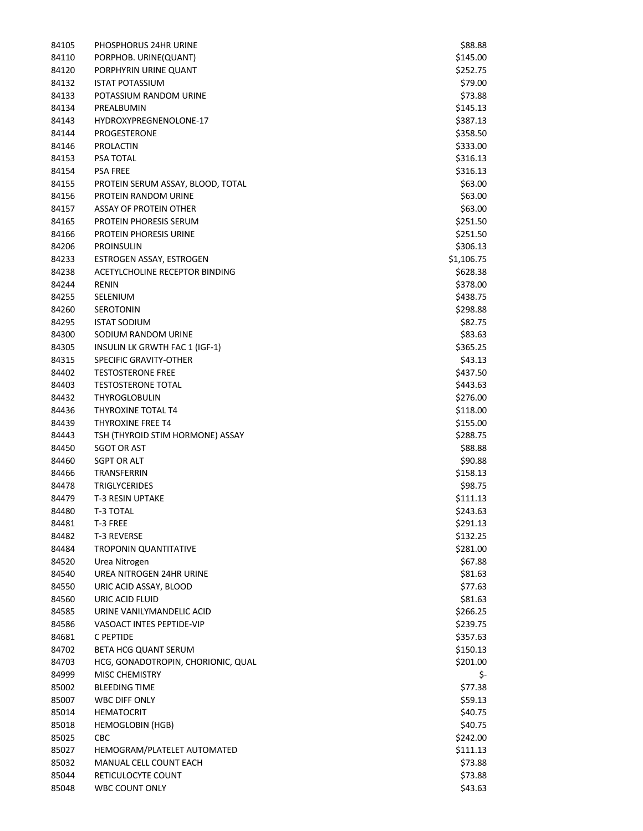| 84105 | PHOSPHORUS 24HR URINE              | \$88.88    |
|-------|------------------------------------|------------|
| 84110 | PORPHOB. URINE(QUANT)              | \$145.00   |
| 84120 | PORPHYRIN URINE QUANT              | \$252.75   |
| 84132 | <b>ISTAT POTASSIUM</b>             | \$79.00    |
| 84133 | POTASSIUM RANDOM URINE             | \$73.88    |
| 84134 | PREALBUMIN                         | \$145.13   |
| 84143 | HYDROXYPREGNENOLONE-17             | \$387.13   |
| 84144 | PROGESTERONE                       | \$358.50   |
| 84146 | <b>PROLACTIN</b>                   | \$333.00   |
| 84153 | <b>PSA TOTAL</b>                   | \$316.13   |
| 84154 | <b>PSA FREE</b>                    | \$316.13   |
| 84155 | PROTEIN SERUM ASSAY, BLOOD, TOTAL  | \$63.00    |
| 84156 | PROTEIN RANDOM URINE               | \$63.00    |
| 84157 | <b>ASSAY OF PROTEIN OTHER</b>      | \$63.00    |
| 84165 | PROTEIN PHORESIS SERUM             | \$251.50   |
| 84166 | PROTEIN PHORESIS URINE             | \$251.50   |
| 84206 | <b>PROINSULIN</b>                  | \$306.13   |
| 84233 | ESTROGEN ASSAY, ESTROGEN           | \$1,106.75 |
| 84238 | ACETYLCHOLINE RECEPTOR BINDING     | \$628.38   |
| 84244 | <b>RENIN</b>                       |            |
|       | SELENIUM                           | \$378.00   |
| 84255 |                                    | \$438.75   |
| 84260 | <b>SEROTONIN</b>                   | \$298.88   |
| 84295 | <b>ISTAT SODIUM</b>                | \$82.75    |
| 84300 | SODIUM RANDOM URINE                | \$83.63    |
| 84305 | INSULIN LK GRWTH FAC 1 (IGF-1)     | \$365.25   |
| 84315 | SPECIFIC GRAVITY-OTHER             | \$43.13    |
| 84402 | <b>TESTOSTERONE FREE</b>           | \$437.50   |
| 84403 | <b>TESTOSTERONE TOTAL</b>          | \$443.63   |
| 84432 | <b>THYROGLOBULIN</b>               | \$276.00   |
| 84436 | THYROXINE TOTAL T4                 | \$118.00   |
| 84439 | <b>THYROXINE FREE T4</b>           | \$155.00   |
| 84443 | TSH (THYROID STIM HORMONE) ASSAY   | \$288.75   |
| 84450 | <b>SGOT OR AST</b>                 | \$88.88    |
| 84460 | <b>SGPT OR ALT</b>                 | \$90.88    |
| 84466 | TRANSFERRIN                        | \$158.13   |
| 84478 | <b>TRIGLYCERIDES</b>               | \$98.75    |
| 84479 | <b>T-3 RESIN UPTAKE</b>            | \$111.13   |
| 84480 | T-3 TOTAL                          | \$243.63   |
| 84481 | T-3 FREE                           | \$291.13   |
| 84482 | T-3 REVERSE                        | \$132.25   |
| 84484 | <b>TROPONIN QUANTITATIVE</b>       | \$281.00   |
| 84520 | Urea Nitrogen                      | \$67.88    |
| 84540 | UREA NITROGEN 24HR URINE           | \$81.63    |
| 84550 | URIC ACID ASSAY, BLOOD             | \$77.63    |
| 84560 | URIC ACID FLUID                    | \$81.63    |
| 84585 | URINE VANILYMANDELIC ACID          | \$266.25   |
| 84586 | VASOACT INTES PEPTIDE-VIP          | \$239.75   |
| 84681 | C PEPTIDE                          | \$357.63   |
| 84702 | BETA HCG QUANT SERUM               | \$150.13   |
| 84703 | HCG, GONADOTROPIN, CHORIONIC, QUAL | \$201.00   |
| 84999 | <b>MISC CHEMISTRY</b>              | \$-        |
| 85002 | <b>BLEEDING TIME</b>               | \$77.38    |
| 85007 | <b>WBC DIFF ONLY</b>               | \$59.13    |
| 85014 | <b>HEMATOCRIT</b>                  | \$40.75    |
| 85018 | <b>HEMOGLOBIN (HGB)</b>            | \$40.75    |
| 85025 | CBC                                | \$242.00   |
| 85027 | HEMOGRAM/PLATELET AUTOMATED        | \$111.13   |
| 85032 | MANUAL CELL COUNT EACH             | \$73.88    |
| 85044 | RETICULOCYTE COUNT                 | \$73.88    |
| 85048 | WBC COUNT ONLY                     | \$43.63    |
|       |                                    |            |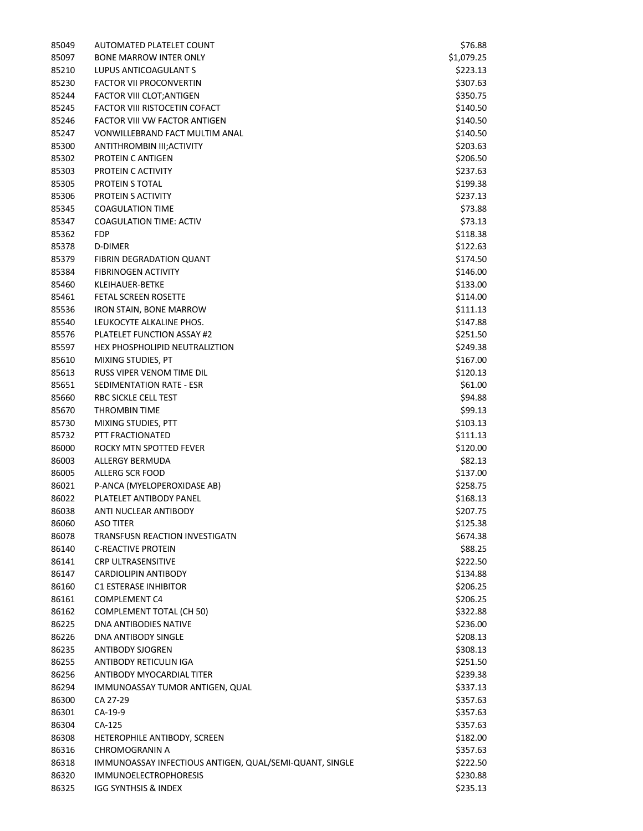| 85049 | AUTOMATED PLATELET COUNT                                | \$76.88    |
|-------|---------------------------------------------------------|------------|
| 85097 | <b>BONE MARROW INTER ONLY</b>                           | \$1,079.25 |
| 85210 | LUPUS ANTICOAGULANT S                                   | \$223.13   |
| 85230 | <b>FACTOR VII PROCONVERTIN</b>                          | \$307.63   |
| 85244 | FACTOR VIII CLOT; ANTIGEN                               | \$350.75   |
| 85245 | <b>FACTOR VIII RISTOCETIN COFACT</b>                    | \$140.50   |
| 85246 | FACTOR VIII VW FACTOR ANTIGEN                           | \$140.50   |
| 85247 | VONWILLEBRAND FACT MULTIM ANAL                          | \$140.50   |
| 85300 | ANTITHROMBIN III; ACTIVITY                              | \$203.63   |
| 85302 | PROTEIN C ANTIGEN                                       | \$206.50   |
| 85303 | PROTEIN C ACTIVITY                                      | \$237.63   |
| 85305 | <b>PROTEIN S TOTAL</b>                                  | \$199.38   |
| 85306 | PROTEIN S ACTIVITY                                      | \$237.13   |
| 85345 | <b>COAGULATION TIME</b>                                 | \$73.88    |
|       | <b>COAGULATION TIME: ACTIV</b>                          |            |
| 85347 |                                                         | \$73.13    |
| 85362 | <b>FDP</b>                                              | \$118.38   |
| 85378 | D-DIMER                                                 | \$122.63   |
| 85379 | <b>FIBRIN DEGRADATION QUANT</b>                         | \$174.50   |
| 85384 | <b>FIBRINOGEN ACTIVITY</b>                              | \$146.00   |
| 85460 | KLEIHAUER-BETKE                                         | \$133.00   |
| 85461 | <b>FETAL SCREEN ROSETTE</b>                             | \$114.00   |
| 85536 | <b>IRON STAIN, BONE MARROW</b>                          | \$111.13   |
| 85540 | LEUKOCYTE ALKALINE PHOS.                                | \$147.88   |
| 85576 | PLATELET FUNCTION ASSAY #2                              | \$251.50   |
| 85597 | HEX PHOSPHOLIPID NEUTRALIZTION                          | \$249.38   |
| 85610 | MIXING STUDIES, PT                                      | \$167.00   |
| 85613 | RUSS VIPER VENOM TIME DIL                               | \$120.13   |
| 85651 | SEDIMENTATION RATE - ESR                                | \$61.00    |
| 85660 | RBC SICKLE CELL TEST                                    | \$94.88    |
| 85670 | <b>THROMBIN TIME</b>                                    | \$99.13    |
| 85730 | MIXING STUDIES, PTT                                     | \$103.13   |
| 85732 | PTT FRACTIONATED                                        | \$111.13   |
| 86000 | ROCKY MTN SPOTTED FEVER                                 | \$120.00   |
| 86003 | ALLERGY BERMUDA                                         | \$82.13    |
| 86005 | ALLERG SCR FOOD                                         | \$137.00   |
| 86021 | P-ANCA (MYELOPEROXIDASE AB)                             | \$258.75   |
| 86022 | PLATELET ANTIBODY PANEL                                 | \$168.13   |
| 86038 | ANTI NUCLEAR ANTIBODY                                   | \$207.75   |
| 86060 | ASO TITER                                               | \$125.38   |
| 86078 | TRANSFUSN REACTION INVESTIGATN                          | \$674.38   |
| 86140 | <b>C-REACTIVE PROTEIN</b>                               | \$88.25    |
| 86141 | <b>CRP ULTRASENSITIVE</b>                               | \$222.50   |
| 86147 | CARDIOLIPIN ANTIBODY                                    | \$134.88   |
| 86160 | <b>C1 ESTERASE INHIBITOR</b>                            | \$206.25   |
| 86161 | <b>COMPLEMENT C4</b>                                    | \$206.25   |
| 86162 | <b>COMPLEMENT TOTAL (CH 50)</b>                         | \$322.88   |
| 86225 | DNA ANTIBODIES NATIVE                                   | \$236.00   |
|       | DNA ANTIBODY SINGLE                                     |            |
| 86226 |                                                         | \$208.13   |
| 86235 | <b>ANTIBODY SJOGREN</b>                                 | \$308.13   |
| 86255 | ANTIBODY RETICULIN IGA                                  | \$251.50   |
| 86256 | ANTIBODY MYOCARDIAL TITER                               | \$239.38   |
| 86294 | IMMUNOASSAY TUMOR ANTIGEN, QUAL                         | \$337.13   |
| 86300 | CA 27-29                                                | \$357.63   |
| 86301 | CA-19-9                                                 | \$357.63   |
| 86304 | CA-125                                                  | \$357.63   |
| 86308 | HETEROPHILE ANTIBODY, SCREEN                            | \$182.00   |
| 86316 | CHROMOGRANIN A                                          | \$357.63   |
| 86318 | IMMUNOASSAY INFECTIOUS ANTIGEN, QUAL/SEMI-QUANT, SINGLE | \$222.50   |
| 86320 | <b>IMMUNOELECTROPHORESIS</b>                            | \$230.88   |
| 86325 | IGG SYNTHSIS & INDEX                                    | \$235.13   |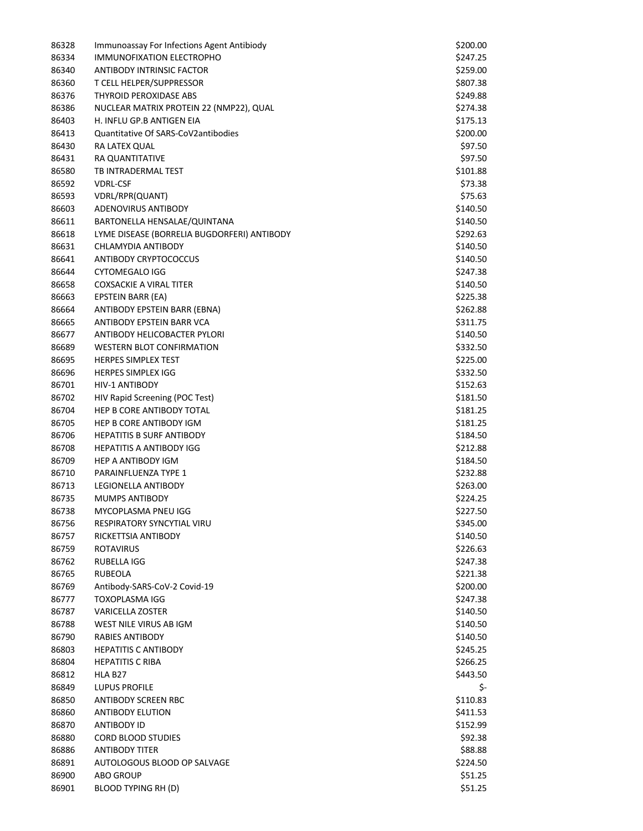| 86328 | Immunoassay For Infections Agent Antibiody  | \$200.00 |
|-------|---------------------------------------------|----------|
| 86334 | <b>IMMUNOFIXATION ELECTROPHO</b>            | \$247.25 |
| 86340 | ANTIBODY INTRINSIC FACTOR                   | \$259.00 |
| 86360 | T CELL HELPER/SUPPRESSOR                    | \$807.38 |
| 86376 | THYROID PEROXIDASE ABS                      | \$249.88 |
| 86386 | NUCLEAR MATRIX PROTEIN 22 (NMP22), QUAL     | \$274.38 |
| 86403 | H. INFLU GP.B ANTIGEN EIA                   | \$175.13 |
| 86413 | Quantitative Of SARS-CoV2antibodies         | \$200.00 |
| 86430 | RA LATEX QUAL                               | \$97.50  |
| 86431 | RA QUANTITATIVE                             | \$97.50  |
| 86580 | TB INTRADERMAL TEST                         | \$101.88 |
| 86592 | <b>VDRL-CSF</b>                             | \$73.38  |
| 86593 | VDRL/RPR(QUANT)                             | \$75.63  |
| 86603 | ADENOVIRUS ANTIBODY                         | \$140.50 |
| 86611 | BARTONELLA HENSALAE/QUINTANA                | \$140.50 |
| 86618 | LYME DISEASE (BORRELIA BUGDORFERI) ANTIBODY | \$292.63 |
| 86631 | CHLAMYDIA ANTIBODY                          | \$140.50 |
| 86641 | <b>ANTIBODY CRYPTOCOCCUS</b>                | \$140.50 |
| 86644 | <b>CYTOMEGALO IGG</b>                       | \$247.38 |
| 86658 | <b>COXSACKIE A VIRAL TITER</b>              | \$140.50 |
| 86663 | EPSTEIN BARR (EA)                           | \$225.38 |
| 86664 | ANTIBODY EPSTEIN BARR (EBNA)                | \$262.88 |
| 86665 | ANTIBODY EPSTEIN BARR VCA                   | \$311.75 |
| 86677 | ANTIBODY HELICOBACTER PYLORI                | \$140.50 |
| 86689 | <b>WESTERN BLOT CONFIRMATION</b>            | \$332.50 |
| 86695 | <b>HERPES SIMPLEX TEST</b>                  | \$225.00 |
| 86696 | <b>HERPES SIMPLEX IGG</b>                   | \$332.50 |
| 86701 | HIV-1 ANTIBODY                              | \$152.63 |
| 86702 | HIV Rapid Screening (POC Test)              |          |
|       |                                             | \$181.50 |
| 86704 | HEP B CORE ANTIBODY TOTAL                   | \$181.25 |
| 86705 | HEP B CORE ANTIBODY IGM                     | \$181.25 |
| 86706 | <b>HEPATITIS B SURF ANTIBODY</b>            | \$184.50 |
| 86708 | <b>HEPATITIS A ANTIBODY IGG</b>             | \$212.88 |
| 86709 | HEP A ANTIBODY IGM                          | \$184.50 |
| 86710 | PARAINFLUENZA TYPE 1                        | \$232.88 |
| 86713 | LEGIONELLA ANTIBODY                         | \$263.00 |
| 86735 | <b>MUMPS ANTIBODY</b>                       | \$224.25 |
| 86738 | MYCOPLASMA PNEU IGG                         | \$227.50 |
| 86756 | RESPIRATORY SYNCYTIAL VIRU                  | \$345.00 |
| 86757 | RICKETTSIA ANTIBODY                         | \$140.50 |
| 86759 | ROTAVIRUS                                   | \$226.63 |
| 86762 | RUBELLA IGG                                 | \$247.38 |
| 86765 | <b>RUBEOLA</b>                              | \$221.38 |
| 86769 | Antibody-SARS-CoV-2 Covid-19                | \$200.00 |
| 86777 | <b>TOXOPLASMA IGG</b>                       | \$247.38 |
| 86787 | <b>VARICELLA ZOSTER</b>                     | \$140.50 |
| 86788 | WEST NILE VIRUS AB IGM                      | \$140.50 |
| 86790 | RABIES ANTIBODY                             | \$140.50 |
| 86803 | <b>HEPATITIS C ANTIBODY</b>                 | \$245.25 |
| 86804 | <b>HEPATITIS C RIBA</b>                     | \$266.25 |
| 86812 | HLA B <sub>27</sub>                         | \$443.50 |
| 86849 | <b>LUPUS PROFILE</b>                        | \$-      |
| 86850 | ANTIBODY SCREEN RBC                         | \$110.83 |
| 86860 | <b>ANTIBODY ELUTION</b>                     | \$411.53 |
| 86870 | ANTIBODY ID                                 | \$152.99 |
| 86880 | <b>CORD BLOOD STUDIES</b>                   | \$92.38  |
| 86886 | <b>ANTIBODY TITER</b>                       | \$88.88  |
| 86891 | AUTOLOGOUS BLOOD OP SALVAGE                 | \$224.50 |
| 86900 | <b>ABO GROUP</b>                            | \$51.25  |
| 86901 | <b>BLOOD TYPING RH (D)</b>                  | \$51.25  |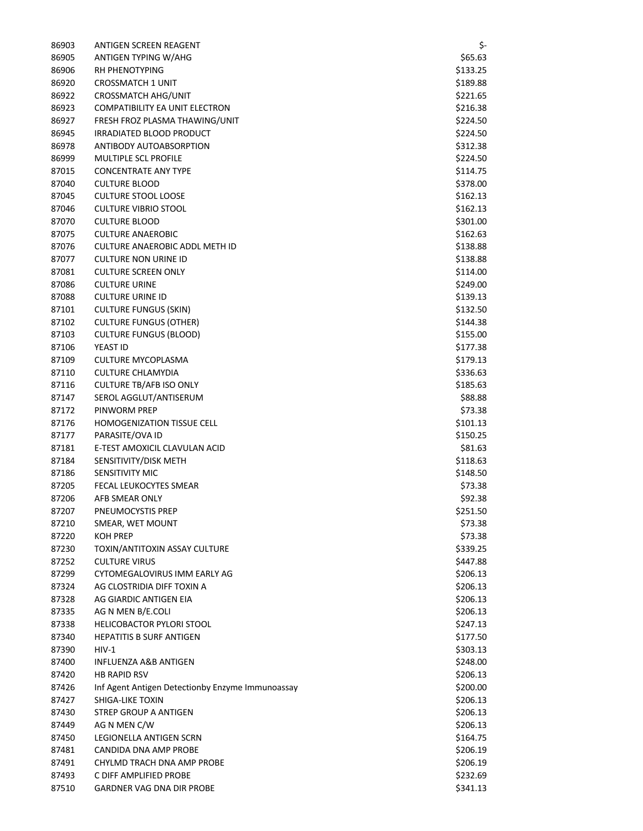| 86903 | ANTIGEN SCREEN REAGENT                           | \$-      |
|-------|--------------------------------------------------|----------|
| 86905 | ANTIGEN TYPING W/AHG                             | \$65.63  |
| 86906 | RH PHENOTYPING                                   | \$133.25 |
| 86920 | <b>CROSSMATCH 1 UNIT</b>                         | \$189.88 |
| 86922 | <b>CROSSMATCH AHG/UNIT</b>                       | \$221.65 |
| 86923 | COMPATIBILITY EA UNIT ELECTRON                   | \$216.38 |
| 86927 | FRESH FROZ PLASMA THAWING/UNIT                   | \$224.50 |
| 86945 | IRRADIATED BLOOD PRODUCT                         | \$224.50 |
| 86978 | ANTIBODY AUTOABSORPTION                          | \$312.38 |
| 86999 | <b>MULTIPLE SCL PROFILE</b>                      | \$224.50 |
| 87015 | <b>CONCENTRATE ANY TYPE</b>                      | \$114.75 |
| 87040 | <b>CULTURE BLOOD</b>                             | \$378.00 |
| 87045 | <b>CULTURE STOOL LOOSE</b>                       | \$162.13 |
| 87046 | <b>CULTURE VIBRIO STOOL</b>                      | \$162.13 |
| 87070 | <b>CULTURE BLOOD</b>                             | \$301.00 |
| 87075 | <b>CULTURE ANAEROBIC</b>                         | \$162.63 |
| 87076 | <b>CULTURE ANAEROBIC ADDL METH ID</b>            | \$138.88 |
| 87077 | <b>CULTURE NON URINE ID</b>                      | \$138.88 |
| 87081 | <b>CULTURE SCREEN ONLY</b>                       | \$114.00 |
| 87086 | <b>CULTURE URINE</b>                             | \$249.00 |
| 87088 | <b>CULTURE URINE ID</b>                          | \$139.13 |
| 87101 | <b>CULTURE FUNGUS (SKIN)</b>                     | \$132.50 |
| 87102 | <b>CULTURE FUNGUS (OTHER)</b>                    | \$144.38 |
| 87103 | <b>CULTURE FUNGUS (BLOOD)</b>                    | \$155.00 |
| 87106 | YEAST ID                                         |          |
|       |                                                  | \$177.38 |
| 87109 | CULTURE MYCOPLASMA                               | \$179.13 |
| 87110 | <b>CULTURE CHLAMYDIA</b>                         | \$336.63 |
| 87116 | <b>CULTURE TB/AFB ISO ONLY</b>                   | \$185.63 |
| 87147 | SEROL AGGLUT/ANTISERUM                           | \$88.88  |
| 87172 | PINWORM PREP                                     | \$73.38  |
| 87176 | <b>HOMOGENIZATION TISSUE CELL</b>                | \$101.13 |
| 87177 | PARASITE/OVA ID                                  | \$150.25 |
| 87181 | E-TEST AMOXICIL CLAVULAN ACID                    | \$81.63  |
| 87184 | SENSITIVITY/DISK METH                            | \$118.63 |
| 87186 | <b>SENSITIVITY MIC</b>                           | \$148.50 |
| 87205 | FECAL LEUKOCYTES SMEAR                           | \$73.38  |
| 87206 | AFB SMEAR ONLY                                   | \$92.38  |
| 87207 | PNEUMOCYSTIS PREP                                | \$251.50 |
| 87210 | SMEAR, WET MOUNT                                 | \$73.38  |
| 87220 | <b>KOH PREP</b>                                  | \$73.38  |
| 87230 | TOXIN/ANTITOXIN ASSAY CULTURE                    | \$339.25 |
| 87252 | <b>CULTURE VIRUS</b>                             | \$447.88 |
| 87299 | CYTOMEGALOVIRUS IMM EARLY AG                     | \$206.13 |
| 87324 | AG CLOSTRIDIA DIFF TOXIN A                       | \$206.13 |
| 87328 | AG GIARDIC ANTIGEN EIA                           | \$206.13 |
| 87335 | AG N MEN B/E.COLI                                | \$206.13 |
| 87338 | HELICOBACTOR PYLORI STOOL                        | \$247.13 |
| 87340 | <b>HEPATITIS B SURF ANTIGEN</b>                  | \$177.50 |
| 87390 | $HIV-1$                                          | \$303.13 |
| 87400 | INFLUENZA A&B ANTIGEN                            | \$248.00 |
| 87420 | <b>HB RAPID RSV</b>                              | \$206.13 |
| 87426 | Inf Agent Antigen Detectionby Enzyme Immunoassay | \$200.00 |
| 87427 | SHIGA-LIKE TOXIN                                 | \$206.13 |
| 87430 | STREP GROUP A ANTIGEN                            | \$206.13 |
| 87449 | AG N MEN C/W                                     | \$206.13 |
| 87450 | LEGIONELLA ANTIGEN SCRN                          | \$164.75 |
| 87481 | CANDIDA DNA AMP PROBE                            | \$206.19 |
| 87491 | CHYLMD TRACH DNA AMP PROBE                       | \$206.19 |
| 87493 | C DIFF AMPLIFIED PROBE                           | \$232.69 |
| 87510 | <b>GARDNER VAG DNA DIR PROBE</b>                 | \$341.13 |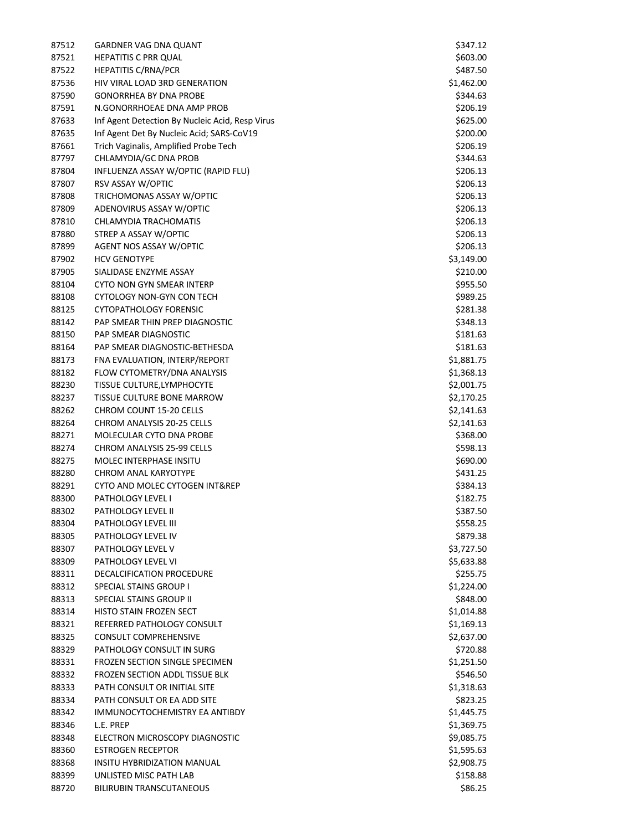| 87512          | GARDNER VAG DNA QUANT                                           | \$347.12             |
|----------------|-----------------------------------------------------------------|----------------------|
| 87521          | <b>HEPATITIS C PRR QUAL</b>                                     | \$603.00             |
| 87522          | <b>HEPATITIS C/RNA/PCR</b>                                      | \$487.50             |
| 87536          | HIV VIRAL LOAD 3RD GENERATION                                   | \$1,462.00           |
| 87590          | <b>GONORRHEA BY DNA PROBE</b>                                   | \$344.63             |
| 87591          | N.GONORRHOEAE DNA AMP PROB                                      | \$206.19             |
| 87633          | Inf Agent Detection By Nucleic Acid, Resp Virus                 | \$625.00             |
| 87635          | Inf Agent Det By Nucleic Acid; SARS-CoV19                       | \$200.00             |
| 87661          | Trich Vaginalis, Amplified Probe Tech                           | \$206.19             |
| 87797          | CHLAMYDIA/GC DNA PROB                                           | \$344.63             |
| 87804          | INFLUENZA ASSAY W/OPTIC (RAPID FLU)                             | \$206.13             |
| 87807          | RSV ASSAY W/OPTIC                                               | \$206.13             |
| 87808          | TRICHOMONAS ASSAY W/OPTIC                                       | \$206.13             |
| 87809          | ADENOVIRUS ASSAY W/OPTIC                                        | \$206.13             |
| 87810          | CHLAMYDIA TRACHOMATIS                                           | \$206.13             |
| 87880          | STREP A ASSAY W/OPTIC                                           | \$206.13             |
| 87899          | AGENT NOS ASSAY W/OPTIC                                         | \$206.13             |
| 87902          | <b>HCV GENOTYPE</b>                                             | \$3,149.00           |
| 87905          | SIALIDASE ENZYME ASSAY                                          | \$210.00             |
| 88104          | <b>CYTO NON GYN SMEAR INTERP</b>                                | \$955.50             |
| 88108          | CYTOLOGY NON-GYN CON TECH                                       | \$989.25             |
| 88125          | <b>CYTOPATHOLOGY FORENSIC</b><br>PAP SMEAR THIN PREP DIAGNOSTIC | \$281.38             |
| 88142          |                                                                 | \$348.13             |
| 88150<br>88164 | PAP SMEAR DIAGNOSTIC<br>PAP SMEAR DIAGNOSTIC-BETHESDA           | \$181.63<br>\$181.63 |
| 88173          | FNA EVALUATION, INTERP/REPORT                                   | \$1,881.75           |
| 88182          | FLOW CYTOMETRY/DNA ANALYSIS                                     | \$1,368.13           |
| 88230          | TISSUE CULTURE, LYMPHOCYTE                                      | \$2,001.75           |
| 88237          | TISSUE CULTURE BONE MARROW                                      | \$2,170.25           |
| 88262          | <b>CHROM COUNT 15-20 CELLS</b>                                  | \$2,141.63           |
| 88264          | <b>CHROM ANALYSIS 20-25 CELLS</b>                               | \$2,141.63           |
| 88271          | MOLECULAR CYTO DNA PROBE                                        | \$368.00             |
| 88274          | <b>CHROM ANALYSIS 25-99 CELLS</b>                               | \$598.13             |
| 88275          | MOLEC INTERPHASE INSITU                                         | \$690.00             |
| 88280          | <b>CHROM ANAL KARYOTYPE</b>                                     | \$431.25             |
| 88291          | CYTO AND MOLEC CYTOGEN INT&REP                                  | \$384.13             |
| 88300          | PATHOLOGY LEVEL I                                               | \$182.75             |
| 88302          | PATHOLOGY LEVEL II                                              | \$387.50             |
| 88304          | PATHOLOGY LEVEL III                                             | \$558.25             |
| 88305          | PATHOLOGY LEVEL IV                                              | \$879.38             |
| 88307          | PATHOLOGY LEVEL V                                               | \$3,727.50           |
| 88309          | PATHOLOGY LEVEL VI                                              | \$5,633.88           |
| 88311          | <b>DECALCIFICATION PROCEDURE</b>                                | \$255.75             |
| 88312          | SPECIAL STAINS GROUP I                                          | \$1,224.00           |
| 88313          | SPECIAL STAINS GROUP II                                         | \$848.00             |
| 88314          | HISTO STAIN FROZEN SECT                                         | \$1,014.88           |
| 88321          | REFERRED PATHOLOGY CONSULT                                      | \$1,169.13           |
| 88325          | <b>CONSULT COMPREHENSIVE</b>                                    | \$2,637.00           |
| 88329          | PATHOLOGY CONSULT IN SURG                                       | \$720.88             |
| 88331          | FROZEN SECTION SINGLE SPECIMEN                                  | \$1,251.50           |
| 88332          | <b>FROZEN SECTION ADDL TISSUE BLK</b>                           | \$546.50             |
| 88333          | PATH CONSULT OR INITIAL SITE                                    | \$1,318.63           |
| 88334          | PATH CONSULT OR EA ADD SITE                                     | \$823.25             |
| 88342          | IMMUNOCYTOCHEMISTRY EA ANTIBDY                                  | \$1,445.75           |
| 88346          | L.E. PREP                                                       | \$1,369.75           |
| 88348          | ELECTRON MICROSCOPY DIAGNOSTIC                                  | \$9,085.75           |
| 88360          | <b>ESTROGEN RECEPTOR</b>                                        | \$1,595.63           |
| 88368          | INSITU HYBRIDIZATION MANUAL                                     | \$2,908.75           |
| 88399          | UNLISTED MISC PATH LAB                                          | \$158.88             |
| 88720          | <b>BILIRUBIN TRANSCUTANEOUS</b>                                 | \$86.25              |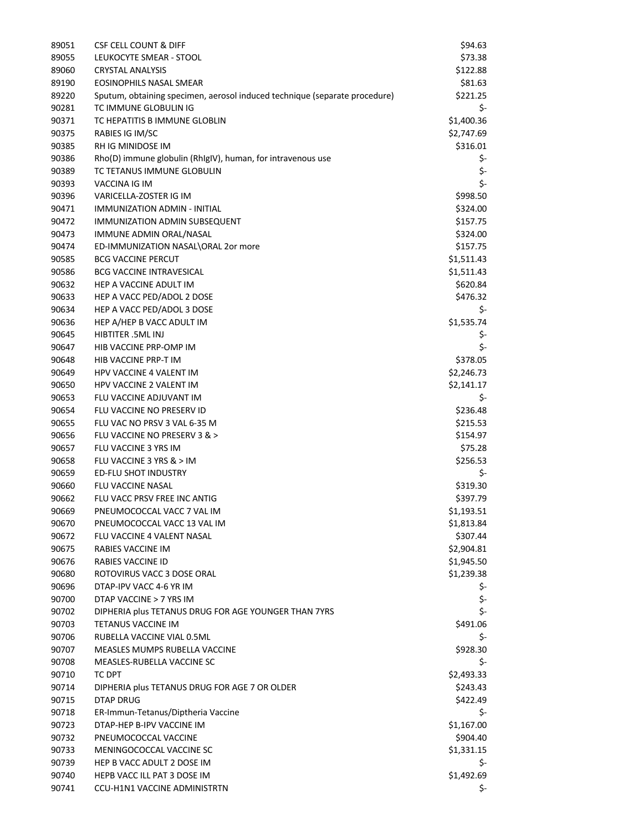| 89051 | <b>CSF CELL COUNT &amp; DIFF</b>                                           | \$94.63    |
|-------|----------------------------------------------------------------------------|------------|
| 89055 | LEUKOCYTE SMEAR - STOOL                                                    | \$73.38    |
| 89060 | <b>CRYSTAL ANALYSIS</b>                                                    | \$122.88   |
| 89190 | EOSINOPHILS NASAL SMEAR                                                    | \$81.63    |
| 89220 | Sputum, obtaining specimen, aerosol induced technique (separate procedure) | \$221.25   |
| 90281 | TC IMMUNE GLOBULIN IG                                                      | \$-        |
| 90371 | TC HEPATITIS B IMMUNE GLOBLIN                                              | \$1,400.36 |
| 90375 | RABIES IG IM/SC                                                            | \$2,747.69 |
| 90385 | RH IG MINIDOSE IM                                                          | \$316.01   |
| 90386 | Rho(D) immune globulin (RhIgIV), human, for intravenous use                | \$-        |
| 90389 | TC TETANUS IMMUNE GLOBULIN                                                 | \$-        |
| 90393 | VACCINA IG IM                                                              | \$-        |
| 90396 | VARICELLA-ZOSTER IG IM                                                     | \$998.50   |
| 90471 | IMMUNIZATION ADMIN - INITIAL                                               | \$324.00   |
| 90472 | IMMUNIZATION ADMIN SUBSEQUENT                                              | \$157.75   |
| 90473 | IMMUNE ADMIN ORAL/NASAL                                                    | \$324.00   |
| 90474 | ED-IMMUNIZATION NASAL\ORAL 2or more                                        | \$157.75   |
| 90585 | <b>BCG VACCINE PERCUT</b>                                                  | \$1,511.43 |
| 90586 | <b>BCG VACCINE INTRAVESICAL</b>                                            | \$1,511.43 |
| 90632 | HEP A VACCINE ADULT IM                                                     | \$620.84   |
| 90633 | HEP A VACC PED/ADOL 2 DOSE                                                 | \$476.32   |
| 90634 | HEP A VACC PED/ADOL 3 DOSE                                                 | \$-        |
| 90636 | HEP A/HEP B VACC ADULT IM                                                  | \$1,535.74 |
| 90645 | HIBTITER .5ML INJ                                                          | \$-        |
| 90647 | HIB VACCINE PRP-OMP IM                                                     | \$-        |
| 90648 | HIB VACCINE PRP-T IM                                                       | \$378.05   |
| 90649 | <b>HPV VACCINE 4 VALENT IM</b>                                             | \$2,246.73 |
| 90650 | <b>HPV VACCINE 2 VALENT IM</b>                                             | \$2,141.17 |
| 90653 | FLU VACCINE ADJUVANT IM                                                    | \$-        |
| 90654 | FLU VACCINE NO PRESERV ID                                                  | \$236.48   |
| 90655 | FLU VAC NO PRSV 3 VAL 6-35 M                                               | \$215.53   |
| 90656 | FLU VACCINE NO PRESERV 3 & >                                               | \$154.97   |
| 90657 | FLU VACCINE 3 YRS IM                                                       | \$75.28    |
| 90658 | FLU VACCINE 3 YRS & > IM                                                   | \$256.53   |
| 90659 | <b>ED-FLU SHOT INDUSTRY</b>                                                | \$-        |
| 90660 | FLU VACCINE NASAL                                                          | \$319.30   |
| 90662 | FLU VACC PRSV FREE INC ANTIG                                               | \$397.79   |
| 90669 | PNEUMOCOCCAL VACC 7 VAL IM                                                 | \$1,193.51 |
| 90670 | PNEUMOCOCCAL VACC 13 VAL IM                                                | \$1,813.84 |
| 90672 | FLU VACCINE 4 VALENT NASAL                                                 | \$307.44   |
| 90675 | RABIES VACCINE IM                                                          | \$2,904.81 |
| 90676 | RABIES VACCINE ID                                                          | \$1,945.50 |
| 90680 | ROTOVIRUS VACC 3 DOSE ORAL                                                 | \$1,239.38 |
| 90696 | DTAP-IPV VACC 4-6 YR IM                                                    | \$-        |
| 90700 | DTAP VACCINE > 7 YRS IM                                                    | \$-        |
| 90702 | DIPHERIA plus TETANUS DRUG FOR AGE YOUNGER THAN 7YRS                       | \$-        |
| 90703 | TETANUS VACCINE IM                                                         | \$491.06   |
| 90706 | RUBELLA VACCINE VIAL 0.5ML                                                 | \$-        |
| 90707 | MEASLES MUMPS RUBELLA VACCINE                                              | \$928.30   |
| 90708 | MEASLES-RUBELLA VACCINE SC                                                 | \$-        |
| 90710 | TC DPT                                                                     | \$2,493.33 |
| 90714 | DIPHERIA plus TETANUS DRUG FOR AGE 7 OR OLDER                              | \$243.43   |
| 90715 | <b>DTAP DRUG</b>                                                           | \$422.49   |
| 90718 | ER-Immun-Tetanus/Diptheria Vaccine                                         | \$-        |
| 90723 | DTAP-HEP B-IPV VACCINE IM                                                  | \$1,167.00 |
| 90732 | PNEUMOCOCCAL VACCINE                                                       | \$904.40   |
| 90733 | MENINGOCOCCAL VACCINE SC                                                   | \$1,331.15 |
| 90739 | HEP B VACC ADULT 2 DOSE IM                                                 | \$-        |
| 90740 | HEPB VACC ILL PAT 3 DOSE IM                                                | \$1,492.69 |
| 90741 | CCU-H1N1 VACCINE ADMINISTRTN                                               | \$-        |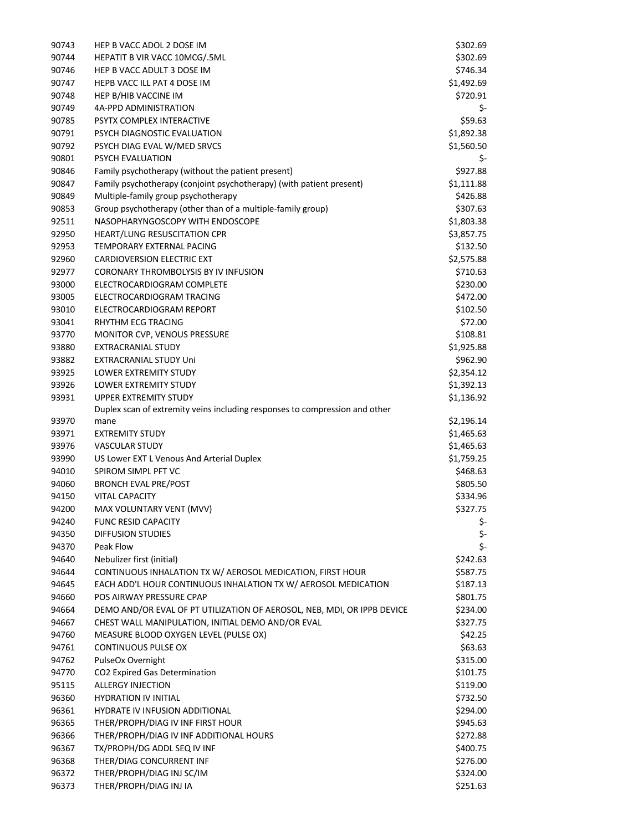| 90743 | HEP B VACC ADOL 2 DOSE IM                                                   | \$302.69             |
|-------|-----------------------------------------------------------------------------|----------------------|
| 90744 | HEPATIT B VIR VACC 10MCG/.5ML                                               | \$302.69             |
| 90746 | HEP B VACC ADULT 3 DOSE IM                                                  | \$746.34             |
| 90747 | HEPB VACC ILL PAT 4 DOSE IM                                                 | \$1,492.69           |
| 90748 | HEP B/HIB VACCINE IM                                                        | \$720.91             |
| 90749 | 4A-PPD ADMINISTRATION                                                       | \$-                  |
| 90785 | PSYTX COMPLEX INTERACTIVE                                                   | \$59.63              |
| 90791 | PSYCH DIAGNOSTIC EVALUATION                                                 | \$1,892.38           |
| 90792 | PSYCH DIAG EVAL W/MED SRVCS                                                 | \$1,560.50           |
| 90801 | PSYCH EVALUATION                                                            | \$-                  |
| 90846 | Family psychotherapy (without the patient present)                          | \$927.88             |
| 90847 | Family psychotherapy (conjoint psychotherapy) (with patient present)        | \$1,111.88           |
| 90849 | Multiple-family group psychotherapy                                         | \$426.88             |
| 90853 | Group psychotherapy (other than of a multiple-family group)                 | \$307.63             |
| 92511 | NASOPHARYNGOSCOPY WITH ENDOSCOPE                                            | \$1,803.38           |
| 92950 | HEART/LUNG RESUSCITATION CPR                                                | \$3,857.75           |
| 92953 | TEMPORARY EXTERNAL PACING                                                   | \$132.50             |
| 92960 | CARDIOVERSION ELECTRIC EXT                                                  | \$2,575.88           |
| 92977 | CORONARY THROMBOLYSIS BY IV INFUSION                                        | \$710.63             |
| 93000 | ELECTROCARDIOGRAM COMPLETE                                                  | \$230.00             |
| 93005 | ELECTROCARDIOGRAM TRACING                                                   | \$472.00             |
| 93010 | ELECTROCARDIOGRAM REPORT                                                    | \$102.50             |
| 93041 | RHYTHM ECG TRACING                                                          | \$72.00              |
| 93770 | MONITOR CVP, VENOUS PRESSURE                                                | \$108.81             |
| 93880 | <b>EXTRACRANIAL STUDY</b>                                                   | \$1,925.88           |
| 93882 | <b>EXTRACRANIAL STUDY Uni</b>                                               | \$962.90             |
| 93925 | <b>LOWER EXTREMITY STUDY</b>                                                | \$2,354.12           |
| 93926 | <b>LOWER EXTREMITY STUDY</b>                                                | \$1,392.13           |
| 93931 | UPPER EXTREMITY STUDY                                                       | \$1,136.92           |
|       | Duplex scan of extremity veins including responses to compression and other |                      |
| 93970 | mane                                                                        | \$2,196.14           |
| 93971 | <b>EXTREMITY STUDY</b>                                                      | \$1,465.63           |
| 93976 | <b>VASCULAR STUDY</b>                                                       | \$1,465.63           |
| 93990 | US Lower EXT L Venous And Arterial Duplex                                   | \$1,759.25           |
| 94010 | SPIROM SIMPL PFT VC                                                         | \$468.63             |
| 94060 | <b>BRONCH EVAL PRE/POST</b>                                                 | \$805.50             |
| 94150 | <b>VITAL CAPACITY</b>                                                       | \$334.96             |
| 94200 | MAX VOLUNTARY VENT (MVV)                                                    | \$327.75             |
| 94240 | <b>FUNC RESID CAPACITY</b>                                                  | Ş-                   |
| 94350 | <b>DIFFUSION STUDIES</b>                                                    | \$-                  |
| 94370 | Peak Flow                                                                   | \$-                  |
| 94640 | Nebulizer first (initial)                                                   | \$242.63             |
| 94644 | CONTINUOUS INHALATION TX W/ AEROSOL MEDICATION, FIRST HOUR                  | \$587.75             |
| 94645 | EACH ADD'L HOUR CONTINUOUS INHALATION TX W/ AEROSOL MEDICATION              | \$187.13             |
| 94660 | POS AIRWAY PRESSURE CPAP                                                    | \$801.75             |
| 94664 | DEMO AND/OR EVAL OF PT UTILIZATION OF AEROSOL, NEB, MDI, OR IPPB DEVICE     | \$234.00             |
| 94667 | CHEST WALL MANIPULATION, INITIAL DEMO AND/OR EVAL                           | \$327.75             |
| 94760 | MEASURE BLOOD OXYGEN LEVEL (PULSE OX)                                       | \$42.25              |
| 94761 | CONTINUOUS PULSE OX                                                         | \$63.63              |
| 94762 | PulseOx Overnight                                                           | \$315.00             |
| 94770 | CO2 Expired Gas Determination                                               | \$101.75             |
| 95115 | <b>ALLERGY INJECTION</b>                                                    | \$119.00             |
| 96360 | <b>HYDRATION IV INITIAL</b>                                                 | \$732.50             |
| 96361 | HYDRATE IV INFUSION ADDITIONAL                                              | \$294.00             |
| 96365 | THER/PROPH/DIAG IV INF FIRST HOUR                                           | \$945.63             |
| 96366 | THER/PROPH/DIAG IV INF ADDITIONAL HOURS                                     | \$272.88             |
| 96367 | TX/PROPH/DG ADDL SEQ IV INF                                                 | \$400.75             |
| 96368 |                                                                             |                      |
|       | THER/DIAG CONCURRENT INF                                                    |                      |
| 96372 | THER/PROPH/DIAG INJ SC/IM                                                   | \$276.00<br>\$324.00 |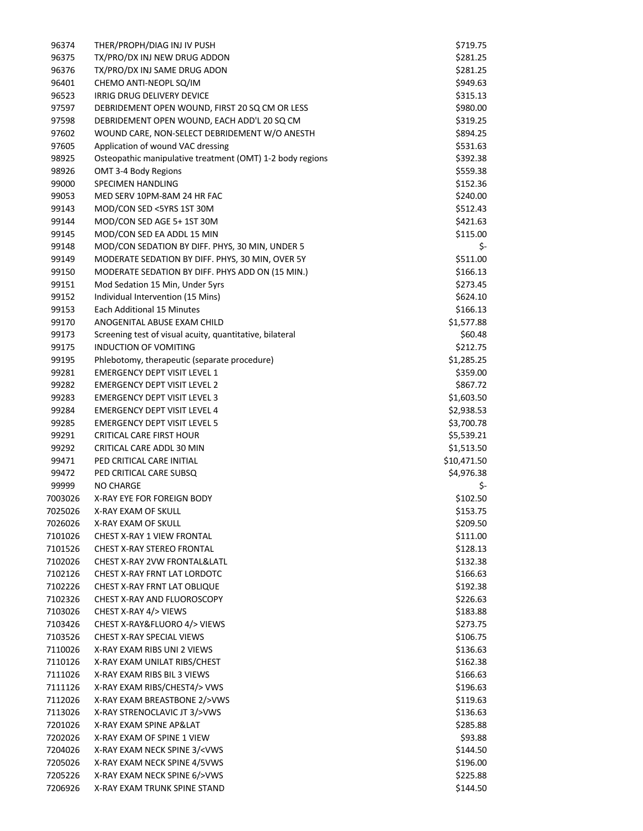| 96374   | THER/PROPH/DIAG INJ IV PUSH                                   | \$719.75    |
|---------|---------------------------------------------------------------|-------------|
| 96375   | TX/PRO/DX INJ NEW DRUG ADDON                                  | \$281.25    |
| 96376   | TX/PRO/DX INJ SAME DRUG ADON                                  | \$281.25    |
| 96401   | CHEMO ANTI-NEOPL SQ/IM                                        | \$949.63    |
| 96523   | IRRIG DRUG DELIVERY DEVICE                                    | \$315.13    |
| 97597   | DEBRIDEMENT OPEN WOUND, FIRST 20 SQ CM OR LESS                | \$980.00    |
| 97598   | DEBRIDEMENT OPEN WOUND, EACH ADD'L 20 SQ CM                   | \$319.25    |
| 97602   | WOUND CARE, NON-SELECT DEBRIDEMENT W/O ANESTH                 | \$894.25    |
| 97605   | Application of wound VAC dressing                             | \$531.63    |
| 98925   | Osteopathic manipulative treatment (OMT) 1-2 body regions     | \$392.38    |
| 98926   | OMT 3-4 Body Regions                                          | \$559.38    |
| 99000   | SPECIMEN HANDLING                                             | \$152.36    |
| 99053   | MED SERV 10PM-8AM 24 HR FAC                                   | \$240.00    |
| 99143   | MOD/CON SED <5YRS 1ST 30M                                     | \$512.43    |
| 99144   | MOD/CON SED AGE 5+1ST 30M                                     | \$421.63    |
| 99145   | MOD/CON SED EA ADDL 15 MIN                                    | \$115.00    |
| 99148   | MOD/CON SEDATION BY DIFF. PHYS, 30 MIN, UNDER 5               | \$-         |
| 99149   | MODERATE SEDATION BY DIFF. PHYS, 30 MIN, OVER 5Y              | \$511.00    |
| 99150   | MODERATE SEDATION BY DIFF. PHYS ADD ON (15 MIN.)              | \$166.13    |
| 99151   | Mod Sedation 15 Min, Under 5yrs                               | \$273.45    |
| 99152   | Individual Intervention (15 Mins)                             | \$624.10    |
| 99153   | <b>Each Additional 15 Minutes</b>                             | \$166.13    |
| 99170   | ANOGENITAL ABUSE EXAM CHILD                                   | \$1,577.88  |
| 99173   | Screening test of visual acuity, quantitative, bilateral      | \$60.48     |
| 99175   | <b>INDUCTION OF VOMITING</b>                                  | \$212.75    |
| 99195   | Phlebotomy, therapeutic (separate procedure)                  | \$1,285.25  |
| 99281   | <b>EMERGENCY DEPT VISIT LEVEL 1</b>                           | \$359.00    |
| 99282   | <b>EMERGENCY DEPT VISIT LEVEL 2</b>                           | \$867.72    |
| 99283   | <b>EMERGENCY DEPT VISIT LEVEL 3</b>                           | \$1,603.50  |
| 99284   | <b>EMERGENCY DEPT VISIT LEVEL 4</b>                           | \$2,938.53  |
|         |                                                               |             |
| 99285   | <b>EMERGENCY DEPT VISIT LEVEL 5</b>                           | \$3,700.78  |
| 99291   | CRITICAL CARE FIRST HOUR<br>CRITICAL CARE ADDL 30 MIN         | \$5,539.21  |
| 99292   |                                                               | \$1,513.50  |
| 99471   | PED CRITICAL CARE INITIAL                                     | \$10,471.50 |
| 99472   | PED CRITICAL CARE SUBSQ                                       | \$4,976.38  |
| 99999   | <b>NO CHARGE</b>                                              | \$-         |
| 7003026 | X-RAY EYE FOR FOREIGN BODY                                    | \$102.50    |
| 7025026 | X-RAY EXAM OF SKULL                                           | \$153.75    |
| 7026026 | X-RAY EXAM OF SKULL                                           | \$209.50    |
| 7101026 | <b>CHEST X-RAY 1 VIEW FRONTAL</b>                             | \$111.00    |
| 7101526 | <b>CHEST X-RAY STEREO FRONTAL</b>                             | \$128.13    |
| 7102026 | CHEST X-RAY 2VW FRONTAL&LATL                                  | \$132.38    |
| 7102126 | CHEST X-RAY FRNT LAT LORDOTC                                  | \$166.63    |
| 7102226 | CHEST X-RAY FRNT LAT OBLIQUE                                  | \$192.38    |
| 7102326 | <b>CHEST X-RAY AND FLUOROSCOPY</b>                            | \$226.63    |
| 7103026 | CHEST X-RAY 4/> VIEWS                                         | \$183.88    |
| 7103426 | CHEST X-RAY&FLUORO 4/> VIEWS                                  | \$273.75    |
| 7103526 | <b>CHEST X-RAY SPECIAL VIEWS</b>                              | \$106.75    |
| 7110026 | X-RAY EXAM RIBS UNI 2 VIEWS                                   | \$136.63    |
| 7110126 | X-RAY EXAM UNILAT RIBS/CHEST                                  | \$162.38    |
| 7111026 | X-RAY EXAM RIBS BIL 3 VIEWS                                   | \$166.63    |
| 7111126 | X-RAY EXAM RIBS/CHEST4/> VWS                                  | \$196.63    |
| 7112026 | X-RAY EXAM BREASTBONE 2/>VWS                                  | \$119.63    |
| 7113026 | X-RAY STRENOCLAVIC JT 3/>VWS                                  | \$136.63    |
| 7201026 | X-RAY EXAM SPINE AP&LAT                                       | \$285.88    |
| 7202026 | X-RAY EXAM OF SPINE 1 VIEW                                    | \$93.88     |
| 7204026 | X-RAY EXAM NECK SPINE 3/ <vws< td=""><td>\$144.50</td></vws<> | \$144.50    |
| 7205026 | X-RAY EXAM NECK SPINE 4/5VWS                                  | \$196.00    |
| 7205226 | X-RAY EXAM NECK SPINE 6/>VWS                                  | \$225.88    |
| 7206926 | X-RAY EXAM TRUNK SPINE STAND                                  | \$144.50    |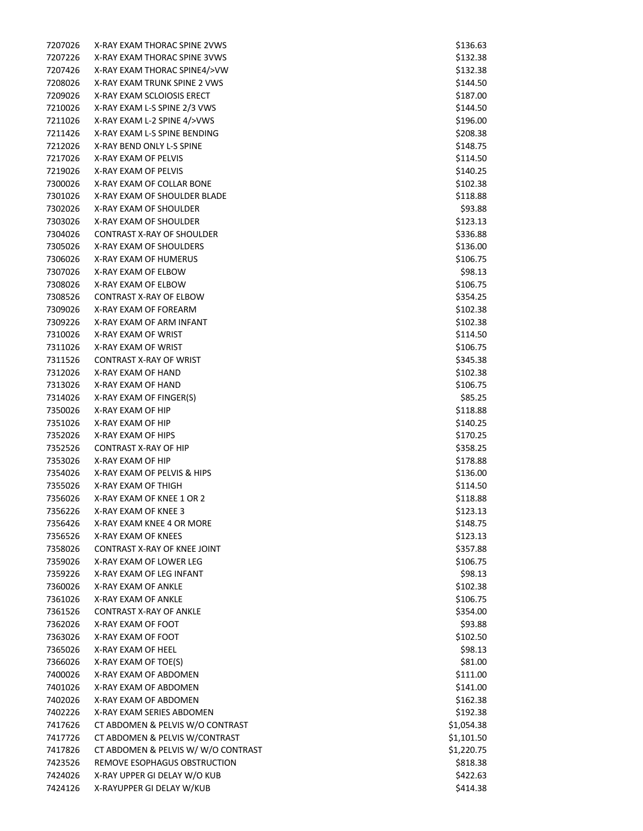| 7207026 | X-RAY EXAM THORAC SPINE 2VWS       | \$136.63   |
|---------|------------------------------------|------------|
| 7207226 | X-RAY EXAM THORAC SPINE 3VWS       | \$132.38   |
| 7207426 | X-RAY EXAM THORAC SPINE4/>VW       | \$132.38   |
| 7208026 | X-RAY EXAM TRUNK SPINE 2 VWS       | \$144.50   |
| 7209026 | X-RAY EXAM SCLOIOSIS ERECT         | \$187.00   |
| 7210026 | X-RAY EXAM L-S SPINE 2/3 VWS       | \$144.50   |
| 7211026 | X-RAY EXAM L-2 SPINE 4/>VWS        | \$196.00   |
| 7211426 | X-RAY EXAM L-S SPINE BENDING       | \$208.38   |
| 7212026 | X-RAY BEND ONLY L-S SPINE          | \$148.75   |
| 7217026 | X-RAY EXAM OF PELVIS               | \$114.50   |
| 7219026 | X-RAY EXAM OF PELVIS               | \$140.25   |
| 7300026 | X-RAY EXAM OF COLLAR BONE          | \$102.38   |
| 7301026 | X-RAY EXAM OF SHOULDER BLADE       | \$118.88   |
| 7302026 | X-RAY EXAM OF SHOULDER             | \$93.88    |
| 7303026 | X-RAY EXAM OF SHOULDER             | \$123.13   |
| 7304026 | <b>CONTRAST X-RAY OF SHOULDER</b>  | \$336.88   |
| 7305026 | X-RAY EXAM OF SHOULDERS            | \$136.00   |
| 7306026 | X-RAY EXAM OF HUMERUS              | \$106.75   |
| 7307026 | <b>X-RAY EXAM OF ELBOW</b>         | \$98.13    |
| 7308026 | X-RAY EXAM OF ELBOW                | \$106.75   |
| 7308526 | CONTRAST X-RAY OF ELBOW            | \$354.25   |
|         |                                    |            |
| 7309026 | X-RAY EXAM OF FOREARM              | \$102.38   |
| 7309226 | X-RAY EXAM OF ARM INFANT           | \$102.38   |
| 7310026 | X-RAY EXAM OF WRIST                | \$114.50   |
| 7311026 | X-RAY EXAM OF WRIST                | \$106.75   |
| 7311526 | <b>CONTRAST X-RAY OF WRIST</b>     | \$345.38   |
| 7312026 | X-RAY EXAM OF HAND                 | \$102.38   |
| 7313026 | X-RAY EXAM OF HAND                 | \$106.75   |
| 7314026 | X-RAY EXAM OF FINGER(S)            | \$85.25    |
| 7350026 | X-RAY EXAM OF HIP                  | \$118.88   |
| 7351026 | X-RAY EXAM OF HIP                  | \$140.25   |
| 7352026 | X-RAY EXAM OF HIPS                 | \$170.25   |
| 7352526 | <b>CONTRAST X-RAY OF HIP</b>       | \$358.25   |
| 7353026 | X-RAY EXAM OF HIP                  | \$178.88   |
| 7354026 | X-RAY EXAM OF PELVIS & HIPS        | \$136.00   |
| 7355026 | X-RAY EXAM OF THIGH                | \$114.50   |
| 7356026 | X-RAY EXAM OF KNEE 1 OR 2          | \$118.88   |
| 7356226 | X-RAY EXAM OF KNEE 3               | \$123.13   |
| 7356426 | X-RAY EXAM KNEE 4 OR MORE          | \$148.75   |
| 7356526 | X-RAY EXAM OF KNEES                | \$123.13   |
| 7358026 | CONTRAST X-RAY OF KNEE JOINT       | \$357.88   |
| 7359026 | X-RAY EXAM OF LOWER LEG            | \$106.75   |
| 7359226 | X-RAY EXAM OF LEG INFANT           | \$98.13    |
| 7360026 | X-RAY EXAM OF ANKLE                | \$102.38   |
| 7361026 | X-RAY EXAM OF ANKLE                | \$106.75   |
| 7361526 | <b>CONTRAST X-RAY OF ANKLE</b>     | \$354.00   |
| 7362026 | X-RAY EXAM OF FOOT                 | \$93.88    |
| 7363026 | X-RAY EXAM OF FOOT                 | \$102.50   |
| 7365026 | X-RAY EXAM OF HEEL                 | \$98.13    |
| 7366026 | X-RAY EXAM OF TOE(S)               | \$81.00    |
| 7400026 | X-RAY EXAM OF ABDOMEN              | \$111.00   |
| 7401026 | X-RAY EXAM OF ABDOMEN              | \$141.00   |
| 7402026 | X-RAY EXAM OF ABDOMEN              | \$162.38   |
| 7402226 | X-RAY EXAM SERIES ABDOMEN          | \$192.38   |
| 7417626 | CT ABDOMEN & PELVIS W/O CONTRAST   | \$1,054.38 |
| 7417726 | CT ABDOMEN & PELVIS W/CONTRAST     | \$1,101.50 |
| 7417826 | CT ABDOMEN & PELVIS W/W/O CONTRAST | \$1,220.75 |
| 7423526 | REMOVE ESOPHAGUS OBSTRUCTION       | \$818.38   |
| 7424026 | X-RAY UPPER GI DELAY W/O KUB       | \$422.63   |
| 7424126 | X-RAYUPPER GI DELAY W/KUB          | \$414.38   |
|         |                                    |            |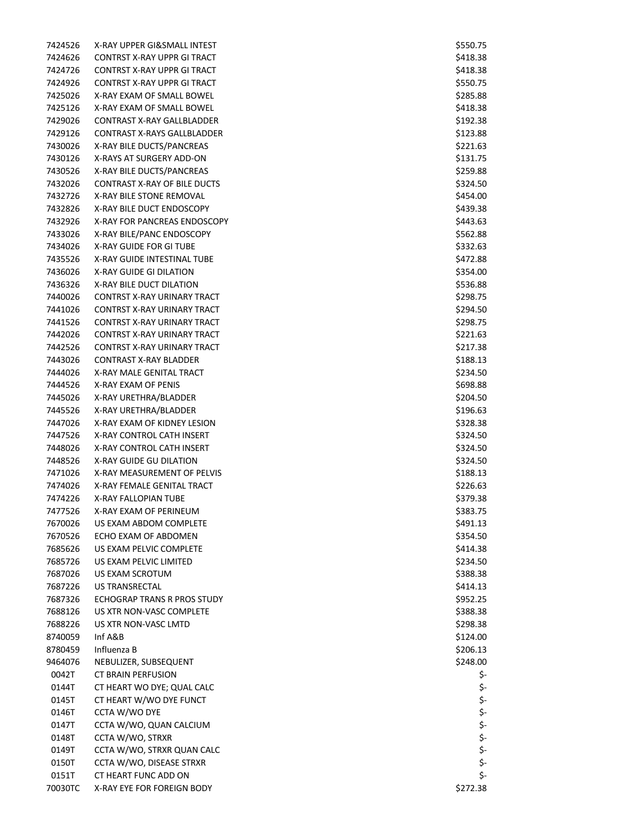7424526 X -RAY UPPER GI&SMALL INTEST \$550.75 7424626 CONTRST X -RAY UPPR GI TRACT \$418.38 7424726 CONTRST X -RAY UPPR GI TRACT \$418.38 7424926 CONTRST X -RAY UPPR GI TRACT \$550.75 7425026 X-RAY EXAM OF SMALL BOWEL ALLOWING THE SERVICE OF SAME STATES AND STATES AND STATES AND STATES AND STATES AND S 7425126 X-RAY EXAM OF SMALL BOWEL ALLOWING THE SALE OF SALE SALE SALES AND SALE SALES AND SALE SALE SALE SALE SALE SALE 7429026 CONTRAST X -RAY GALLBLADDER \$192.38 7429126 CONTRAST X -RAYS GALLBLADDER \$123.88 7430026 X-RAY BILE DUCTS/PANCREAS **bilitary and the contract of the contract of the contract of the contract of the contract of the contract of the contract of the contract of the contract of the contract of the contract of the co** 7430126 X -RAYS AT SURGERY ADD -ON \$131.75 7430526 X -RAY BILE DUCTS/PANCREAS \$259.88 7432026 CONTRAST X -RAY OF BILE DUCTS \$324.50 7432726 X-RAY BILE STONE REMOVAL **And the Second Contract of Second Contract Contract Contract Contract Contract Contract Contract Contract Contract Contract Contract Contract Contract Contract Contract Contract Contract Contract** 7432826 X-RAY BILE DUCT ENDOSCOPY **\$439.38** \$439.38 7432926 X-RAY FOR PANCREAS ENDOSCOPY **\$443.63** \$443.63 7433026 X-RAY BILE/PANC ENDOSCOPY **\$562.88** \$562.88 7434026 X-RAY GUIDE FOR GI TUBE \$332.63 and \$332.63 and \$332.63 and \$332.63 and \$332.63 and \$332.63 and \$332.63 and \$332.63 and \$332.63 and \$332.63 and \$332.63 and \$332.63 and \$332.63 and \$332.63 and \$332.63 and \$332.63 and \$332.6 7435526 X-RAY GUIDE INTESTINAL TUBE \$472.88 7436026 X -RAY GUIDE GI DILATION \$354.00 7436326 X-RAY BILE DUCT DILATION AND SENSION SERVICES AND STRUCK AND STRUCK AND STRUCK AND STRUCK AND STRUCK AND STRUCK 7440026 CONTRST X -RAY URINARY TRACT \$298.75 7441026 CONTRST X -RAY URINARY TRACT \$294.50 7441526 CONTRST X -RAY URINARY TRACT \$298.75 7442026 CONTRST X -RAY URINARY TRACT \$221.63 7442526 CONTRST X -RAY URINARY TRACT \$217.38 7443026 CONTRAST X -RAY BLADDER \$188.13 7444026 X -RAY MALE GENITAL TRACT \$234.50 7444526 X-RAY EXAM OF PENIS NORTH STATES AND THE SEPARATE SERVICE SERVICE SERVICE SERVICE SERVICE SERVICE SERVICE SERVICE SERVICE SERVICE SERVICE SERVICE SERVICE SERVICE SERVICE SERVICE SERVICE SERVICE SERVICE SERVICE SERVICE SERV 7445026 X -RAY URETHRA/BLADDER \$204.50 7445526 X -RAY URETHRA/BLADDER \$196.63 7447026 X-RAY EXAM OF KIDNEY LESION **\$328.38** \$328.38 7447526 X -RAY CONTROL CATH INSERT \$324.50 7448026 X -RAY CONTROL CATH INSERT \$324.50 7448526 X -RAY GUIDE GU DILATION \$324.50 7471026 X -RAY MEASUREMENT OF PELVIS \$188.13 7474026 X -RAY FEMALE GENITAL TRACT \$226.63 7474226 X-RAY FALLOPIAN TUBE \$379.38 \$379.38 7477526 X-RAY EXAM OF PERINEUM **\$383.75** and \$383.75 7670026 US EXAM ABDOM COMPLETE \$491.13 7670526 ECHO EXAM OF ABDOMEN \$354.50 7685626 US EXAM PELVIC COMPLETE \$414.38 7685726 US EXAM PELVIC LIMITED \$234.50 7687026 US EXAM SCROTUM \$388.38 7687226 US TRANSRECTAL \$414.13 7687326 ECHOGRAP TRANS R PROS STUDY \$952.25 7688126 US XTR NON -VASC COMPLETE \$388.38 7688226 US XTR NON -VASC LMTD \$298.38  $8740059$  Inf A&B  $$124.00$  $8780459$  Influenza B  $$206.13$ 9464076 NEBULIZER, SUBSEQUENT \$248.00 0042T CT BRAIN PERFUSION 0144T CT HEART WO DYE; QUAL CALC 0145T CT HEART W/WO DYE FUNCT 0146T CCTA W/WO DYE 0147T CCTA W/WO, QUAN CALCIUM 0148T CCTA W/WO, STRXR 0149T CCTA W/WO, STRXR QUAN CALC 0150T CCTA W/WO, DISEASE STRXR 0151T CT HEART FUNC ADD ON 70030TC X-RAY EYE FOR FOREIGN BODY **\$272.38** \$272.38

\$ - \$ - \$ - \$ - \$ - \$ - \$ - \$ - \$ -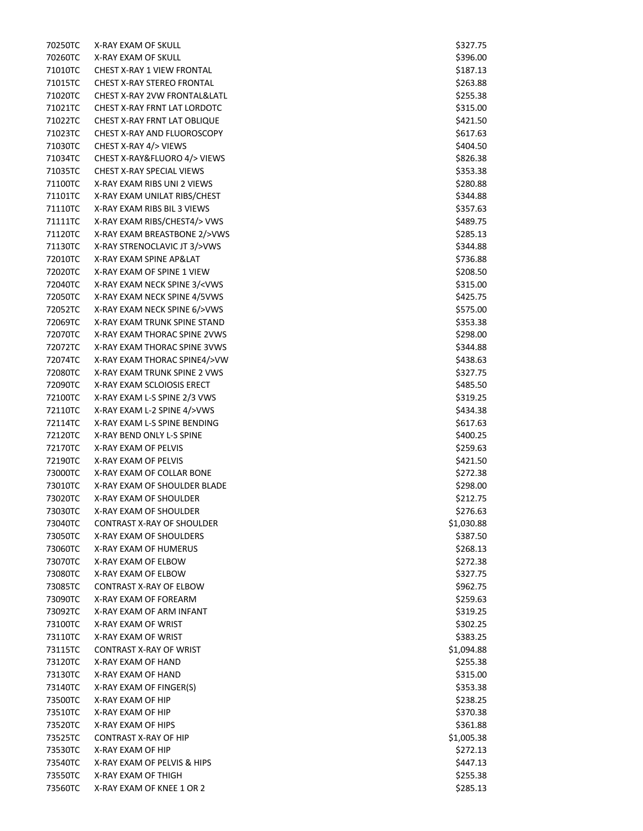70250TC X-RAY EXAM OF SKULL AND RESOLUTION OF SALE AND STRUCK AND SALE AND STRUCK AND STRUCK AND STRUCK AND STRUCK AND 70260TC X-RAY EXAM OF SKULL AND RESOLUTION OF SALE AND RESOLUTION OF SALE AND STRUCK AND STRUCK AND STRUCK AND STRUCK 71010TC CHEST X-RAY 1 VIEW FRONTAL **1999 120 120 120 120 120 120 120 120 120 13** 137.13 71015TC CHEST X-RAY STEREO FRONTAL **And The CHEST STEREO FRONTAL 3263.88** 71020TC CHEST X-RAY 2VW FRONTAL&LATL \$255.38 71021TC CHEST X-RAY FRNT LAT LORDOTC **\$315.00** \$315.00 71022TC CHEST X-RAY FRNT LAT OBLIQUE THE SAME SERVICE STATES AND STATES AND SALL SO SALL SO SALL SO SALL SO SA 71023TC CHEST X -RAY AND FLUOROSCOPY \$617.63 71030TC CHEST X -RAY 4/> VIEWS \$404.50 71034TC -RAY&FLUORO 4/> VIEWS \$826.38 \$826.38 71035TC CHEST X-RAY SPECIAL VIEWS **\$353.38** 71100TC X-RAY EXAM RIBS UNI 2 VIEWS \$280.88 \$280.88 71101TC X-RAY EXAM UNILAT RIBS/CHEST \$344.88 \$344.88 71110TC X-RAY EXAM RIBS BIL 3 VIEWS \$457.63 \$357.63 71111TC X-RAY EXAM RIBS/CHEST4/> VWS \$489.75 71120TC X-RAY EXAM BREASTBONE 2/>VWS \$285.13 71130TC X-RAY STRENOCLAVIC JT 3/>VWS \$344.88 72010TC X -RAY EXAM SPINE AP&LAT \$736.88 72020TC X-RAY EXAM OF SPINE 1 VIEW \$208.50 72040TC X-RAY EXAM NECK SPINE 3/<VWS \$315.00 72050TC X-RAY EXAM NECK SPINE 4/5VWS \$425.75 72052TC X-RAY EXAM NECK SPINE 6/>VWS \$575.00 72069TC X-RAY EXAM TRUNK SPINE STAND \$353.38 \$353.38 \$ 72070TC X-RAY EXAM THORAC SPINE 2VWS \$298.00 \$298.00 72072TC X-RAY EXAM THORAC SPINE 3VWS \$344.88 \$344.88 72074TC X-RAY EXAM THORAC SPINE4/>VW \$438.63 72080TC X-RAY EXAM TRUNK SPINE 2 VWS \$427.75 \$327.75 72090TC X-RAY EXAM SCLOIOSIS ERECT ALL AND THE SAME SERVICE OF SAME SERVICE STATES AND SAME SAME SAME SAME SAME SAME S 72100TC X-RAY EXAM L-S SPINE 2/3 VWS \$319.25 72110TC X-RAY EXAM L-2 SPINE 4/>VWS \$434.38 72114TC X-RAY EXAM L-S SPINE BENDING  $$617.63$ 72120TC X -RAY BEND ONLY L  $-$ S SPINE  $\leq$ 72170TC X -RAY EXAM OF PELVIS \$259.63 72190TC X-RAY EXAM OF PELVIS **All and Security Contract Contract Contract Contract Contract Contract Contract Contract Contract Contract Contract Contract Contract Contract Contract Contract Contract Contract Contract Contract Con** 73000TC X-RAY EXAM OF COLLAR BONE \$272.38 73010TC X-RAY EXAM OF SHOULDER BLADE \$298.00 \$298.00 73020TC X-RAY EXAM OF SHOULDER **\$212.75** 73030TC X-RAY EXAM OF SHOULDER **\$276.63** and \$276.63 73040TC CONTRAST X -RAY OF SHOULDER \$1,030.88 73050TC X-RAY EXAM OF SHOULDERS **\$287.50** \$387.50 73060TC X-RAY EXAM OF HUMERUS AND RESERVE THE SERVE OF SALES AND THE SALES AND STRIKE STRIKE STRIKE STRIKE STRIKE STRI 73070TC X-RAY EXAM OF ELBOW **\$272.38** 73080TC X-RAY EXAM OF ELBOW \$227.75 73085TC CONTRAST X -RAY OF ELBOW \$962.75 73090TC X-RAY EXAM OF FOREARM  $$259.63$ 73092TC X-RAY EXAM OF ARM INFANT NAMEL AND SOLUTION OF ARM INFANT SALES AND STRIKE A SAME STRIKE AND STRIKE A STRIKE S 73100TC X-RAY EXAM OF WRIST **the UNITED STATES ASSESSED A** STATES AND THE STATES AND A STATES ASSOCTED A STATES AND STATES 73110TC X-RAY EXAM OF WRIST NORTH STATES AND THE SAME STATES OF SAME STATES AND STATES AND STATES AND STATES AND STATES 73115TC CONTRAST X-RAY OF WRIST  $\sim$  81,094.88 73120TC X-RAY EXAM OF HAND \$255.38 73130TC X-RAY EXAM OF HAND \$315.00 73140TC X -RAY EXAM OF FINGER(S) \$353.38 73500TC X -RAY EXAM OF HIP \$238.25 73510TC X-RAY EXAM OF HIP \$370.38 73520TC X-RAY EXAM OF HIPS \$361.88 73525TC CONTRAST X -RAY OF HIP \$1,005.38 73530TC X-RAY EXAM OF HIP \$272.13 73540TC X-RAY EXAM OF PELVIS & HIPS  $\lesssim 447.13$ 73550TC X-RAY EXAM OF THIGH \$255.38 (1) THE SERVE TO A SAME STOLEN. THE SAME STOLEN STOLEN STOLEN STOLEN STOLEN STOLEN 73560TC X-RAY EXAM OF KNEE 1 OR 2 \$285.13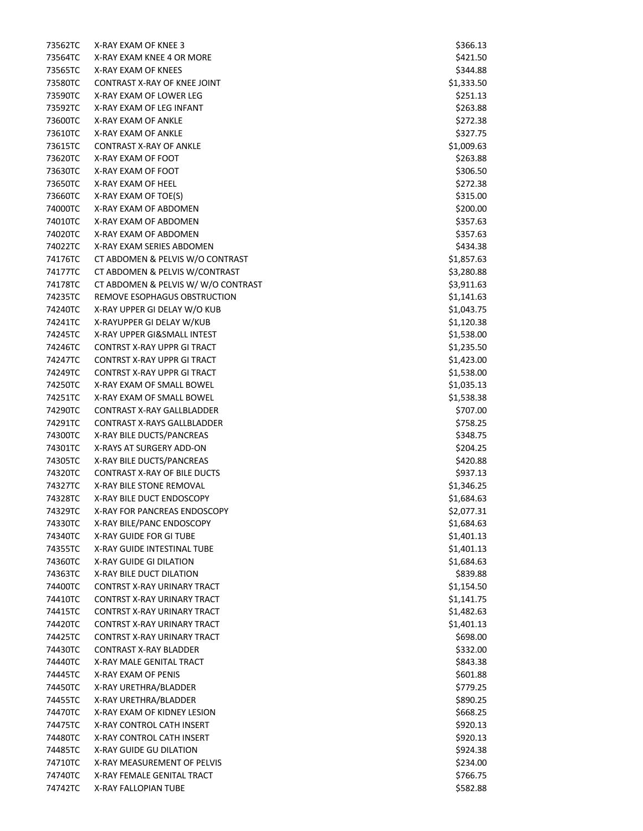| 73562TC | X-RAY EXAM OF KNEE 3                | \$366.13   |
|---------|-------------------------------------|------------|
| 73564TC | X-RAY EXAM KNEE 4 OR MORE           | \$421.50   |
| 73565TC | X-RAY EXAM OF KNEES                 | \$344.88   |
| 73580TC | CONTRAST X-RAY OF KNEE JOINT        | \$1,333.50 |
| 73590TC | X-RAY EXAM OF LOWER LEG             | \$251.13   |
| 73592TC | X-RAY EXAM OF LEG INFANT            | \$263.88   |
| 73600TC | <b>X-RAY EXAM OF ANKLE</b>          | \$272.38   |
| 73610TC | X-RAY EXAM OF ANKLE                 | \$327.75   |
| 73615TC | <b>CONTRAST X-RAY OF ANKLE</b>      | \$1,009.63 |
| 73620TC | X-RAY EXAM OF FOOT                  | \$263.88   |
| 73630TC | X-RAY EXAM OF FOOT                  | \$306.50   |
| 73650TC | X-RAY EXAM OF HEEL                  | \$272.38   |
| 73660TC | X-RAY EXAM OF TOE(S)                | \$315.00   |
| 74000TC | X-RAY EXAM OF ABDOMEN               | \$200.00   |
| 74010TC | X-RAY EXAM OF ABDOMEN               | \$357.63   |
| 74020TC | X-RAY EXAM OF ABDOMEN               | \$357.63   |
| 74022TC | X-RAY EXAM SERIES ABDOMEN           | \$434.38   |
| 74176TC | CT ABDOMEN & PELVIS W/O CONTRAST    | \$1,857.63 |
| 74177TC | CT ABDOMEN & PELVIS W/CONTRAST      | \$3,280.88 |
| 74178TC | CT ABDOMEN & PELVIS W/W/O CONTRAST  | \$3,911.63 |
| 74235TC | REMOVE ESOPHAGUS OBSTRUCTION        | \$1,141.63 |
| 74240TC | X-RAY UPPER GI DELAY W/O KUB        | \$1,043.75 |
| 74241TC | X-RAYUPPER GI DELAY W/KUB           | \$1,120.38 |
| 74245TC | X-RAY UPPER GI&SMALL INTEST         | \$1,538.00 |
| 74246TC | <b>CONTRST X-RAY UPPR GI TRACT</b>  | \$1,235.50 |
| 74247TC | <b>CONTRST X-RAY UPPR GI TRACT</b>  | \$1,423.00 |
| 74249TC | <b>CONTRST X-RAY UPPR GI TRACT</b>  | \$1,538.00 |
| 74250TC | X-RAY EXAM OF SMALL BOWEL           | \$1,035.13 |
| 74251TC | X-RAY EXAM OF SMALL BOWEL           | \$1,538.38 |
| 74290TC | <b>CONTRAST X-RAY GALLBLADDER</b>   | \$707.00   |
| 74291TC | <b>CONTRAST X-RAYS GALLBLADDER</b>  | \$758.25   |
| 74300TC | X-RAY BILE DUCTS/PANCREAS           | \$348.75   |
| 74301TC | X-RAYS AT SURGERY ADD-ON            | \$204.25   |
| 74305TC | X-RAY BILE DUCTS/PANCREAS           | \$420.88   |
| 74320TC | <b>CONTRAST X-RAY OF BILE DUCTS</b> | \$937.13   |
| 74327TC | X-RAY BILE STONE REMOVAL            | \$1,346.25 |
| 74328TC | X-RAY BILE DUCT ENDOSCOPY           | \$1,684.63 |
| 74329TC | X-RAY FOR PANCREAS ENDOSCOPY        | \$2,077.31 |
| 74330TC | X-RAY BILE/PANC ENDOSCOPY           | \$1,684.63 |
| 74340TC | X-RAY GUIDE FOR GI TUBE             | \$1,401.13 |
| 74355TC | X-RAY GUIDE INTESTINAL TUBE         | \$1,401.13 |
| 74360TC | X-RAY GUIDE GI DILATION             | \$1,684.63 |
| 74363TC | X-RAY BILE DUCT DILATION            | \$839.88   |
| 74400TC | <b>CONTRST X-RAY URINARY TRACT</b>  | \$1,154.50 |
| 74410TC | CONTRST X-RAY URINARY TRACT         | \$1,141.75 |
| 74415TC | CONTRST X-RAY URINARY TRACT         | \$1,482.63 |
| 74420TC | <b>CONTRST X-RAY URINARY TRACT</b>  | \$1,401.13 |
| 74425TC | CONTRST X-RAY URINARY TRACT         | \$698.00   |
| 74430TC | <b>CONTRAST X-RAY BLADDER</b>       | \$332.00   |
| 74440TC | X-RAY MALE GENITAL TRACT            | \$843.38   |
| 74445TC | X-RAY EXAM OF PENIS                 | \$601.88   |
| 74450TC | X-RAY URETHRA/BLADDER               | \$779.25   |
| 74455TC | X-RAY URETHRA/BLADDER               | \$890.25   |
| 74470TC | X-RAY EXAM OF KIDNEY LESION         | \$668.25   |
| 74475TC | X-RAY CONTROL CATH INSERT           | \$920.13   |
| 74480TC | X-RAY CONTROL CATH INSERT           | \$920.13   |
| 74485TC | X-RAY GUIDE GU DILATION             | \$924.38   |
| 74710TC | X-RAY MEASUREMENT OF PELVIS         | \$234.00   |
| 74740TC | X-RAY FEMALE GENITAL TRACT          | \$766.75   |
| 74742TC | X-RAY FALLOPIAN TUBE                | \$582.88   |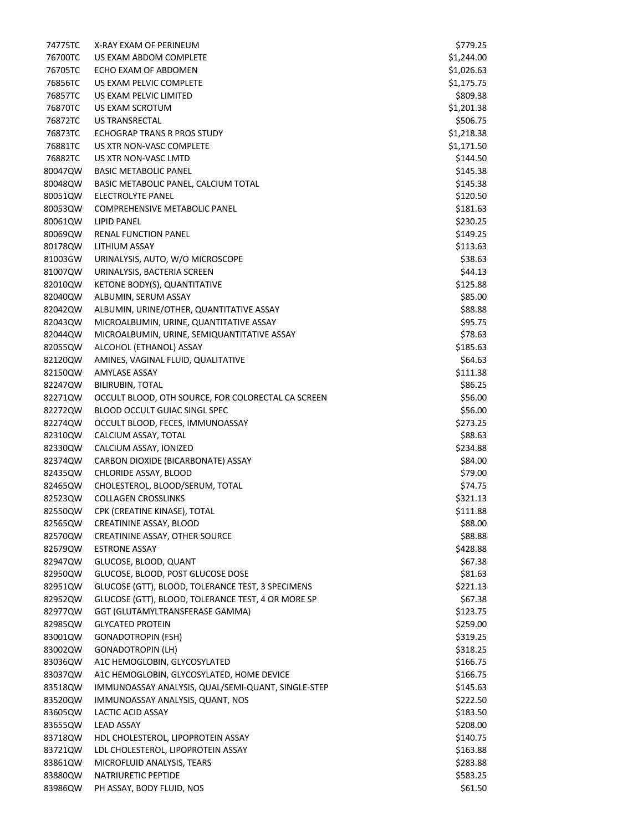| 74775TC | X-RAY EXAM OF PERINEUM                             | \$779.25   |
|---------|----------------------------------------------------|------------|
| 76700TC | US EXAM ABDOM COMPLETE                             | \$1,244.00 |
| 76705TC | ECHO EXAM OF ABDOMEN                               | \$1,026.63 |
| 76856TC | US EXAM PELVIC COMPLETE                            | \$1,175.75 |
| 76857TC | US EXAM PELVIC LIMITED                             | \$809.38   |
| 76870TC | US EXAM SCROTUM                                    | \$1,201.38 |
| 76872TC | US TRANSRECTAL                                     | \$506.75   |
| 76873TC | ECHOGRAP TRANS R PROS STUDY                        | \$1,218.38 |
| 76881TC | US XTR NON-VASC COMPLETE                           | \$1,171.50 |
| 76882TC | US XTR NON-VASC LMTD                               | \$144.50   |
| 80047QW | <b>BASIC METABOLIC PANEL</b>                       | \$145.38   |
| 80048QW | BASIC METABOLIC PANEL, CALCIUM TOTAL               | \$145.38   |
| 80051QW | ELECTROLYTE PANEL                                  | \$120.50   |
| 80053QW | <b>COMPREHENSIVE METABOLIC PANEL</b>               | \$181.63   |
| 80061QW | <b>LIPID PANEL</b>                                 |            |
|         |                                                    | \$230.25   |
| 80069QW | <b>RENAL FUNCTION PANEL</b>                        | \$149.25   |
| 80178QW | LITHIUM ASSAY                                      | \$113.63   |
| 81003GW | URINALYSIS, AUTO, W/O MICROSCOPE                   | \$38.63    |
| 81007QW | URINALYSIS, BACTERIA SCREEN                        | \$44.13    |
| 82010QW | KETONE BODY(S), QUANTITATIVE                       | \$125.88   |
| 82040QW | ALBUMIN, SERUM ASSAY                               | \$85.00    |
| 82042QW | ALBUMIN, URINE/OTHER, QUANTITATIVE ASSAY           | \$88.88    |
| 82043QW | MICROALBUMIN, URINE, QUANTITATIVE ASSAY            | \$95.75    |
| 82044QW | MICROALBUMIN, URINE, SEMIQUANTITATIVE ASSAY        | \$78.63    |
| 82055QW | ALCOHOL (ETHANOL) ASSAY                            | \$185.63   |
| 82120QW | AMINES, VAGINAL FLUID, QUALITATIVE                 | \$64.63    |
| 82150QW | <b>AMYLASE ASSAY</b>                               | \$111.38   |
| 82247QW | <b>BILIRUBIN, TOTAL</b>                            | \$86.25    |
| 82271QW | OCCULT BLOOD, OTH SOURCE, FOR COLORECTAL CA SCREEN | \$56.00    |
| 82272QW | BLOOD OCCULT GUIAC SINGL SPEC                      | \$56.00    |
| 82274QW | OCCULT BLOOD, FECES, IMMUNOASSAY                   | \$273.25   |
| 82310QW | CALCIUM ASSAY, TOTAL                               | \$88.63    |
| 82330QW | CALCIUM ASSAY, IONIZED                             | \$234.88   |
| 82374QW | CARBON DIOXIDE (BICARBONATE) ASSAY                 | \$84.00    |
| 82435QW | CHLORIDE ASSAY, BLOOD                              | \$79.00    |
| 82465QW | CHOLESTEROL, BLOOD/SERUM, TOTAL                    | \$74.75    |
| 82523QW | <b>COLLAGEN CROSSLINKS</b>                         | \$321.13   |
| 82550QW | CPK (CREATINE KINASE), TOTAL                       | \$111.88   |
| 82565QW | CREATININE ASSAY, BLOOD                            | \$88.00    |
| 82570QW | CREATININE ASSAY, OTHER SOURCE                     | \$88.88    |
| 82679QW | <b>ESTRONE ASSAY</b>                               | \$428.88   |
| 82947QW | GLUCOSE, BLOOD, QUANT                              | \$67.38    |
| 82950QW | GLUCOSE, BLOOD, POST GLUCOSE DOSE                  | \$81.63    |
| 82951QW | GLUCOSE (GTT), BLOOD, TOLERANCE TEST, 3 SPECIMENS  | \$221.13   |
| 82952QW | GLUCOSE (GTT), BLOOD, TOLERANCE TEST, 4 OR MORE SP | \$67.38    |
| 82977QW | GGT (GLUTAMYLTRANSFERASE GAMMA)                    | \$123.75   |
| 82985QW | <b>GLYCATED PROTEIN</b>                            | \$259.00   |
|         | <b>GONADOTROPIN (FSH)</b>                          |            |
| 83001QW |                                                    | \$319.25   |
| 83002QW | <b>GONADOTROPIN (LH)</b>                           | \$318.25   |
| 83036QW | A1C HEMOGLOBIN, GLYCOSYLATED                       | \$166.75   |
| 83037QW | A1C HEMOGLOBIN, GLYCOSYLATED, HOME DEVICE          | \$166.75   |
| 83518QW | IMMUNOASSAY ANALYSIS, QUAL/SEMI-QUANT, SINGLE-STEP | \$145.63   |
| 83520QW | IMMUNOASSAY ANALYSIS, QUANT, NOS                   | \$222.50   |
| 83605QW | LACTIC ACID ASSAY                                  | \$183.50   |
| 83655QW | <b>LEAD ASSAY</b>                                  | \$208.00   |
| 83718QW | HDL CHOLESTEROL, LIPOPROTEIN ASSAY                 | \$140.75   |
| 83721QW | LDL CHOLESTEROL, LIPOPROTEIN ASSAY                 | \$163.88   |
| 83861QW | MICROFLUID ANALYSIS, TEARS                         | \$283.88   |
| 83880QW | NATRIURETIC PEPTIDE                                | \$583.25   |
| 83986QW | PH ASSAY, BODY FLUID, NOS                          | \$61.50    |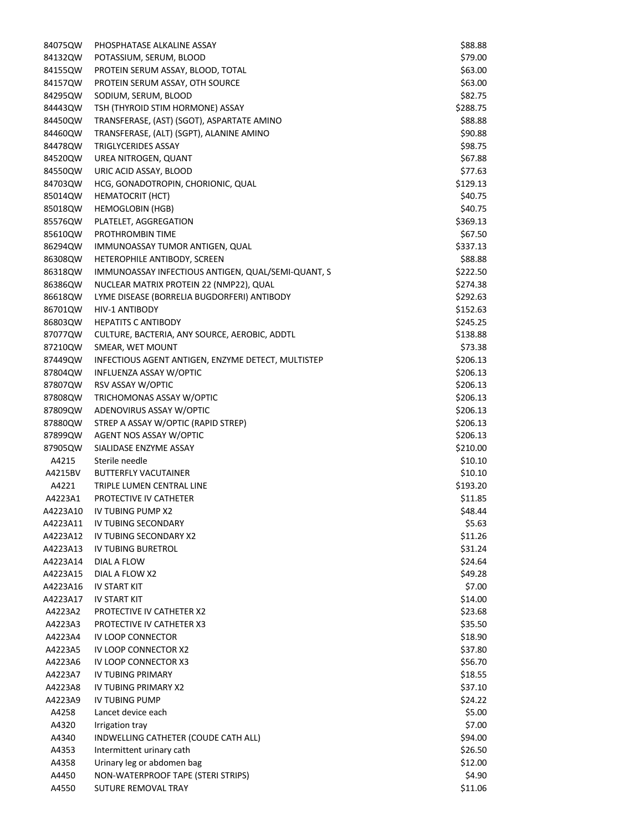| 84075QW  | PHOSPHATASE ALKALINE ASSAY                         | \$88.88  |
|----------|----------------------------------------------------|----------|
| 84132QW  | POTASSIUM, SERUM, BLOOD                            | \$79.00  |
| 84155QW  | PROTEIN SERUM ASSAY, BLOOD, TOTAL                  | \$63.00  |
| 84157QW  | PROTEIN SERUM ASSAY, OTH SOURCE                    | \$63.00  |
| 84295QW  | SODIUM, SERUM, BLOOD                               | \$82.75  |
| 84443QW  | TSH (THYROID STIM HORMONE) ASSAY                   | \$288.75 |
| 84450QW  | TRANSFERASE, (AST) (SGOT), ASPARTATE AMINO         | \$88.88  |
| 84460QW  | TRANSFERASE, (ALT) (SGPT), ALANINE AMINO           | \$90.88  |
| 84478QW  | TRIGLYCERIDES ASSAY                                | \$98.75  |
| 84520QW  | UREA NITROGEN, QUANT                               | \$67.88  |
|          |                                                    |          |
| 84550QW  | URIC ACID ASSAY, BLOOD                             | \$77.63  |
| 84703QW  | HCG, GONADOTROPIN, CHORIONIC, QUAL                 | \$129.13 |
| 85014QW  | <b>HEMATOCRIT (HCT)</b>                            | \$40.75  |
| 85018QW  | <b>HEMOGLOBIN (HGB)</b>                            | \$40.75  |
| 85576QW  | PLATELET, AGGREGATION                              | \$369.13 |
| 85610QW  | PROTHROMBIN TIME                                   | \$67.50  |
| 86294QW  | IMMUNOASSAY TUMOR ANTIGEN, QUAL                    | \$337.13 |
| 86308QW  | HETEROPHILE ANTIBODY, SCREEN                       | \$88.88  |
| 86318QW  | IMMUNOASSAY INFECTIOUS ANTIGEN, QUAL/SEMI-QUANT, S | \$222.50 |
| 86386QW  | NUCLEAR MATRIX PROTEIN 22 (NMP22), QUAL            | \$274.38 |
| 86618QW  | LYME DISEASE (BORRELIA BUGDORFERI) ANTIBODY        | \$292.63 |
| 86701QW  | <b>HIV-1 ANTIBODY</b>                              | \$152.63 |
| 86803QW  | <b>HEPATITS C ANTIBODY</b>                         | \$245.25 |
| 87077QW  | CULTURE, BACTERIA, ANY SOURCE, AEROBIC, ADDTL      | \$138.88 |
| 87210QW  | SMEAR, WET MOUNT                                   | \$73.38  |
| 87449QW  | INFECTIOUS AGENT ANTIGEN, ENZYME DETECT, MULTISTEP | \$206.13 |
| 87804QW  | INFLUENZA ASSAY W/OPTIC                            | \$206.13 |
| 87807QW  | RSV ASSAY W/OPTIC                                  | \$206.13 |
| 87808QW  | TRICHOMONAS ASSAY W/OPTIC                          |          |
|          |                                                    | \$206.13 |
| 87809QW  | ADENOVIRUS ASSAY W/OPTIC                           | \$206.13 |
| 87880QW  | STREP A ASSAY W/OPTIC (RAPID STREP)                | \$206.13 |
| 87899QW  | AGENT NOS ASSAY W/OPTIC                            | \$206.13 |
| 87905QW  | SIALIDASE ENZYME ASSAY                             | \$210.00 |
| A4215    | Sterile needle                                     | \$10.10  |
| A4215BV  | <b>BUTTERFLY VACUTAINER</b>                        | \$10.10  |
| A4221    | TRIPLE LUMEN CENTRAL LINE                          | \$193.20 |
| A4223A1  | PROTECTIVE IV CATHETER                             | \$11.85  |
| A4223A10 | IV TUBING PUMP X2                                  | \$48.44  |
| A4223A11 | IV TUBING SECONDARY                                | \$5.63   |
| A4223A12 | <b>IV TUBING SECONDARY X2</b>                      | \$11.26  |
| A4223A13 | IV TUBING BURETROL                                 | \$31.24  |
| A4223A14 | DIAL A FLOW                                        | \$24.64  |
| A4223A15 | DIAL A FLOW X2                                     | \$49.28  |
| A4223A16 | IV START KIT                                       | \$7.00   |
| A4223A17 | IV START KIT                                       | \$14.00  |
| A4223A2  | PROTECTIVE IV CATHETER X2                          | \$23.68  |
| A4223A3  | PROTECTIVE IV CATHETER X3                          | \$35.50  |
| A4223A4  | IV LOOP CONNECTOR                                  | \$18.90  |
|          |                                                    |          |
| A4223A5  | IV LOOP CONNECTOR X2                               | \$37.80  |
| A4223A6  | IV LOOP CONNECTOR X3                               | \$56.70  |
| A4223A7  | IV TUBING PRIMARY                                  | \$18.55  |
| A4223A8  | IV TUBING PRIMARY X2                               | \$37.10  |
| A4223A9  | IV TUBING PUMP                                     | \$24.22  |
| A4258    | Lancet device each                                 | \$5.00   |
| A4320    | Irrigation tray                                    | \$7.00   |
| A4340    | INDWELLING CATHETER (COUDE CATH ALL)               | \$94.00  |
| A4353    | Intermittent urinary cath                          | \$26.50  |
| A4358    | Urinary leg or abdomen bag                         | \$12.00  |
| A4450    | NON-WATERPROOF TAPE (STERI STRIPS)                 | \$4.90   |
| A4550    | SUTURE REMOVAL TRAY                                | \$11.06  |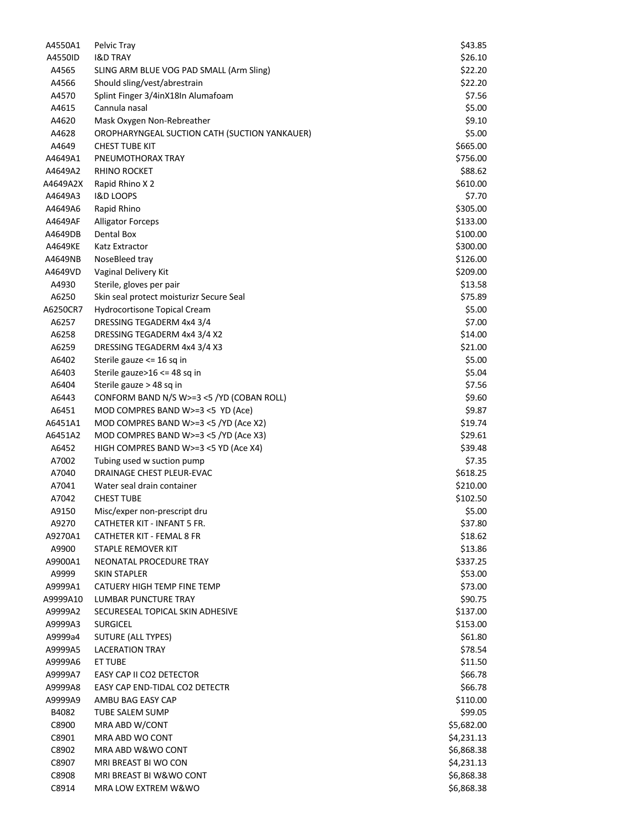| A4550A1  | Pelvic Tray                                   | \$43.85    |
|----------|-----------------------------------------------|------------|
| A4550ID  | <b>I&amp;D TRAY</b>                           | \$26.10    |
| A4565    | SLING ARM BLUE VOG PAD SMALL (Arm Sling)      | \$22.20    |
| A4566    | Should sling/vest/abrestrain                  | \$22.20    |
| A4570    | Splint Finger 3/4inX18In Alumafoam            | \$7.56     |
| A4615    | Cannula nasal                                 | \$5.00     |
| A4620    | Mask Oxygen Non-Rebreather                    | \$9.10     |
| A4628    | OROPHARYNGEAL SUCTION CATH (SUCTION YANKAUER) | \$5.00     |
| A4649    | <b>CHEST TUBE KIT</b>                         | \$665.00   |
| A4649A1  | PNEUMOTHORAX TRAY                             | \$756.00   |
| A4649A2  | <b>RHINO ROCKET</b>                           | \$88.62    |
|          |                                               |            |
| A4649A2X | Rapid Rhino X 2                               | \$610.00   |
| A4649A3  | <b>I&amp;D LOOPS</b>                          | \$7.70     |
| A4649A6  | Rapid Rhino                                   | \$305.00   |
| A4649AF  | <b>Alligator Forceps</b>                      | \$133.00   |
| A4649DB  | Dental Box                                    | \$100.00   |
| A4649KE  | Katz Extractor                                | \$300.00   |
| A4649NB  | NoseBleed tray                                | \$126.00   |
| A4649VD  | Vaginal Delivery Kit                          | \$209.00   |
| A4930    | Sterile, gloves per pair                      | \$13.58    |
| A6250    | Skin seal protect moisturizr Secure Seal      | \$75.89    |
| A6250CR7 | Hydrocortisone Topical Cream                  | \$5.00     |
| A6257    | DRESSING TEGADERM 4x4 3/4                     | \$7.00     |
| A6258    | DRESSING TEGADERM 4x4 3/4 X2                  | \$14.00    |
| A6259    | DRESSING TEGADERM 4x4 3/4 X3                  | \$21.00    |
| A6402    | Sterile gauze <= 16 sq in                     | \$5.00     |
| A6403    | Sterile gauze>16 <= 48 sq in                  | \$5.04     |
| A6404    | Sterile gauze > 48 sq in                      | \$7.56     |
| A6443    | CONFORM BAND N/S W>=3 <5 /YD (COBAN ROLL)     | \$9.60     |
| A6451    | MOD COMPRES BAND W>=3 <5 YD (Ace)             | \$9.87     |
| A6451A1  | MOD COMPRES BAND W>=3 <5 /YD (Ace X2)         | \$19.74    |
| A6451A2  | MOD COMPRES BAND W>=3 <5 /YD (Ace X3)         | \$29.61    |
| A6452    | HIGH COMPRES BAND W>=3 <5 YD (Ace X4)         | \$39.48    |
| A7002    | Tubing used w suction pump                    | \$7.35     |
| A7040    | DRAINAGE CHEST PLEUR-EVAC                     | \$618.25   |
| A7041    | Water seal drain container                    | \$210.00   |
| A7042    | <b>CHEST TUBE</b>                             | \$102.50   |
| A9150    | Misc/exper non-prescript dru                  | \$5.00     |
| A9270    | CATHETER KIT - INFANT 5 FR.                   | \$37.80    |
| A9270A1  | <b>CATHETER KIT - FEMAL 8 FR</b>              | \$18.62    |
|          |                                               |            |
| A9900    | STAPLE REMOVER KIT                            | \$13.86    |
| A9900A1  | NEONATAL PROCEDURE TRAY                       | \$337.25   |
| A9999    | <b>SKIN STAPLER</b>                           | \$53.00    |
| A9999A1  | CATUERY HIGH TEMP FINE TEMP                   | \$73.00    |
| A9999A10 | LUMBAR PUNCTURE TRAY                          | \$90.75    |
| A9999A2  | SECURESEAL TOPICAL SKIN ADHESIVE              | \$137.00   |
| A9999A3  | <b>SURGICEL</b>                               | \$153.00   |
| A9999a4  | SUTURE (ALL TYPES)                            | \$61.80    |
| A9999A5  | <b>LACERATION TRAY</b>                        | \$78.54    |
| A9999A6  | ET TUBE                                       | \$11.50    |
| A9999A7  | EASY CAP II CO2 DETECTOR                      | \$66.78    |
| A9999A8  | EASY CAP END-TIDAL CO2 DETECTR                | \$66.78    |
| A9999A9  | AMBU BAG EASY CAP                             | \$110.00   |
| B4082    | TUBE SALEM SUMP                               | \$99.05    |
| C8900    | MRA ABD W/CONT                                | \$5,682.00 |
| C8901    | MRA ABD WO CONT                               | \$4,231.13 |
| C8902    | MRA ABD W&WO CONT                             | \$6,868.38 |
| C8907    | MRI BREAST BI WO CON                          | \$4,231.13 |
| C8908    | MRI BREAST BI W&WO CONT                       | \$6,868.38 |
| C8914    | MRA LOW EXTREM W&WO                           | \$6,868.38 |
|          |                                               |            |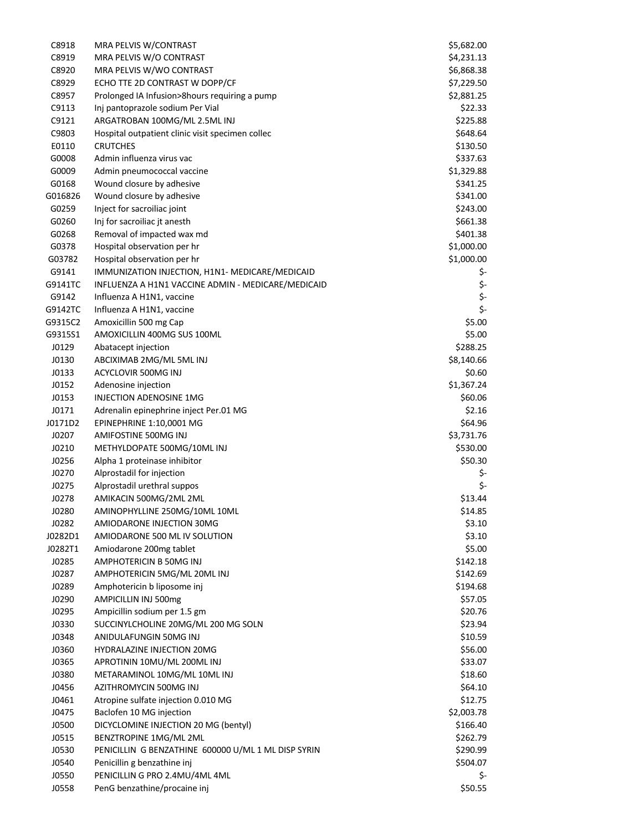| C8918   | MRA PELVIS W/CONTRAST                               | \$5,682.00 |
|---------|-----------------------------------------------------|------------|
| C8919   | MRA PELVIS W/O CONTRAST                             | \$4,231.13 |
| C8920   | MRA PELVIS W/WO CONTRAST                            | \$6,868.38 |
| C8929   | ECHO TTE 2D CONTRAST W DOPP/CF                      | \$7,229.50 |
| C8957   | Prolonged IA Infusion>8hours requiring a pump       | \$2,881.25 |
| C9113   | Inj pantoprazole sodium Per Vial                    | \$22.33    |
| C9121   | ARGATROBAN 100MG/ML 2.5ML INJ                       | \$225.88   |
| C9803   | Hospital outpatient clinic visit specimen collec    | \$648.64   |
| E0110   | <b>CRUTCHES</b>                                     | \$130.50   |
| G0008   | Admin influenza virus vac                           | \$337.63   |
| G0009   | Admin pneumococcal vaccine                          | \$1,329.88 |
| G0168   | Wound closure by adhesive                           | \$341.25   |
| G016826 | Wound closure by adhesive                           | \$341.00   |
| G0259   | Inject for sacroiliac joint                         | \$243.00   |
| G0260   | Inj for sacroiliac jt anesth                        | \$661.38   |
| G0268   | Removal of impacted wax md                          | \$401.38   |
| G0378   | Hospital observation per hr                         | \$1,000.00 |
|         |                                                     |            |
| G03782  | Hospital observation per hr                         | \$1,000.00 |
| G9141   | IMMUNIZATION INJECTION, H1N1- MEDICARE/MEDICAID     | \$-        |
| G9141TC | INFLUENZA A H1N1 VACCINE ADMIN - MEDICARE/MEDICAID  | \$-        |
| G9142   | Influenza A H1N1, vaccine                           | \$-        |
| G9142TC | Influenza A H1N1, vaccine                           | \$-        |
| G9315C2 | Amoxicillin 500 mg Cap                              | \$5.00     |
| G9315S1 | AMOXICILLIN 400MG SUS 100ML                         | \$5.00     |
| J0129   | Abatacept injection                                 | \$288.25   |
| J0130   | ABCIXIMAB 2MG/ML 5ML INJ                            | \$8,140.66 |
| J0133   | ACYCLOVIR 500MG INJ                                 | \$0.60     |
| J0152   | Adenosine injection                                 | \$1,367.24 |
| J0153   | INJECTION ADENOSINE 1MG                             | \$60.06    |
| J0171   | Adrenalin epinephrine inject Per.01 MG              | \$2.16     |
| J0171D2 | EPINEPHRINE 1:10,0001 MG                            | \$64.96    |
| J0207   | AMIFOSTINE 500MG INJ                                | \$3,731.76 |
| J0210   | METHYLDOPATE 500MG/10ML INJ                         | \$530.00   |
| J0256   | Alpha 1 proteinase inhibitor                        | \$50.30    |
| J0270   | Alprostadil for injection                           | \$-        |
| J0275   | Alprostadil urethral suppos                         | \$-        |
| J0278   | AMIKACIN 500MG/2ML 2ML                              | \$13.44    |
| J0280   | AMINOPHYLLINE 250MG/10ML 10ML                       | \$14.85    |
| J0282   | AMIODARONE INJECTION 30MG                           | \$3.10     |
| J0282D1 | AMIODARONE 500 ML IV SOLUTION                       | \$3.10     |
| J0282T1 | Amiodarone 200mg tablet                             | \$5.00     |
| J0285   | AMPHOTERICIN B 50MG INJ                             | \$142.18   |
| J0287   | AMPHOTERICIN 5MG/ML 20ML INJ                        | \$142.69   |
| J0289   | Amphotericin b liposome inj                         | \$194.68   |
| J0290   | AMPICILLIN INJ 500mg                                | \$57.05    |
| J0295   | Ampicillin sodium per 1.5 gm                        | \$20.76    |
| J0330   | SUCCINYLCHOLINE 20MG/ML 200 MG SOLN                 | \$23.94    |
| J0348   | ANIDULAFUNGIN 50MG INJ                              | \$10.59    |
| J0360   | HYDRALAZINE INJECTION 20MG                          | \$56.00    |
|         | APROTININ 10MU/ML 200ML INJ                         |            |
| J0365   |                                                     | \$33.07    |
| J0380   | METARAMINOL 10MG/ML 10ML INJ                        | \$18.60    |
| J0456   | AZITHROMYCIN 500MG INJ                              | \$64.10    |
| J0461   | Atropine sulfate injection 0.010 MG                 | \$12.75    |
| J0475   | Baclofen 10 MG injection                            | \$2,003.78 |
| J0500   | DICYCLOMINE INJECTION 20 MG (bentyl)                | \$166.40   |
| J0515   | BENZTROPINE 1MG/ML 2ML                              | \$262.79   |
| J0530   | PENICILLIN G BENZATHINE 600000 U/ML 1 ML DISP SYRIN | \$290.99   |
| J0540   | Penicillin g benzathine inj                         | \$504.07   |
| J0550   | PENICILLIN G PRO 2.4MU/4ML 4ML                      | \$-        |
| J0558   | PenG benzathine/procaine inj                        | \$50.55    |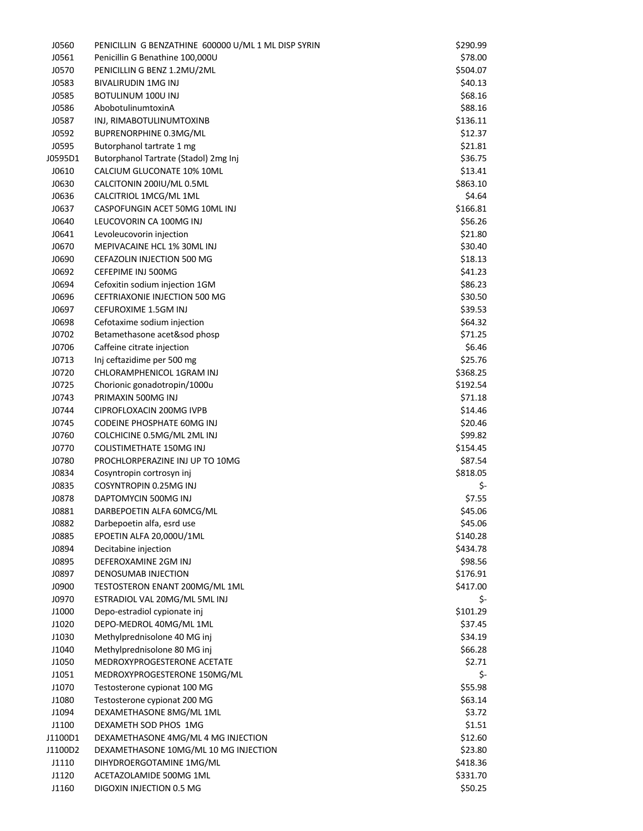| J0560   | PENICILLIN G BENZATHINE 600000 U/ML 1 ML DISP SYRIN | \$290.99 |
|---------|-----------------------------------------------------|----------|
| J0561   | Penicillin G Benathine 100,000U                     | \$78.00  |
| J0570   | PENICILLIN G BENZ 1.2MU/2ML                         | \$504.07 |
| J0583   | <b>BIVALIRUDIN 1MG INJ</b>                          | \$40.13  |
| J0585   | <b>BOTULINUM 100U INJ</b>                           | \$68.16  |
| J0586   | AbobotulinumtoxinA                                  | \$88.16  |
| J0587   | INJ, RIMABOTULINUMTOXINB                            | \$136.11 |
| J0592   | BUPRENORPHINE 0.3MG/ML                              | \$12.37  |
| J0595   | Butorphanol tartrate 1 mg                           | \$21.81  |
| J0595D1 | Butorphanol Tartrate (Stadol) 2mg Inj               | \$36.75  |
| J0610   | CALCIUM GLUCONATE 10% 10ML                          | \$13.41  |
| J0630   | CALCITONIN 200IU/ML 0.5ML                           | \$863.10 |
|         |                                                     |          |
| J0636   | CALCITRIOL 1MCG/ML 1ML                              | \$4.64   |
| J0637   | CASPOFUNGIN ACET 50MG 10ML INJ                      | \$166.81 |
| J0640   | LEUCOVORIN CA 100MG INJ                             | \$56.26  |
| J0641   | Levoleucovorin injection                            | \$21.80  |
| J0670   | MEPIVACAINE HCL 1% 30ML INJ                         | \$30.40  |
| J0690   | CEFAZOLIN INJECTION 500 MG                          | \$18.13  |
| J0692   | CEFEPIME INJ 500MG                                  | \$41.23  |
| J0694   | Cefoxitin sodium injection 1GM                      | \$86.23  |
| J0696   | <b>CEFTRIAXONIE INJECTION 500 MG</b>                | \$30.50  |
| J0697   | CEFUROXIME 1.5GM INJ                                | \$39.53  |
| J0698   | Cefotaxime sodium injection                         | \$64.32  |
| J0702   | Betamethasone acet&sod phosp                        | \$71.25  |
| J0706   | Caffeine citrate injection                          | \$6.46   |
| J0713   | Inj ceftazidime per 500 mg                          | \$25.76  |
| J0720   | CHLORAMPHENICOL 1GRAM INJ                           | \$368.25 |
| J0725   | Chorionic gonadotropin/1000u                        | \$192.54 |
| J0743   | PRIMAXIN 500MG INJ                                  | \$71.18  |
| J0744   | CIPROFLOXACIN 200MG IVPB                            | \$14.46  |
| J0745   | <b>CODEINE PHOSPHATE 60MG INJ</b>                   | \$20.46  |
| J0760   | COLCHICINE 0.5MG/ML 2ML INJ                         | \$99.82  |
| J0770   | <b>COLISTIMETHATE 150MG INJ</b>                     | \$154.45 |
| J0780   | PROCHLORPERAZINE INJ UP TO 10MG                     | \$87.54  |
| J0834   | Cosyntropin cortrosyn inj                           | \$818.05 |
| J0835   | COSYNTROPIN 0.25MG INJ                              | \$-      |
| J0878   | DAPTOMYCIN 500MG INJ                                | \$7.55   |
| J0881   | DARBEPOETIN ALFA 60MCG/ML                           | \$45.06  |
| J0882   | Darbepoetin alfa, esrd use                          | \$45.06  |
| J0885   | EPOETIN ALFA 20,000U/1ML                            | \$140.28 |
|         | Decitabine injection                                |          |
| J0894   |                                                     | \$434.78 |
| J0895   | DEFEROXAMINE 2GM INJ                                | \$98.56  |
| J0897   | DENOSUMAB INJECTION                                 | \$176.91 |
| J0900   | TESTOSTERON ENANT 200MG/ML 1ML                      | \$417.00 |
| J0970   | ESTRADIOL VAL 20MG/ML 5ML INJ                       | \$-      |
| J1000   | Depo-estradiol cypionate inj                        | \$101.29 |
| J1020   | DEPO-MEDROL 40MG/ML 1ML                             | \$37.45  |
| J1030   | Methylprednisolone 40 MG inj                        | \$34.19  |
| J1040   | Methylprednisolone 80 MG inj                        | \$66.28  |
| J1050   | MEDROXYPROGESTERONE ACETATE                         | \$2.71   |
| J1051   | MEDROXYPROGESTERONE 150MG/ML                        | \$-      |
| J1070   | Testosterone cypionat 100 MG                        | \$55.98  |
| J1080   | Testosterone cypionat 200 MG                        | \$63.14  |
| J1094   | DEXAMETHASONE 8MG/ML 1ML                            | \$3.72   |
| J1100   | DEXAMETH SOD PHOS 1MG                               | \$1.51   |
| J1100D1 | DEXAMETHASONE 4MG/ML 4 MG INJECTION                 | \$12.60  |
| J1100D2 | DEXAMETHASONE 10MG/ML 10 MG INJECTION               | \$23.80  |
| J1110   | DIHYDROERGOTAMINE 1MG/ML                            | \$418.36 |
| J1120   | ACETAZOLAMIDE 500MG 1ML                             | \$331.70 |
| J1160   | DIGOXIN INJECTION 0.5 MG                            | \$50.25  |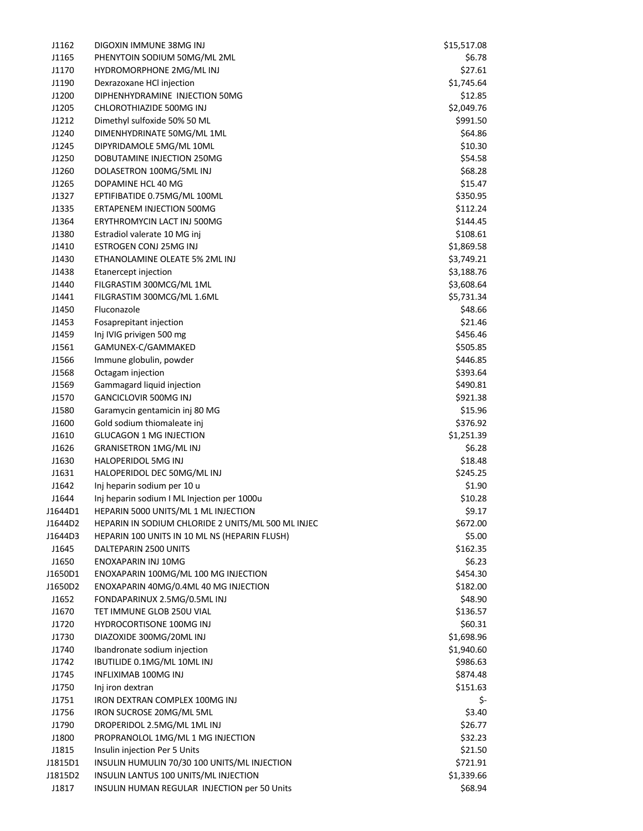| J1162   | DIGOXIN IMMUNE 38MG INJ                            | \$15,517.08 |
|---------|----------------------------------------------------|-------------|
| J1165   | PHENYTOIN SODIUM 50MG/ML 2ML                       | \$6.78      |
| J1170   | HYDROMORPHONE 2MG/ML INJ                           | \$27.61     |
| J1190   | Dexrazoxane HCl injection                          | \$1,745.64  |
| J1200   | DIPHENHYDRAMINE INJECTION 50MG                     | \$12.85     |
| J1205   | CHLOROTHIAZIDE 500MG INJ                           | \$2,049.76  |
| J1212   | Dimethyl sulfoxide 50% 50 ML                       | \$991.50    |
| J1240   | DIMENHYDRINATE 50MG/ML 1ML                         | \$64.86     |
| J1245   | DIPYRIDAMOLE 5MG/ML 10ML                           | \$10.30     |
| J1250   | DOBUTAMINE INJECTION 250MG                         | \$54.58     |
| J1260   | DOLASETRON 100MG/5ML INJ                           | \$68.28     |
| J1265   | DOPAMINE HCL 40 MG                                 | \$15.47     |
| J1327   | EPTIFIBATIDE 0.75MG/ML 100ML                       | \$350.95    |
| J1335   | <b>ERTAPENEM INJECTION 500MG</b>                   | \$112.24    |
| J1364   | ERYTHROMYCIN LACT INJ 500MG                        | \$144.45    |
| J1380   | Estradiol valerate 10 MG inj                       | \$108.61    |
| J1410   | ESTROGEN CONJ 25MG INJ                             | \$1,869.58  |
| J1430   | ETHANOLAMINE OLEATE 5% 2ML INJ                     | \$3,749.21  |
| J1438   | Etanercept injection                               | \$3,188.76  |
| J1440   | FILGRASTIM 300MCG/ML 1ML                           | \$3,608.64  |
| J1441   | FILGRASTIM 300MCG/ML 1.6ML                         | \$5,731.34  |
| J1450   | Fluconazole                                        | \$48.66     |
| J1453   | Fosaprepitant injection                            | \$21.46     |
| J1459   | Inj IVIG privigen 500 mg                           | \$456.46    |
| J1561   | GAMUNEX-C/GAMMAKED                                 | \$505.85    |
| J1566   | Immune globulin, powder                            | \$446.85    |
| J1568   | Octagam injection                                  | \$393.64    |
| J1569   | Gammagard liquid injection                         | \$490.81    |
| J1570   | <b>GANCICLOVIR 500MG INJ</b>                       | \$921.38    |
| J1580   | Garamycin gentamicin inj 80 MG                     | \$15.96     |
| J1600   | Gold sodium thiomaleate inj                        | \$376.92    |
| J1610   | <b>GLUCAGON 1 MG INJECTION</b>                     | \$1,251.39  |
| J1626   | <b>GRANISETRON 1MG/ML INJ</b>                      | \$6.28      |
| J1630   | HALOPERIDOL 5MG INJ                                | \$18.48     |
| J1631   | HALOPERIDOL DEC 50MG/ML INJ                        | \$245.25    |
| J1642   | Inj heparin sodium per 10 u                        | \$1.90      |
| J1644   | Inj heparin sodium I ML Injection per 1000u        | \$10.28     |
| J1644D1 | HEPARIN 5000 UNITS/ML 1 ML INJECTION               | \$9.17      |
| J1644D2 | HEPARIN IN SODIUM CHLORIDE 2 UNITS/ML 500 ML INJEC | \$672.00    |
| J1644D3 | HEPARIN 100 UNITS IN 10 ML NS (HEPARIN FLUSH)      | \$5.00      |
| J1645   | DALTEPARIN 2500 UNITS                              | \$162.35    |
| J1650   | ENOXAPARIN INJ 10MG                                | \$6.23      |
| J1650D1 | ENOXAPARIN 100MG/ML 100 MG INJECTION               | \$454.30    |
| J1650D2 | ENOXAPARIN 40MG/0.4ML 40 MG INJECTION              | \$182.00    |
| J1652   | FONDAPARINUX 2.5MG/0.5ML INJ                       | \$48.90     |
| J1670   | TET IMMUNE GLOB 250U VIAL                          | \$136.57    |
| J1720   | <b>HYDROCORTISONE 100MG INJ</b>                    | \$60.31     |
| J1730   | DIAZOXIDE 300MG/20ML INJ                           | \$1,698.96  |
| J1740   | Ibandronate sodium injection                       | \$1,940.60  |
| J1742   | IBUTILIDE 0.1MG/ML 10ML INJ                        | \$986.63    |
| J1745   | INFLIXIMAB 100MG INJ                               | \$874.48    |
| J1750   | Inj iron dextran                                   | \$151.63    |
| J1751   | IRON DEXTRAN COMPLEX 100MG INJ                     | \$-         |
| J1756   | IRON SUCROSE 20MG/ML 5ML                           | \$3.40      |
| J1790   | DROPERIDOL 2.5MG/ML 1ML INJ                        | \$26.77     |
| J1800   | PROPRANOLOL 1MG/ML 1 MG INJECTION                  | \$32.23     |
| J1815   | Insulin injection Per 5 Units                      | \$21.50     |
| J1815D1 | INSULIN HUMULIN 70/30 100 UNITS/ML INJECTION       | \$721.91    |
| J1815D2 | INSULIN LANTUS 100 UNITS/ML INJECTION              | \$1,339.66  |
| J1817   | INSULIN HUMAN REGULAR INJECTION per 50 Units       | \$68.94     |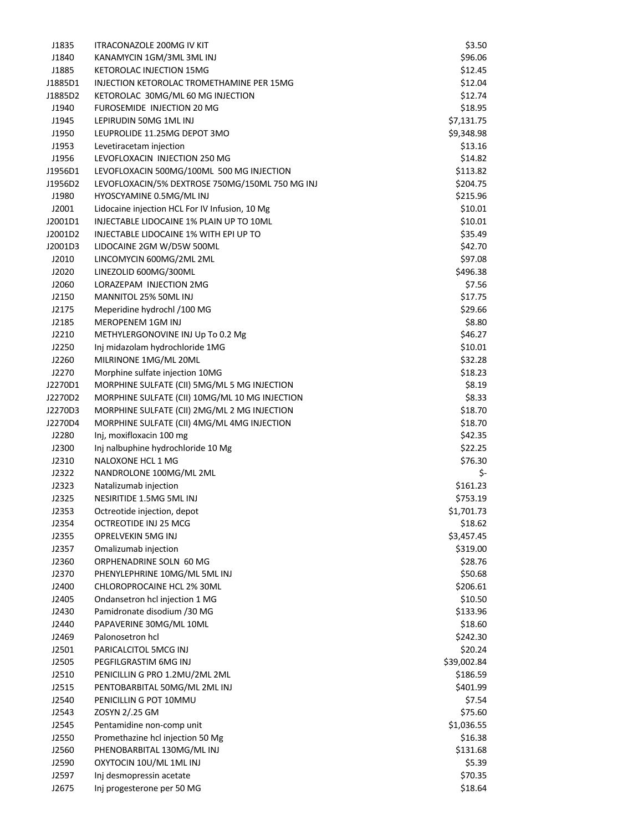| J1835   | <b>ITRACONAZOLE 200MG IV KIT</b>                | \$3.50      |
|---------|-------------------------------------------------|-------------|
| J1840   | KANAMYCIN 1GM/3ML 3ML INJ                       | \$96.06     |
| J1885   | <b>KETOROLAC INJECTION 15MG</b>                 | \$12.45     |
| J1885D1 | INJECTION KETOROLAC TROMETHAMINE PER 15MG       | \$12.04     |
| J1885D2 | KETOROLAC 30MG/ML 60 MG INJECTION               | \$12.74     |
| J1940   | <b>FUROSEMIDE INJECTION 20 MG</b>               | \$18.95     |
| J1945   | LEPIRUDIN 50MG 1ML INJ                          | \$7,131.75  |
| J1950   | LEUPROLIDE 11.25MG DEPOT 3MO                    | \$9,348.98  |
| J1953   | Levetiracetam injection                         | \$13.16     |
| J1956   | LEVOFLOXACIN INJECTION 250 MG                   | \$14.82     |
| J1956D1 | LEVOFLOXACIN 500MG/100ML 500 MG INJECTION       | \$113.82    |
| J1956D2 | LEVOFLOXACIN/5% DEXTROSE 750MG/150ML 750 MG INJ | \$204.75    |
| J1980   | HYOSCYAMINE 0.5MG/ML INJ                        | \$215.96    |
| J2001   | Lidocaine injection HCL For IV Infusion, 10 Mg  | \$10.01     |
| J2001D1 | INJECTABLE LIDOCAINE 1% PLAIN UP TO 10ML        | \$10.01     |
| J2001D2 | INJECTABLE LIDOCAINE 1% WITH EPI UP TO          | \$35.49     |
| J2001D3 | LIDOCAINE 2GM W/D5W 500ML                       | \$42.70     |
| J2010   | LINCOMYCIN 600MG/2ML 2ML                        | \$97.08     |
| J2020   | LINEZOLID 600MG/300ML                           | \$496.38    |
| J2060   | LORAZEPAM INJECTION 2MG                         | \$7.56      |
|         | MANNITOL 25% 50ML INJ                           |             |
| J2150   |                                                 | \$17.75     |
| J2175   | Meperidine hydrochl /100 MG                     | \$29.66     |
| J2185   | MEROPENEM 1GM INJ                               | \$8.80      |
| J2210   | METHYLERGONOVINE INJ Up To 0.2 Mg               | \$46.27     |
| J2250   | Inj midazolam hydrochloride 1MG                 | \$10.01     |
| J2260   | MILRINONE 1MG/ML 20ML                           | \$32.28     |
| J2270   | Morphine sulfate injection 10MG                 | \$18.23     |
| J2270D1 | MORPHINE SULFATE (CII) 5MG/ML 5 MG INJECTION    | \$8.19      |
| J2270D2 | MORPHINE SULFATE (CII) 10MG/ML 10 MG INJECTION  | \$8.33      |
| J2270D3 | MORPHINE SULFATE (CII) 2MG/ML 2 MG INJECTION    | \$18.70     |
| J2270D4 | MORPHINE SULFATE (CII) 4MG/ML 4MG INJECTION     | \$18.70     |
| J2280   | Inj, moxifloxacin 100 mg                        | \$42.35     |
| J2300   | Inj nalbuphine hydrochloride 10 Mg              | \$22.25     |
| J2310   | NALOXONE HCL 1 MG                               | \$76.30     |
| J2322   | NANDROLONE 100MG/ML 2ML                         | \$-         |
| J2323   | Natalizumab injection                           | \$161.23    |
| J2325   | NESIRITIDE 1.5MG 5ML INJ                        | \$753.19    |
| J2353   | Octreotide injection, depot                     | \$1,701.73  |
| J2354   | OCTREOTIDE INJ 25 MCG                           | \$18.62     |
| J2355   | OPRELVEKIN 5MG INJ                              | \$3,457.45  |
| J2357   | Omalizumab injection                            | \$319.00    |
| J2360   | ORPHENADRINE SOLN 60 MG                         | \$28.76     |
| J2370   | PHENYLEPHRINE 10MG/ML 5ML INJ                   | \$50.68     |
| J2400   | CHLOROPROCAINE HCL 2% 30ML                      | \$206.61    |
| J2405   | Ondansetron hcl injection 1 MG                  | \$10.50     |
| J2430   | Pamidronate disodium /30 MG                     | \$133.96    |
| J2440   | PAPAVERINE 30MG/ML 10ML                         | \$18.60     |
| J2469   | Palonosetron hcl                                | \$242.30    |
| J2501   | PARICALCITOL 5MCG INJ                           | \$20.24     |
| J2505   | PEGFILGRASTIM 6MG INJ                           | \$39,002.84 |
| J2510   | PENICILLIN G PRO 1.2MU/2ML 2ML                  | \$186.59    |
| J2515   | PENTOBARBITAL 50MG/ML 2ML INJ                   | \$401.99    |
| J2540   | PENICILLIN G POT 10MMU                          | \$7.54      |
| J2543   | ZOSYN 2/.25 GM                                  | \$75.60     |
| J2545   | Pentamidine non-comp unit                       | \$1,036.55  |
| J2550   | Promethazine hcl injection 50 Mg                | \$16.38     |
| J2560   | PHENOBARBITAL 130MG/ML INJ                      | \$131.68    |
| J2590   | OXYTOCIN 10U/ML 1ML INJ                         | \$5.39      |
| J2597   | Inj desmopressin acetate                        | \$70.35     |
|         |                                                 |             |
| J2675   | Inj progesterone per 50 MG                      | \$18.64     |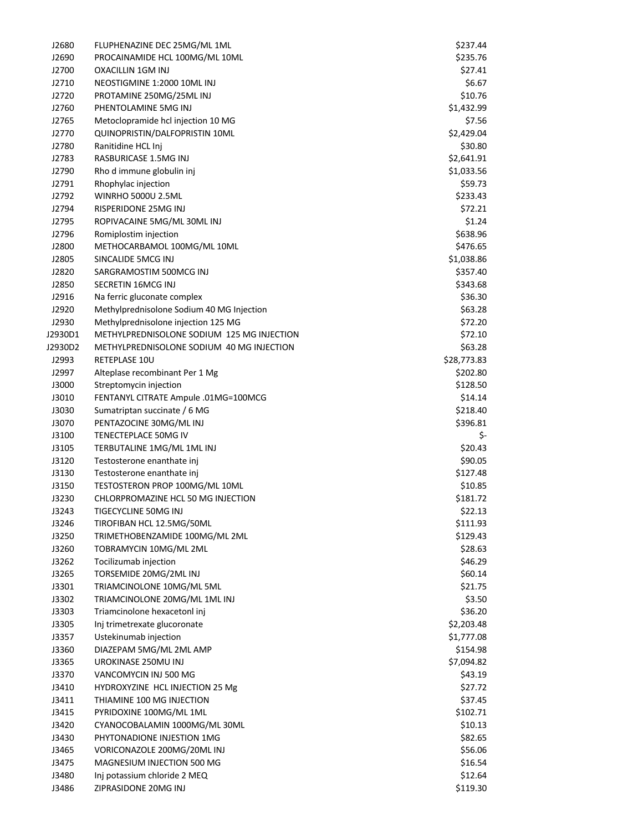| J2680          | FLUPHENAZINE DEC 25MG/ML 1ML                         | \$237.44            |
|----------------|------------------------------------------------------|---------------------|
| J2690          | PROCAINAMIDE HCL 100MG/ML 10ML                       | \$235.76            |
| J2700          | <b>OXACILLIN 1GM INJ</b>                             | \$27.41             |
| J2710          | NEOSTIGMINE 1:2000 10ML INJ                          | \$6.67              |
| J2720          | PROTAMINE 250MG/25ML INJ                             | \$10.76             |
| J2760          | PHENTOLAMINE 5MG INJ                                 | \$1,432.99          |
| J2765          | Metoclopramide hcl injection 10 MG                   | \$7.56              |
| J2770          | QUINOPRISTIN/DALFOPRISTIN 10ML                       | \$2,429.04          |
| J2780          | Ranitidine HCL Inj                                   | \$30.80             |
| J2783          | RASBURICASE 1.5MG INJ                                | \$2,641.91          |
| J2790          | Rho d immune globulin inj                            | \$1,033.56          |
| J2791          | Rhophylac injection                                  | \$59.73             |
| J2792          | <b>WINRHO 5000U 2.5ML</b>                            | \$233.43            |
| J2794          | RISPERIDONE 25MG INJ                                 | \$72.21             |
| J2795          | ROPIVACAINE 5MG/ML 30ML INJ                          | \$1.24              |
|                |                                                      |                     |
| J2796          | Romiplostim injection                                | \$638.96            |
| J2800          | METHOCARBAMOL 100MG/ML 10ML                          | \$476.65            |
| J2805          | SINCALIDE 5MCG INJ                                   | \$1,038.86          |
| J2820          | SARGRAMOSTIM 500MCG INJ                              | \$357.40            |
| J2850          | SECRETIN 16MCG INJ                                   | \$343.68            |
| J2916          | Na ferric gluconate complex                          | \$36.30             |
| J2920          | Methylprednisolone Sodium 40 MG Injection            | \$63.28             |
| J2930          | Methylprednisolone injection 125 MG                  | \$72.20             |
| J2930D1        | METHYLPREDNISOLONE SODIUM 125 MG INJECTION           | \$72.10             |
| J2930D2        | METHYLPREDNISOLONE SODIUM 40 MG INJECTION            | \$63.28             |
| J2993          | RETEPLASE 10U                                        | \$28,773.83         |
| J2997          | Alteplase recombinant Per 1 Mg                       | \$202.80            |
| J3000          | Streptomycin injection                               | \$128.50            |
| J3010          | FENTANYL CITRATE Ampule .01MG=100MCG                 | \$14.14             |
| J3030          | Sumatriptan succinate / 6 MG                         | \$218.40            |
| J3070          | PENTAZOCINE 30MG/ML INJ                              | \$396.81            |
| J3100          | TENECTEPLACE 50MG IV                                 | \$-                 |
| J3105          | TERBUTALINE 1MG/ML 1ML INJ                           | \$20.43             |
| J3120          | Testosterone enanthate inj                           | \$90.05             |
| J3130          | Testosterone enanthate inj                           | \$127.48            |
| J3150          | TESTOSTERON PROP 100MG/ML 10ML                       | \$10.85             |
| J3230          | CHLORPROMAZINE HCL 50 MG INJECTION                   | \$181.72            |
| J3243          | TIGECYCLINE 50MG INJ                                 | \$22.13             |
| J3246          | TIROFIBAN HCL 12.5MG/50ML                            | \$111.93            |
| J3250          | TRIMETHOBENZAMIDE 100MG/ML 2ML                       | \$129.43            |
| J3260          | TOBRAMYCIN 10MG/ML 2ML                               | \$28.63             |
| J3262          | Tocilizumab injection                                | \$46.29             |
| J3265          | TORSEMIDE 20MG/2ML INJ                               | \$60.14             |
| J3301          | TRIAMCINOLONE 10MG/ML 5ML                            | \$21.75             |
| J3302          | TRIAMCINOLONE 20MG/ML 1ML INJ                        | \$3.50              |
|                |                                                      | \$36.20             |
| J3303          | Triamcinolone hexacetonl inj                         |                     |
| J3305          | Inj trimetrexate glucoronate                         | \$2,203.48          |
| J3357          | Ustekinumab injection<br>DIAZEPAM 5MG/ML 2ML AMP     | \$1,777.08          |
| J3360          |                                                      |                     |
| J3365          |                                                      | \$154.98            |
|                | UROKINASE 250MU INJ                                  | \$7,094.82          |
| J3370          | VANCOMYCIN INJ 500 MG                                | \$43.19             |
| J3410          | HYDROXYZINE HCL INJECTION 25 Mg                      | \$27.72             |
| J3411          | THIAMINE 100 MG INJECTION                            | \$37.45             |
| J3415          | PYRIDOXINE 100MG/ML 1ML                              | \$102.71            |
| J3420          | CYANOCOBALAMIN 1000MG/ML 30ML                        | \$10.13             |
| J3430          | PHYTONADIONE INJESTION 1MG                           | \$82.65             |
| J3465          | VORICONAZOLE 200MG/20ML INJ                          | \$56.06             |
| J3475          | MAGNESIUM INJECTION 500 MG                           | \$16.54             |
| J3480<br>J3486 | Inj potassium chloride 2 MEQ<br>ZIPRASIDONE 20MG INJ | \$12.64<br>\$119.30 |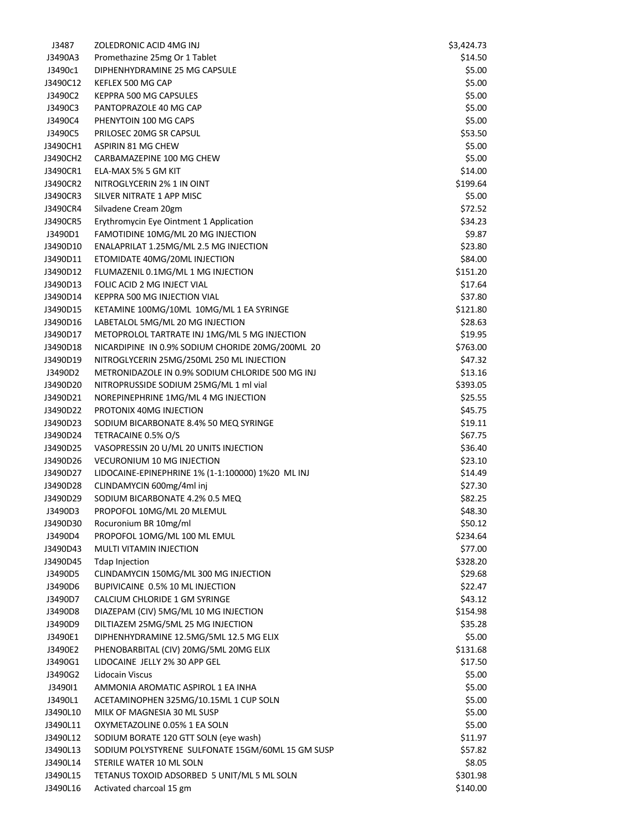| J3487    | ZOLEDRONIC ACID 4MG INJ                           | \$3,424.73 |
|----------|---------------------------------------------------|------------|
| J3490A3  | Promethazine 25mg Or 1 Tablet                     | \$14.50    |
| J3490c1  | DIPHENHYDRAMINE 25 MG CAPSULE                     | \$5.00     |
| J3490C12 | KEFLEX 500 MG CAP                                 | \$5.00     |
| J3490C2  | KEPPRA 500 MG CAPSULES                            | \$5.00     |
| J3490C3  | PANTOPRAZOLE 40 MG CAP                            | \$5.00     |
| J3490C4  | PHENYTOIN 100 MG CAPS                             | \$5.00     |
| J3490C5  | PRILOSEC 20MG SR CAPSUL                           | \$53.50    |
| J3490CH1 | <b>ASPIRIN 81 MG CHEW</b>                         | \$5.00     |
| J3490CH2 | CARBAMAZEPINE 100 MG CHEW                         | \$5.00     |
| J3490CR1 | ELA-MAX 5% 5 GM KIT                               | \$14.00    |
| J3490CR2 | NITROGLYCERIN 2% 1 IN OINT                        | \$199.64   |
| J3490CR3 | SILVER NITRATE 1 APP MISC                         | \$5.00     |
| J3490CR4 | Silvadene Cream 20gm                              | \$72.52    |
| J3490CR5 | Erythromycin Eye Ointment 1 Application           | \$34.23    |
| J3490D1  | FAMOTIDINE 10MG/ML 20 MG INJECTION                | \$9.87     |
| J3490D10 | ENALAPRILAT 1.25MG/ML 2.5 MG INJECTION            | \$23.80    |
| J3490D11 | ETOMIDATE 40MG/20ML INJECTION                     | \$84.00    |
| J3490D12 | FLUMAZENIL 0.1MG/ML 1 MG INJECTION                | \$151.20   |
| J3490D13 | FOLIC ACID 2 MG INJECT VIAL                       | \$17.64    |
| J3490D14 | KEPPRA 500 MG INJECTION VIAL                      | \$37.80    |
| J3490D15 | KETAMINE 100MG/10ML 10MG/ML 1 EA SYRINGE          | \$121.80   |
| J3490D16 | LABETALOL 5MG/ML 20 MG INJECTION                  | \$28.63    |
| J3490D17 | METOPROLOL TARTRATE INJ 1MG/ML 5 MG INJECTION     | \$19.95    |
| J3490D18 | NICARDIPINE IN 0.9% SODIUM CHORIDE 20MG/200ML 20  | \$763.00   |
| J3490D19 | NITROGLYCERIN 25MG/250ML 250 ML INJECTION         | \$47.32    |
| J3490D2  | METRONIDAZOLE IN 0.9% SODIUM CHLORIDE 500 MG INJ  | \$13.16    |
| J3490D20 | NITROPRUSSIDE SODIUM 25MG/ML 1 ml vial            | \$393.05   |
| J3490D21 | NOREPINEPHRINE 1MG/ML 4 MG INJECTION              | \$25.55    |
| J3490D22 | PROTONIX 40MG INJECTION                           | \$45.75    |
| J3490D23 | SODIUM BICARBONATE 8.4% 50 MEQ SYRINGE            | \$19.11    |
| J3490D24 | TETRACAINE 0.5% O/S                               | \$67.75    |
| J3490D25 | VASOPRESSIN 20 U/ML 20 UNITS INJECTION            | \$36.40    |
| J3490D26 | VECURONIUM 10 MG INJECTION                        | \$23.10    |
| J3490D27 | LIDOCAINE-EPINEPHRINE 1% (1-1:100000) 1%20 ML INJ | \$14.49    |
| J3490D28 | CLINDAMYCIN 600mg/4ml inj                         | \$27.30    |
| J3490D29 | SODIUM BICARBONATE 4.2% 0.5 MEQ                   | \$82.25    |
| J3490D3  | PROPOFOL 10MG/ML 20 MLEMUL                        | \$48.30    |
| J3490D30 | Rocuronium BR 10mg/ml                             | \$50.12    |
| J3490D4  | PROPOFOL 10MG/ML 100 ML EMUL                      | \$234.64   |
| J3490D43 | <b>MULTI VITAMIN INJECTION</b>                    | \$77.00    |
| J3490D45 | <b>Tdap Injection</b>                             | \$328.20   |
| J3490D5  | CLINDAMYCIN 150MG/ML 300 MG INJECTION             | \$29.68    |
| J3490D6  | BUPIVICAINE 0.5% 10 ML INJECTION                  | \$22.47    |
| J3490D7  | CALCIUM CHLORIDE 1 GM SYRINGE                     | \$43.12    |
| J3490D8  | DIAZEPAM (CIV) 5MG/ML 10 MG INJECTION             | \$154.98   |
| J3490D9  | DILTIAZEM 25MG/5ML 25 MG INJECTION                | \$35.28    |
| J3490E1  | DIPHENHYDRAMINE 12.5MG/5ML 12.5 MG ELIX           | \$5.00     |
| J3490E2  | PHENOBARBITAL (CIV) 20MG/5ML 20MG ELIX            | \$131.68   |
| J3490G1  | LIDOCAINE JELLY 2% 30 APP GEL                     | \$17.50    |
| J3490G2  | Lidocain Viscus                                   | \$5.00     |
| J349011  | AMMONIA AROMATIC ASPIROL 1 EA INHA                | \$5.00     |
| J3490L1  | ACETAMINOPHEN 325MG/10.15ML 1 CUP SOLN            | \$5.00     |
| J3490L10 | MILK OF MAGNESIA 30 ML SUSP                       | \$5.00     |
| J3490L11 | OXYMETAZOLINE 0.05% 1 EA SOLN                     | \$5.00     |
| J3490L12 | SODIUM BORATE 120 GTT SOLN (eye wash)             | \$11.97    |
| J3490L13 | SODIUM POLYSTYRENE SULFONATE 15GM/60ML 15 GM SUSP | \$57.82    |
| J3490L14 | STERILE WATER 10 ML SOLN                          | \$8.05     |
| J3490L15 | TETANUS TOXOID ADSORBED 5 UNIT/ML 5 ML SOLN       | \$301.98   |
| J3490L16 | Activated charcoal 15 gm                          | \$140.00   |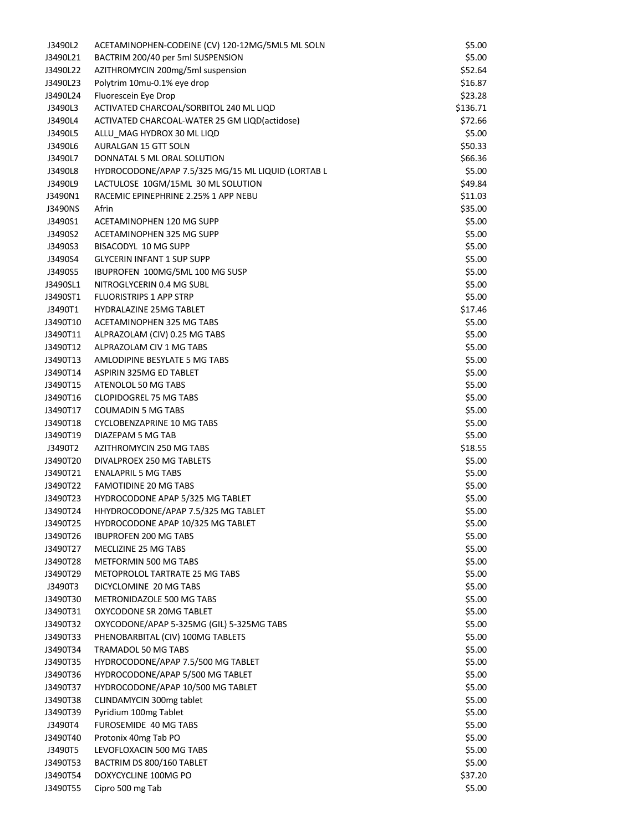| J3490L2  | ACETAMINOPHEN-CODEINE (CV) 120-12MG/5ML5 ML SOLN   | \$5.00   |
|----------|----------------------------------------------------|----------|
| J3490L21 | BACTRIM 200/40 per 5ml SUSPENSION                  | \$5.00   |
| J3490L22 | AZITHROMYCIN 200mg/5ml suspension                  | \$52.64  |
| J3490L23 | Polytrim 10mu-0.1% eye drop                        | \$16.87  |
| J3490L24 | Fluorescein Eye Drop                               | \$23.28  |
| J3490L3  | ACTIVATED CHARCOAL/SORBITOL 240 ML LIQD            | \$136.71 |
| J3490L4  | ACTIVATED CHARCOAL-WATER 25 GM LIQD(actidose)      | \$72.66  |
| J3490L5  | ALLU_MAG HYDROX 30 ML LIQD                         | \$5.00   |
| J3490L6  | AURALGAN 15 GTT SOLN                               | \$50.33  |
| J3490L7  | DONNATAL 5 ML ORAL SOLUTION                        | \$66.36  |
| J3490L8  | HYDROCODONE/APAP 7.5/325 MG/15 ML LIQUID (LORTAB L | \$5.00   |
| J3490L9  | LACTULOSE 10GM/15ML 30 ML SOLUTION                 | \$49.84  |
| J3490N1  | RACEMIC EPINEPHRINE 2.25% 1 APP NEBU               | \$11.03  |
| J3490NS  | Afrin                                              | \$35.00  |
| J3490S1  | ACETAMINOPHEN 120 MG SUPP                          | \$5.00   |
| J3490S2  | ACETAMINOPHEN 325 MG SUPP                          | \$5.00   |
| J3490S3  | BISACODYL 10 MG SUPP                               | \$5.00   |
| J3490S4  | <b>GLYCERIN INFANT 1 SUP SUPP</b>                  | \$5.00   |
| J3490S5  | IBUPROFEN 100MG/5ML 100 MG SUSP                    | \$5.00   |
| J3490SL1 | NITROGLYCERIN 0.4 MG SUBL                          | \$5.00   |
| J3490ST1 | <b>FLUORISTRIPS 1 APP STRP</b>                     | \$5.00   |
| J3490T1  | <b>HYDRALAZINE 25MG TABLET</b>                     | \$17.46  |
| J3490T10 | ACETAMINOPHEN 325 MG TABS                          | \$5.00   |
| J3490T11 | ALPRAZOLAM (CIV) 0.25 MG TABS                      | \$5.00   |
| J3490T12 | ALPRAZOLAM CIV 1 MG TABS                           | \$5.00   |
| J3490T13 | AMLODIPINE BESYLATE 5 MG TABS                      | \$5.00   |
| J3490T14 | <b>ASPIRIN 325MG ED TABLET</b>                     | \$5.00   |
| J3490T15 | ATENOLOL 50 MG TABS                                | \$5.00   |
| J3490T16 | <b>CLOPIDOGREL 75 MG TABS</b>                      | \$5.00   |
| J3490T17 | <b>COUMADIN 5 MG TABS</b>                          | \$5.00   |
| J3490T18 | <b>CYCLOBENZAPRINE 10 MG TABS</b>                  | \$5.00   |
| J3490T19 | DIAZEPAM 5 MG TAB                                  | \$5.00   |
| J3490T2  | AZITHROMYCIN 250 MG TABS                           | \$18.55  |
| J3490T20 | DIVALPROEX 250 MG TABLETS                          | \$5.00   |
| J3490T21 | <b>ENALAPRIL 5 MG TABS</b>                         | \$5.00   |
| J3490T22 | <b>FAMOTIDINE 20 MG TABS</b>                       | \$5.00   |
| J3490T23 | HYDROCODONE APAP 5/325 MG TABLET                   | \$5.00   |
| J3490T24 | HHYDROCODONE/APAP 7.5/325 MG TABLET                | \$5.00   |
| J3490T25 | HYDROCODONE APAP 10/325 MG TABLET                  | \$5.00   |
| J3490T26 | <b>IBUPROFEN 200 MG TABS</b>                       | \$5.00   |
| J3490T27 | MECLIZINE 25 MG TABS                               | \$5.00   |
| J3490T28 | METFORMIN 500 MG TABS                              | \$5.00   |
| J3490T29 | METOPROLOL TARTRATE 25 MG TABS                     | \$5.00   |
| J3490T3  | DICYCLOMINE 20 MG TABS                             | \$5.00   |
| J3490T30 | METRONIDAZOLE 500 MG TABS                          | \$5.00   |
| J3490T31 | OXYCODONE SR 20MG TABLET                           | \$5.00   |
| J3490T32 | OXYCODONE/APAP 5-325MG (GIL) 5-325MG TABS          | \$5.00   |
| J3490T33 | PHENOBARBITAL (CIV) 100MG TABLETS                  | \$5.00   |
| J3490T34 | <b>TRAMADOL 50 MG TABS</b>                         | \$5.00   |
| J3490T35 | HYDROCODONE/APAP 7.5/500 MG TABLET                 | \$5.00   |
| J3490T36 | HYDROCODONE/APAP 5/500 MG TABLET                   | \$5.00   |
| J3490T37 | HYDROCODONE/APAP 10/500 MG TABLET                  | \$5.00   |
| J3490T38 | CLINDAMYCIN 300mg tablet                           | \$5.00   |
| J3490T39 | Pyridium 100mg Tablet                              | \$5.00   |
| J3490T4  | FUROSEMIDE 40 MG TABS                              | \$5.00   |
| J3490T40 | Protonix 40mg Tab PO                               | \$5.00   |
| J3490T5  | LEVOFLOXACIN 500 MG TABS                           | \$5.00   |
| J3490T53 | BACTRIM DS 800/160 TABLET                          | \$5.00   |
| J3490T54 | DOXYCYCLINE 100MG PO                               | \$37.20  |
| J3490T55 | Cipro 500 mg Tab                                   | \$5.00   |
|          |                                                    |          |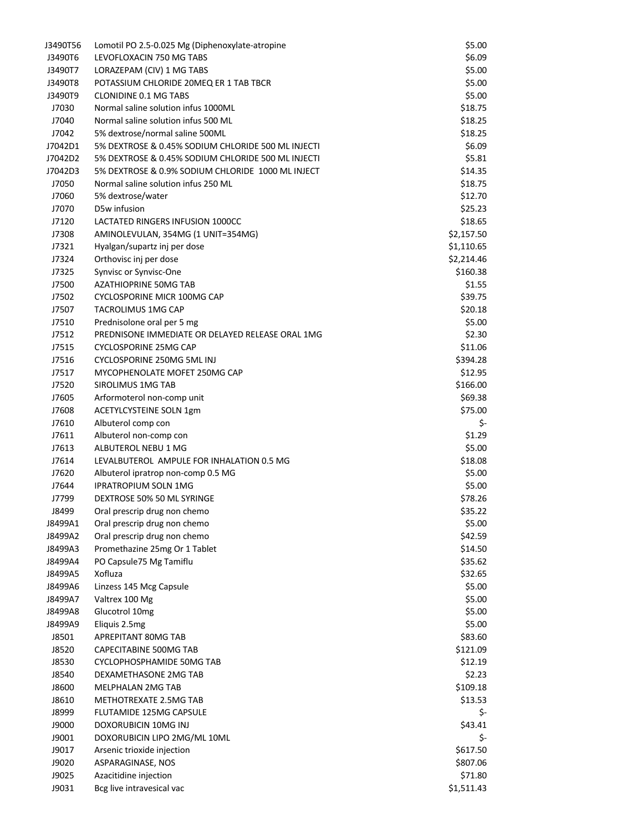| J3490T56 | Lomotil PO 2.5-0.025 Mg (Diphenoxylate-atropine        | \$5.00     |
|----------|--------------------------------------------------------|------------|
| J3490T6  | LEVOFLOXACIN 750 MG TABS                               | \$6.09     |
| J3490T7  | LORAZEPAM (CIV) 1 MG TABS                              | \$5.00     |
| J3490T8  | POTASSIUM CHLORIDE 20MEQ ER 1 TAB TBCR                 | \$5.00     |
| J3490T9  | <b>CLONIDINE 0.1 MG TABS</b>                           | \$5.00     |
| J7030    | Normal saline solution infus 1000ML                    | \$18.75    |
| J7040    | Normal saline solution infus 500 ML                    | \$18.25    |
| J7042    | 5% dextrose/normal saline 500ML                        | \$18.25    |
| J7042D1  | 5% DEXTROSE & 0.45% SODIUM CHLORIDE 500 ML INJECTI     | \$6.09     |
| J7042D2  | 5% DEXTROSE & 0.45% SODIUM CHLORIDE 500 ML INJECTI     | \$5.81     |
| J7042D3  | 5% DEXTROSE & 0.9% SODIUM CHLORIDE 1000 ML INJECT      | \$14.35    |
| J7050    | Normal saline solution infus 250 ML                    | \$18.75    |
| J7060    | 5% dextrose/water                                      | \$12.70    |
| J7070    | D5w infusion                                           | \$25.23    |
| J7120    | LACTATED RINGERS INFUSION 1000CC                       | \$18.65    |
| J7308    | AMINOLEVULAN, 354MG (1 UNIT=354MG)                     | \$2,157.50 |
| J7321    | Hyalgan/supartz inj per dose                           | \$1,110.65 |
| J7324    | Orthovisc inj per dose                                 | \$2,214.46 |
| J7325    |                                                        | \$160.38   |
|          | Synvisc or Synvisc-One<br><b>AZATHIOPRINE 50MG TAB</b> |            |
| J7500    |                                                        | \$1.55     |
| J7502    | <b>CYCLOSPORINE MICR 100MG CAP</b>                     | \$39.75    |
| J7507    | <b>TACROLIMUS 1MG CAP</b>                              | \$20.18    |
| J7510    | Prednisolone oral per 5 mg                             | \$5.00     |
| J7512    | PREDNISONE IMMEDIATE OR DELAYED RELEASE ORAL 1MG       | \$2.30     |
| J7515    | <b>CYCLOSPORINE 25MG CAP</b>                           | \$11.06    |
| J7516    | CYCLOSPORINE 250MG 5ML INJ                             | \$394.28   |
| J7517    | MYCOPHENOLATE MOFET 250MG CAP                          | \$12.95    |
| J7520    | SIROLIMUS 1MG TAB                                      | \$166.00   |
| J7605    | Arformoterol non-comp unit                             | \$69.38    |
| J7608    | <b>ACETYLCYSTEINE SOLN 1gm</b>                         | \$75.00    |
| J7610    | Albuterol comp con                                     | \$-        |
| J7611    | Albuterol non-comp con                                 | \$1.29     |
| J7613    | ALBUTEROL NEBU 1 MG                                    | \$5.00     |
| J7614    | LEVALBUTEROL AMPULE FOR INHALATION 0.5 MG              | \$18.08    |
| J7620    | Albuterol ipratrop non-comp 0.5 MG                     | \$5.00     |
| J7644    | <b>IPRATROPIUM SOLN 1MG</b>                            | \$5.00     |
| J7799    | DEXTROSE 50% 50 ML SYRINGE                             | \$78.26    |
| J8499    | Oral prescrip drug non chemo                           | \$35.22    |
| J8499A1  | Oral prescrip drug non chemo                           | \$5.00     |
| J8499A2  | Oral prescrip drug non chemo                           | \$42.59    |
| J8499A3  | Promethazine 25mg Or 1 Tablet                          | \$14.50    |
| J8499A4  | PO Capsule75 Mg Tamiflu                                | \$35.62    |
| J8499A5  | Xofluza                                                | \$32.65    |
| J8499A6  | Linzess 145 Mcg Capsule                                | \$5.00     |
| J8499A7  | Valtrex 100 Mg                                         | \$5.00     |
| J8499A8  | Glucotrol 10mg                                         | \$5.00     |
| J8499A9  | Eliquis 2.5mg                                          | \$5.00     |
| J8501    | APREPITANT 80MG TAB                                    | \$83.60    |
| J8520    | CAPECITABINE 500MG TAB                                 | \$121.09   |
| J8530    | CYCLOPHOSPHAMIDE 50MG TAB                              | \$12.19    |
| J8540    | DEXAMETHASONE 2MG TAB                                  | \$2.23     |
| J8600    | MELPHALAN 2MG TAB                                      | \$109.18   |
| J8610    | METHOTREXATE 2.5MG TAB                                 | \$13.53    |
| J8999    | FLUTAMIDE 125MG CAPSULE                                | \$-        |
| J9000    | DOXORUBICIN 10MG INJ                                   | \$43.41    |
| J9001    | DOXORUBICIN LIPO 2MG/ML 10ML                           | \$-        |
| J9017    | Arsenic trioxide injection                             | \$617.50   |
| J9020    | ASPARAGINASE, NOS                                      | \$807.06   |
| J9025    | Azacitidine injection                                  | \$71.80    |
| J9031    | Bcg live intravesical vac                              | \$1,511.43 |
|          |                                                        |            |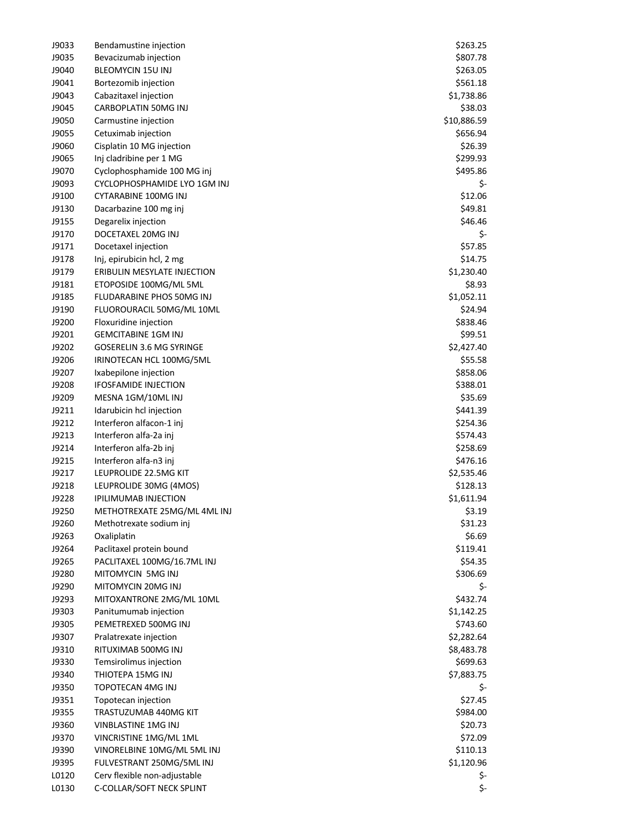| J9033 | Bendamustine injection          | \$263.25    |
|-------|---------------------------------|-------------|
| J9035 | Bevacizumab injection           | \$807.78    |
| J9040 | <b>BLEOMYCIN 15U INJ</b>        | \$263.05    |
| J9041 | Bortezomib injection            | \$561.18    |
| J9043 | Cabazitaxel injection           | \$1,738.86  |
| J9045 | CARBOPLATIN 50MG INJ            | \$38.03     |
| J9050 | Carmustine injection            | \$10,886.59 |
| J9055 | Cetuximab injection             | \$656.94    |
| J9060 | Cisplatin 10 MG injection       | \$26.39     |
| J9065 | Inj cladribine per 1 MG         | \$299.93    |
| J9070 | Cyclophosphamide 100 MG inj     | \$495.86    |
| J9093 | CYCLOPHOSPHAMIDE LYO 1GM INJ    | \$-         |
| J9100 | CYTARABINE 100MG INJ            | \$12.06     |
| J9130 | Dacarbazine 100 mg inj          | \$49.81     |
| J9155 | Degarelix injection             | \$46.46     |
| J9170 | DOCETAXEL 20MG INJ              | \$-         |
| J9171 | Docetaxel injection             | \$57.85     |
| J9178 |                                 | \$14.75     |
|       | Inj, epirubicin hcl, 2 mg       |             |
| J9179 | ERIBULIN MESYLATE INJECTION     | \$1,230.40  |
| J9181 | ETOPOSIDE 100MG/ML 5ML          | \$8.93      |
| J9185 | FLUDARABINE PHOS 50MG INJ       | \$1,052.11  |
| J9190 | FLUOROURACIL 50MG/ML 10ML       | \$24.94     |
| J9200 | Floxuridine injection           | \$838.46    |
| J9201 | <b>GEMCITABINE 1GM INJ</b>      | \$99.51     |
| J9202 | <b>GOSERELIN 3.6 MG SYRINGE</b> | \$2,427.40  |
| J9206 | IRINOTECAN HCL 100MG/5ML        | \$55.58     |
| J9207 | Ixabepilone injection           | \$858.06    |
| J9208 | <b>IFOSFAMIDE INJECTION</b>     | \$388.01    |
| J9209 | MESNA 1GM/10ML INJ              | \$35.69     |
| J9211 | Idarubicin hcl injection        | \$441.39    |
| J9212 | Interferon alfacon-1 inj        | \$254.36    |
| J9213 | Interferon alfa-2a inj          | \$574.43    |
| J9214 | Interferon alfa-2b inj          | \$258.69    |
| J9215 | Interferon alfa-n3 inj          | \$476.16    |
| J9217 | LEUPROLIDE 22.5MG KIT           | \$2,535.46  |
| J9218 | LEUPROLIDE 30MG (4MOS)          | \$128.13    |
| J9228 | <b>IPILIMUMAB INJECTION</b>     | \$1,611.94  |
| J9250 | METHOTREXATE 25MG/ML 4ML INJ    | \$3.19      |
| J9260 | Methotrexate sodium inj         | \$31.23     |
| J9263 | Oxaliplatin                     | \$6.69      |
| J9264 | Paclitaxel protein bound        | \$119.41    |
| J9265 | PACLITAXEL 100MG/16.7ML INJ     | \$54.35     |
| J9280 | MITOMYCIN 5MG INJ               | \$306.69    |
| J9290 | MITOMYCIN 20MG INJ              | \$-         |
| J9293 | MITOXANTRONE 2MG/ML 10ML        | \$432.74    |
| J9303 | Panitumumab injection           | \$1,142.25  |
| J9305 | PEMETREXED 500MG INJ            | \$743.60    |
| J9307 | Pralatrexate injection          | \$2,282.64  |
| J9310 | RITUXIMAB 500MG INJ             | \$8,483.78  |
| J9330 | Temsirolimus injection          | \$699.63    |
| J9340 | THIOTEPA 15MG INJ               |             |
| J9350 | TOPOTECAN 4MG INJ               | \$7,883.75  |
|       |                                 | \$-         |
| J9351 | Topotecan injection             | \$27.45     |
| J9355 | TRASTUZUMAB 440MG KIT           | \$984.00    |
| J9360 | VINBLASTINE 1MG INJ             | \$20.73     |
| J9370 | VINCRISTINE 1MG/ML 1ML          | \$72.09     |
| J9390 | VINORELBINE 10MG/ML 5ML INJ     | \$110.13    |
| J9395 | FULVESTRANT 250MG/5ML INJ       | \$1,120.96  |
| L0120 | Cerv flexible non-adjustable    | \$-         |
| L0130 | C-COLLAR/SOFT NECK SPLINT       | \$-         |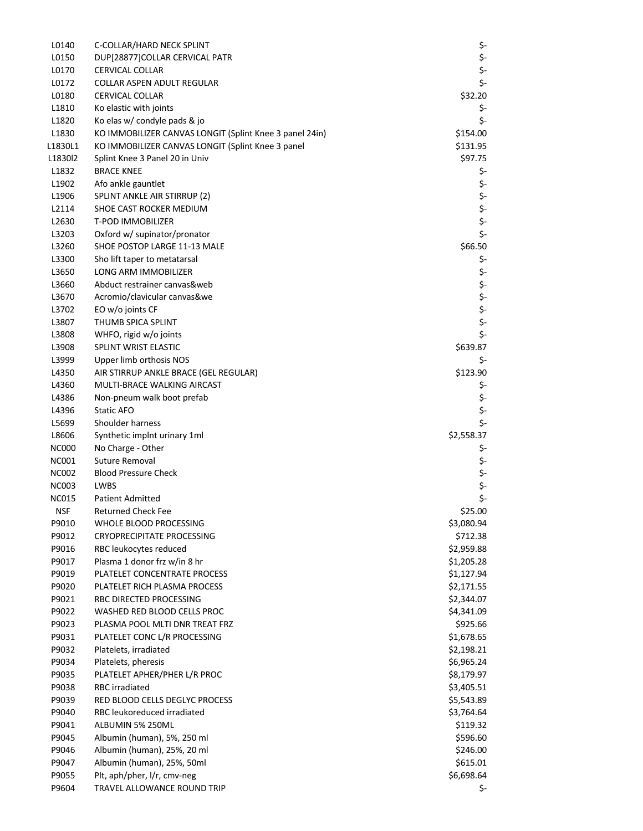| L0140        | C-COLLAR/HARD NECK SPLINT                               | \$-        |
|--------------|---------------------------------------------------------|------------|
| L0150        | DUP[28877]COLLAR CERVICAL PATR                          | \$-        |
| L0170        | <b>CERVICAL COLLAR</b>                                  | \$-        |
| L0172        | COLLAR ASPEN ADULT REGULAR                              | \$-        |
| L0180        | <b>CERVICAL COLLAR</b>                                  | \$32.20    |
| L1810        | Ko elastic with joints                                  | \$-        |
| L1820        | Ko elas w/ condyle pads & jo                            | \$-        |
| L1830        | KO IMMOBILIZER CANVAS LONGIT (Splint Knee 3 panel 24in) | \$154.00   |
| L1830L1      | KO IMMOBILIZER CANVAS LONGIT (Splint Knee 3 panel       | \$131.95   |
| L1830l2      | Splint Knee 3 Panel 20 in Univ                          | \$97.75    |
| L1832        | <b>BRACE KNEE</b>                                       | \$-        |
| L1902        | Afo ankle gauntlet                                      | \$-        |
| L1906        | SPLINT ANKLE AIR STIRRUP (2)                            | \$-        |
| L2114        | SHOE CAST ROCKER MEDIUM                                 | \$-        |
| L2630        | <b>T-POD IMMOBILIZER</b>                                | \$-        |
| L3203        | Oxford w/ supinator/pronator                            | \$-        |
| L3260        | SHOE POSTOP LARGE 11-13 MALE                            | \$66.50    |
| L3300        | Sho lift taper to metatarsal                            | \$-        |
| L3650        | LONG ARM IMMOBILIZER                                    | \$-        |
| L3660        | Abduct restrainer canvas&web                            | \$-        |
| L3670        | Acromio/clavicular canvas&we                            | \$-        |
| L3702        | EO w/o joints CF                                        | \$-        |
| L3807        | THUMB SPICA SPLINT                                      | \$-        |
| L3808        | WHFO, rigid w/o joints                                  | \$-        |
| L3908        | SPLINT WRIST ELASTIC                                    | \$639.87   |
| L3999        | Upper limb orthosis NOS                                 | \$-        |
| L4350        | AIR STIRRUP ANKLE BRACE (GEL REGULAR)                   | \$123.90   |
| L4360        | MULTI-BRACE WALKING AIRCAST                             | \$-        |
| L4386        | Non-pneum walk boot prefab                              | \$-        |
| L4396        | Static AFO                                              | \$-        |
| L5699        | Shoulder harness                                        | \$-        |
| L8606        | Synthetic implnt urinary 1ml                            | \$2,558.37 |
| <b>NC000</b> | No Charge - Other                                       | \$-        |
| <b>NC001</b> | Suture Removal                                          | \$-        |
| <b>NC002</b> | <b>Blood Pressure Check</b>                             | \$-        |
| <b>NC003</b> | <b>LWBS</b>                                             | \$-        |
| <b>NC015</b> | <b>Patient Admitted</b>                                 | \$-        |
| <b>NSF</b>   | <b>Returned Check Fee</b>                               | \$25.00    |
| P9010        | WHOLE BLOOD PROCESSING                                  | \$3,080.94 |
| P9012        | <b>CRYOPRECIPITATE PROCESSING</b>                       | \$712.38   |
| P9016        | RBC leukocytes reduced                                  | \$2,959.88 |
| P9017        | Plasma 1 donor frz w/in 8 hr                            | \$1,205.28 |
| P9019        | PLATELET CONCENTRATE PROCESS                            | \$1,127.94 |
| P9020        | PLATELET RICH PLASMA PROCESS                            | \$2,171.55 |
| P9021        | RBC DIRECTED PROCESSING                                 | \$2,344.07 |
| P9022        | WASHED RED BLOOD CELLS PROC                             | \$4,341.09 |
| P9023        | PLASMA POOL MLTI DNR TREAT FRZ                          | \$925.66   |
| P9031        | PLATELET CONC L/R PROCESSING                            | \$1,678.65 |
| P9032        | Platelets, irradiated                                   | \$2,198.21 |
| P9034        | Platelets, pheresis                                     | \$6,965.24 |
| P9035        | PLATELET APHER/PHER L/R PROC                            | \$8,179.97 |
| P9038        | RBC irradiated                                          | \$3,405.51 |
| P9039        | RED BLOOD CELLS DEGLYC PROCESS                          | \$5,543.89 |
| P9040        | RBC leukoreduced irradiated                             | \$3,764.64 |
| P9041        | ALBUMIN 5% 250ML                                        | \$119.32   |
| P9045        | Albumin (human), 5%, 250 ml                             | \$596.60   |
| P9046        | Albumin (human), 25%, 20 ml                             | \$246.00   |
| P9047        | Albumin (human), 25%, 50ml                              | \$615.01   |
| P9055        | Plt, aph/pher, I/r, cmv-neg                             | \$6,698.64 |
| P9604        | TRAVEL ALLOWANCE ROUND TRIP                             | \$-        |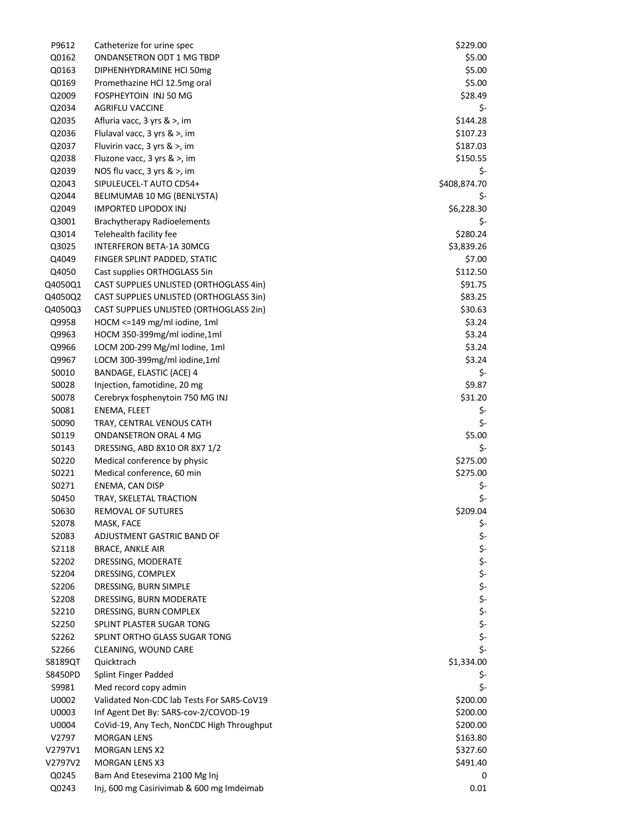| P9612   | Catheterize for urine spec                 | \$229.00     |
|---------|--------------------------------------------|--------------|
| Q0162   | ONDANSETRON ODT 1 MG TBDP                  | \$5.00       |
| Q0163   | DIPHENHYDRAMINE HCI 50mg                   | \$5.00       |
| Q0169   | Promethazine HCl 12.5mg oral               | \$5.00       |
| Q2009   | FOSPHEYTOIN INJ 50 MG                      | \$28.49      |
| Q2034   | AGRIFLU VACCINE                            | \$-          |
| Q2035   | Afluria vacc, 3 yrs & >, im                | \$144.28     |
| Q2036   | Flulaval vacc, 3 yrs & >, im               | \$107.23     |
| Q2037   | Fluvirin vacc, 3 yrs & >, im               | \$187.03     |
| Q2038   | Fluzone vacc, 3 yrs & >, im                | \$150.55     |
| Q2039   | NOS flu vacc, 3 yrs & >, im                | \$-          |
| Q2043   | SIPULEUCEL-T AUTO CD54+                    | \$408,874.70 |
| Q2044   | BELIMUMAB 10 MG (BENLYSTA)                 | \$-          |
| Q2049   | <b>IMPORTED LIPODOX INJ</b>                | \$6,228.30   |
| Q3001   | <b>Brachytherapy Radioelements</b>         | \$-          |
| Q3014   | Telehealth facility fee                    | \$280.24     |
| Q3025   | INTERFERON BETA-1A 30MCG                   | \$3,839.26   |
| Q4049   | FINGER SPLINT PADDED, STATIC               | \$7.00       |
| Q4050   | Cast supplies ORTHOGLASS 5in               | \$112.50     |
| Q4050Q1 | CAST SUPPLIES UNLISTED (ORTHOGLASS 4in)    | \$91.75      |
| Q4050Q2 | CAST SUPPLIES UNLISTED (ORTHOGLASS 3in)    | \$83.25      |
| Q4050Q3 | CAST SUPPLIES UNLISTED (ORTHOGLASS 2in)    | \$30.63      |
| Q9958   | HOCM <= 149 mg/ml iodine, 1ml              | \$3.24       |
| Q9963   | HOCM 350-399mg/ml iodine,1ml               | \$3.24       |
| Q9966   | LOCM 200-299 Mg/ml Iodine, 1ml             | \$3.24       |
| Q9967   | LOCM 300-399mg/ml iodine,1ml               | \$3.24       |
| S0010   | BANDAGE, ELASTIC (ACE) 4                   | \$-          |
| S0028   | Injection, famotidine, 20 mg               | \$9.87       |
| S0078   | Cerebryx fosphenytoin 750 MG INJ           | \$31.20      |
| S0081   | ENEMA, FLEET                               | \$-          |
| S0090   | TRAY, CENTRAL VENOUS CATH                  | \$-          |
| S0119   | <b>ONDANSETRON ORAL 4 MG</b>               | \$5.00       |
| S0143   | DRESSING, ABD 8X10 OR 8X7 1/2              | \$-          |
| S0220   | Medical conference by physic               | \$275.00     |
| S0221   | Medical conference, 60 min                 | \$275.00     |
| S0271   | ENEMA, CAN DISP                            | \$-          |
| S0450   | TRAY, SKELETAL TRACTION                    | \$-          |
| S0630   | REMOVAL OF SUTURES                         | \$209.04     |
| S2078   | MASK, FACE                                 | \$-          |
| S2083   | ADJUSTMENT GASTRIC BAND OF                 | \$-          |
| S2118   | <b>BRACE, ANKLE AIR</b>                    | \$-          |
| S2202   | DRESSING, MODERATE                         | \$-          |
| S2204   | DRESSING, COMPLEX                          | \$-          |
| S2206   | DRESSING, BURN SIMPLE                      | \$-          |
| S2208   | DRESSING, BURN MODERATE                    | \$-          |
| S2210   | DRESSING, BURN COMPLEX                     | \$-          |
| S2250   | SPLINT PLASTER SUGAR TONG                  | \$-          |
| S2262   | SPLINT ORTHO GLASS SUGAR TONG              | \$-          |
| S2266   | CLEANING, WOUND CARE                       | \$-          |
| S8189QT | Quicktrach                                 | \$1,334.00   |
| S8450PD | Splint Finger Padded                       | \$-          |
| S9981   | Med record copy admin                      | \$-          |
| U0002   | Validated Non-CDC lab Tests For SARS-CoV19 | \$200.00     |
| U0003   | Inf Agent Det By: SARS-cov-2/COVOD-19      | \$200.00     |
| U0004   | CoVid-19, Any Tech, NonCDC High Throughput | \$200.00     |
| V2797   | <b>MORGAN LENS</b>                         | \$163.80     |
| V2797V1 | <b>MORGAN LENS X2</b>                      | \$327.60     |
| V2797V2 | <b>MORGAN LENS X3</b>                      | \$491.40     |
| Q0245   | Bam And Etesevima 2100 Mg Inj              | 0            |
| Q0243   | Inj, 600 mg Casirivimab & 600 mg Imdeimab  | 0.01         |